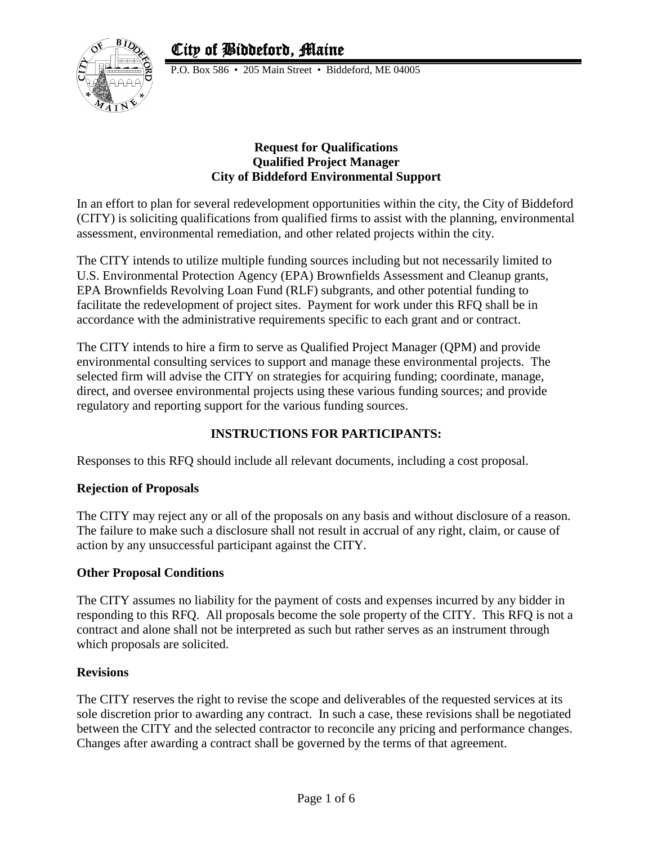# City of Biddeford, Maine



P.O. Box 586 • 205 Main Street • Biddeford, ME 04005

#### **Request for Qualifications Qualified Project Manager City of Biddeford Environmental Support**

In an effort to plan for several redevelopment opportunities within the city, the City of Biddeford (CITY) is soliciting qualifications from qualified firms to assist with the planning, environmental assessment, environmental remediation, and other related projects within the city.

The CITY intends to utilize multiple funding sources including but not necessarily limited to U.S. Environmental Protection Agency (EPA) Brownfields Assessment and Cleanup grants, EPA Brownfields Revolving Loan Fund (RLF) subgrants, and other potential funding to facilitate the redevelopment of project sites. Payment for work under this RFQ shall be in accordance with the administrative requirements specific to each grant and or contract.

The CITY intends to hire a firm to serve as Qualified Project Manager (QPM) and provide environmental consulting services to support and manage these environmental projects. The selected firm will advise the CITY on strategies for acquiring funding; coordinate, manage, direct, and oversee environmental projects using these various funding sources; and provide regulatory and reporting support for the various funding sources.

## **INSTRUCTIONS FOR PARTICIPANTS:**

Responses to this RFQ should include all relevant documents, including a cost proposal.

## **Rejection of Proposals**

The CITY may reject any or all of the proposals on any basis and without disclosure of a reason. The failure to make such a disclosure shall not result in accrual of any right, claim, or cause of action by any unsuccessful participant against the CITY.

## **Other Proposal Conditions**

The CITY assumes no liability for the payment of costs and expenses incurred by any bidder in responding to this RFQ. All proposals become the sole property of the CITY. This RFQ is not a contract and alone shall not be interpreted as such but rather serves as an instrument through which proposals are solicited.

## **Revisions**

The CITY reserves the right to revise the scope and deliverables of the requested services at its sole discretion prior to awarding any contract. In such a case, these revisions shall be negotiated between the CITY and the selected contractor to reconcile any pricing and performance changes. Changes after awarding a contract shall be governed by the terms of that agreement.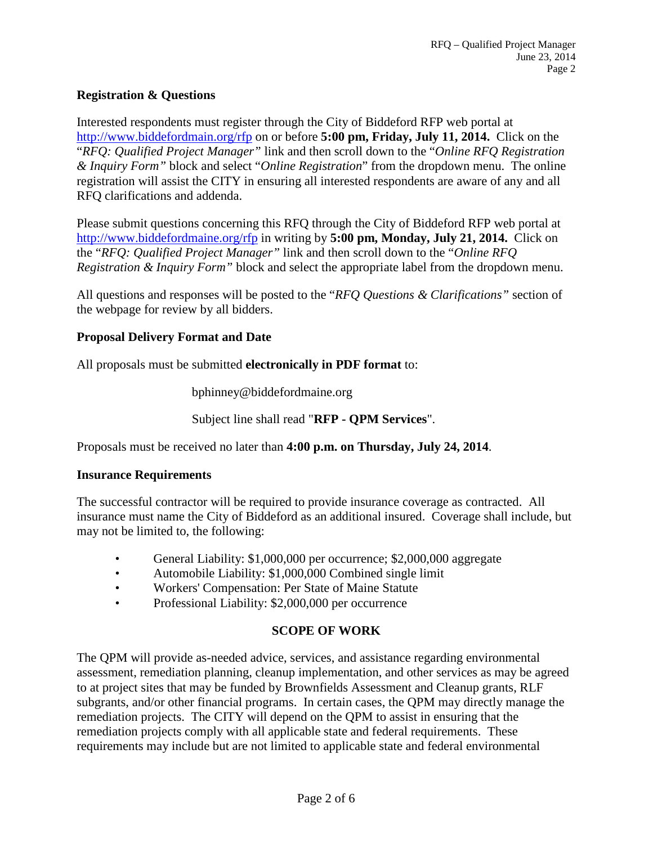## **Registration & Questions**

Interested respondents must register through the City of Biddeford RFP web portal at <http://www.biddefordmain.org/rfp> on or before **5:00 pm, Friday, July 11, 2014.** Click on the "*RFQ: Qualified Project Manager"* link and then scroll down to the "*Online RFQ Registration & Inquiry Form"* block and select "*Online Registration*" from the dropdown menu. The online registration will assist the CITY in ensuring all interested respondents are aware of any and all RFQ clarifications and addenda.

Please submit questions concerning this RFQ through the City of Biddeford RFP web portal at <http://www.biddefordmaine.org/rfp> in writing by **5:00 pm, Monday, July 21, 2014.** Click on the "*RFQ: Qualified Project Manager"* link and then scroll down to the "*Online RFQ Registration & Inquiry Form"* block and select the appropriate label from the dropdown menu.

All questions and responses will be posted to the "*RFQ Questions & Clarifications"* section of the webpage for review by all bidders.

#### **Proposal Delivery Format and Date**

All proposals must be submitted **electronically in PDF format** to:

bphinney@biddefordmaine.org

Subject line shall read "**RFP - QPM Services**".

Proposals must be received no later than **4:00 p.m. on Thursday, July 24, 2014**.

#### **Insurance Requirements**

The successful contractor will be required to provide insurance coverage as contracted. All insurance must name the City of Biddeford as an additional insured. Coverage shall include, but may not be limited to, the following:

- General Liability: \$1,000,000 per occurrence; \$2,000,000 aggregate
- Automobile Liability: \$1,000,000 Combined single limit
- Workers' Compensation: Per State of Maine Statute
- Professional Liability: \$2,000,000 per occurrence

## **SCOPE OF WORK**

The QPM will provide as-needed advice, services, and assistance regarding environmental assessment, remediation planning, cleanup implementation, and other services as may be agreed to at project sites that may be funded by Brownfields Assessment and Cleanup grants, RLF subgrants, and/or other financial programs. In certain cases, the QPM may directly manage the remediation projects. The CITY will depend on the QPM to assist in ensuring that the remediation projects comply with all applicable state and federal requirements. These requirements may include but are not limited to applicable state and federal environmental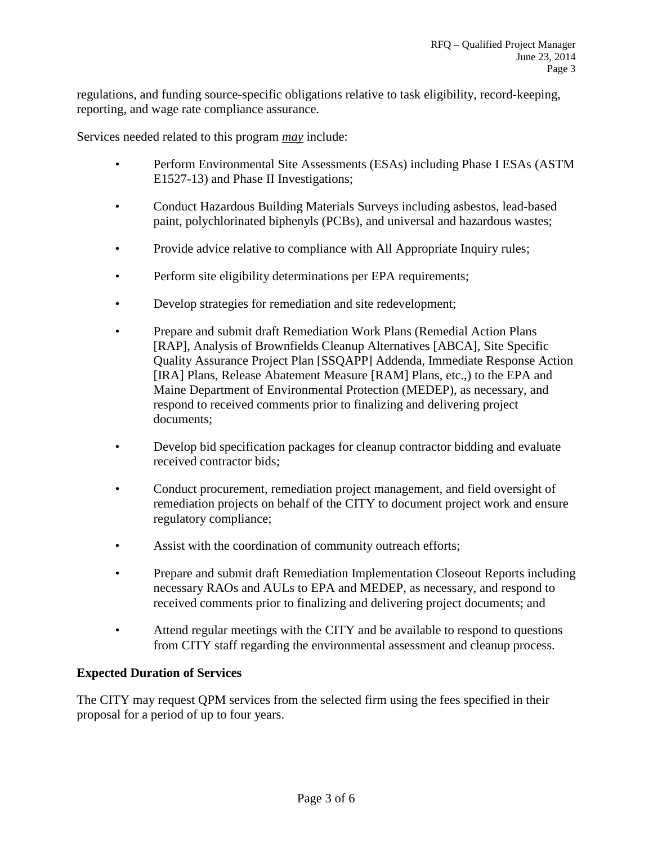regulations, and funding source-specific obligations relative to task eligibility, record-keeping, reporting, and wage rate compliance assurance.

Services needed related to this program *may* include:

- Perform Environmental Site Assessments (ESAs) including Phase I ESAs (ASTM E1527-13) and Phase II Investigations;
- Conduct Hazardous Building Materials Surveys including asbestos, lead-based paint, polychlorinated biphenyls (PCBs), and universal and hazardous wastes;
- Provide advice relative to compliance with All Appropriate Inquiry rules;
- Perform site eligibility determinations per EPA requirements;
- Develop strategies for remediation and site redevelopment;
- Prepare and submit draft Remediation Work Plans (Remedial Action Plans [RAP], Analysis of Brownfields Cleanup Alternatives [ABCA], Site Specific Quality Assurance Project Plan [SSQAPP] Addenda, Immediate Response Action [IRA] Plans, Release Abatement Measure [RAM] Plans, etc.,) to the EPA and Maine Department of Environmental Protection (MEDEP), as necessary, and respond to received comments prior to finalizing and delivering project documents;
- Develop bid specification packages for cleanup contractor bidding and evaluate received contractor bids;
- Conduct procurement, remediation project management, and field oversight of remediation projects on behalf of the CITY to document project work and ensure regulatory compliance;
- Assist with the coordination of community outreach efforts;
- Prepare and submit draft Remediation Implementation Closeout Reports including necessary RAOs and AULs to EPA and MEDEP, as necessary, and respond to received comments prior to finalizing and delivering project documents; and
- Attend regular meetings with the CITY and be available to respond to questions from CITY staff regarding the environmental assessment and cleanup process.

## **Expected Duration of Services**

The CITY may request QPM services from the selected firm using the fees specified in their proposal for a period of up to four years.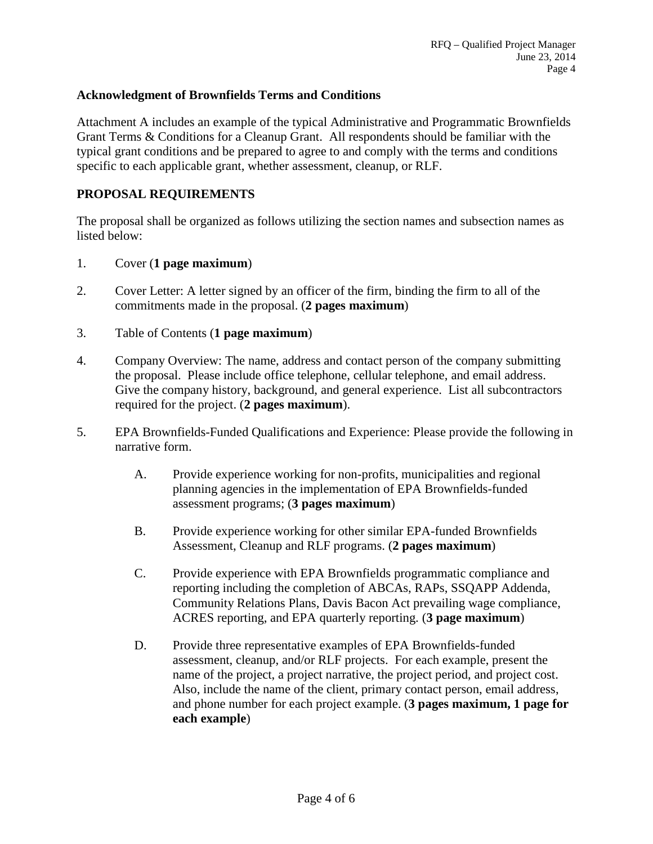#### **Acknowledgment of Brownfields Terms and Conditions**

Attachment A includes an example of the typical Administrative and Programmatic Brownfields Grant Terms & Conditions for a Cleanup Grant. All respondents should be familiar with the typical grant conditions and be prepared to agree to and comply with the terms and conditions specific to each applicable grant, whether assessment, cleanup, or RLF.

#### **PROPOSAL REQUIREMENTS**

The proposal shall be organized as follows utilizing the section names and subsection names as listed below:

- 1. Cover (**1 page maximum**)
- 2. Cover Letter: A letter signed by an officer of the firm, binding the firm to all of the commitments made in the proposal. (**2 pages maximum**)
- 3. Table of Contents (**1 page maximum**)
- 4. Company Overview: The name, address and contact person of the company submitting the proposal. Please include office telephone, cellular telephone, and email address. Give the company history, background, and general experience. List all subcontractors required for the project. (**2 pages maximum**).
- 5. EPA Brownfields-Funded Qualifications and Experience: Please provide the following in narrative form.
	- A. Provide experience working for non-profits, municipalities and regional planning agencies in the implementation of EPA Brownfields-funded assessment programs; (**3 pages maximum**)
	- B. Provide experience working for other similar EPA-funded Brownfields Assessment, Cleanup and RLF programs. (**2 pages maximum**)
	- C. Provide experience with EPA Brownfields programmatic compliance and reporting including the completion of ABCAs, RAPs, SSQAPP Addenda, Community Relations Plans, Davis Bacon Act prevailing wage compliance, ACRES reporting, and EPA quarterly reporting. (**3 page maximum**)
	- D. Provide three representative examples of EPA Brownfields-funded assessment, cleanup, and/or RLF projects. For each example, present the name of the project, a project narrative, the project period, and project cost. Also, include the name of the client, primary contact person, email address, and phone number for each project example. (**3 pages maximum, 1 page for each example**)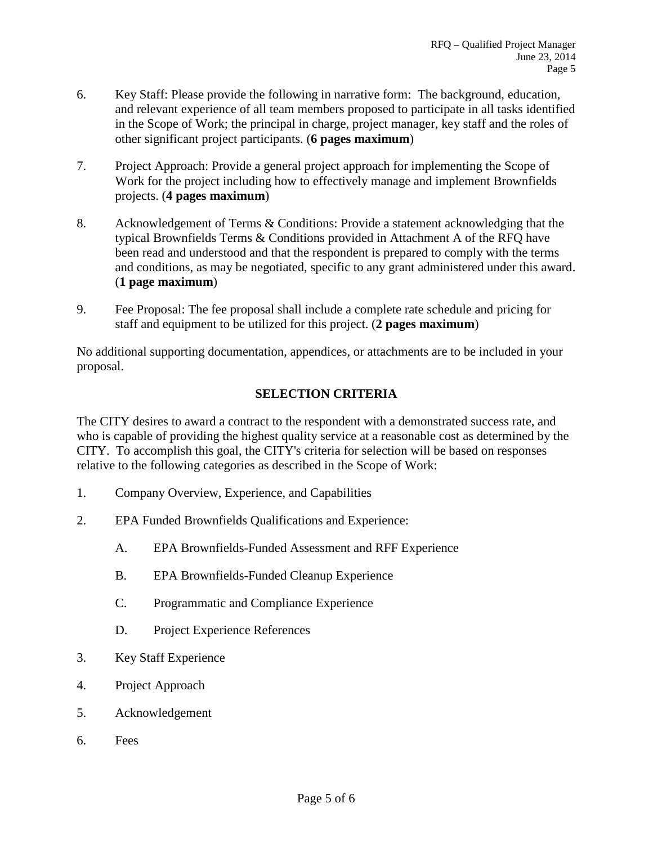- 6. Key Staff: Please provide the following in narrative form: The background, education, and relevant experience of all team members proposed to participate in all tasks identified in the Scope of Work; the principal in charge, project manager, key staff and the roles of other significant project participants. (**6 pages maximum**)
- 7. Project Approach: Provide a general project approach for implementing the Scope of Work for the project including how to effectively manage and implement Brownfields projects. (**4 pages maximum**)
- 8. Acknowledgement of Terms & Conditions: Provide a statement acknowledging that the typical Brownfields Terms & Conditions provided in Attachment A of the RFQ have been read and understood and that the respondent is prepared to comply with the terms and conditions, as may be negotiated, specific to any grant administered under this award. (**1 page maximum**)
- 9. Fee Proposal: The fee proposal shall include a complete rate schedule and pricing for staff and equipment to be utilized for this project. (**2 pages maximum**)

No additional supporting documentation, appendices, or attachments are to be included in your proposal.

## **SELECTION CRITERIA**

The CITY desires to award a contract to the respondent with a demonstrated success rate, and who is capable of providing the highest quality service at a reasonable cost as determined by the CITY. To accomplish this goal, the CITY's criteria for selection will be based on responses relative to the following categories as described in the Scope of Work:

- 1. Company Overview, Experience, and Capabilities
- 2. EPA Funded Brownfields Qualifications and Experience:
	- A. EPA Brownfields-Funded Assessment and RFF Experience
	- B. EPA Brownfields-Funded Cleanup Experience
	- C. Programmatic and Compliance Experience
	- D. Project Experience References
- 3. Key Staff Experience
- 4. Project Approach
- 5. Acknowledgement
- 6. Fees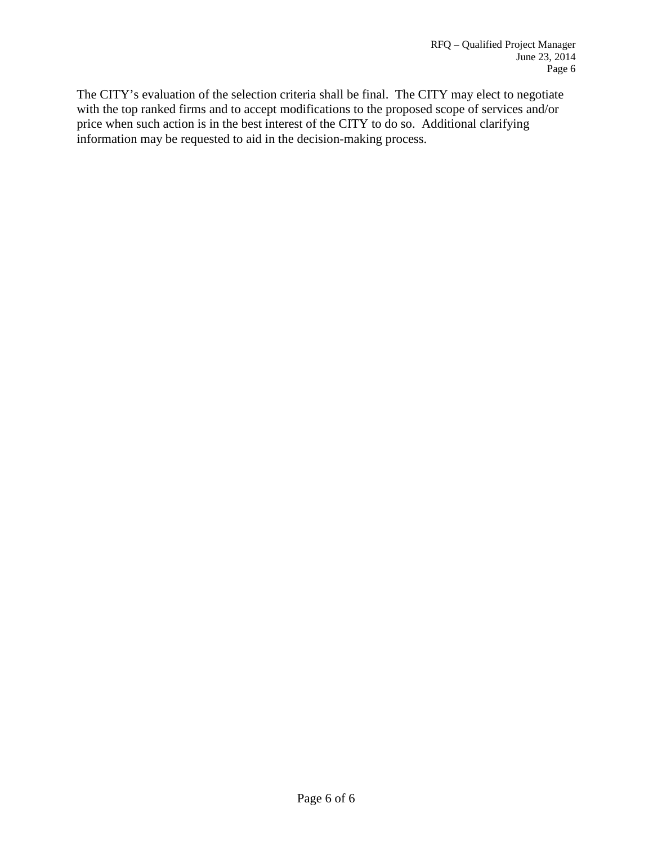The CITY's evaluation of the selection criteria shall be final. The CITY may elect to negotiate with the top ranked firms and to accept modifications to the proposed scope of services and/or price when such action is in the best interest of the CITY to do so. Additional clarifying information may be requested to aid in the decision-making process.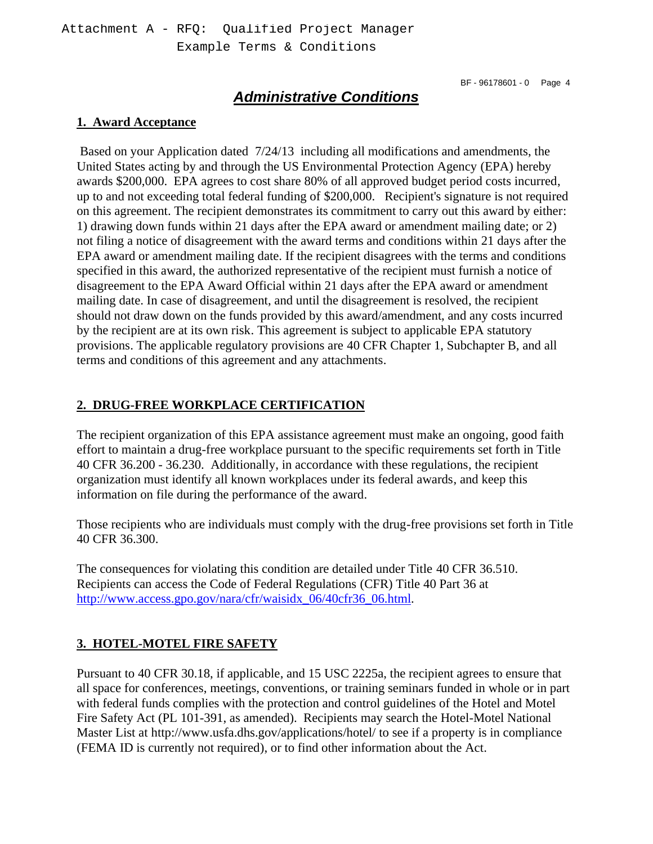## *Administrative Conditions*

#### **1. Award Acceptance**

 Based on your Application dated 7/24/13 including all modifications and amendments, the United States acting by and through the US Environmental Protection Agency (EPA) hereby awards \$200,000. EPA agrees to cost share 80% of all approved budget period costs incurred, up to and not exceeding total federal funding of \$200,000. Recipient's signature is not required on this agreement. The recipient demonstrates its commitment to carry out this award by either: 1) drawing down funds within 21 days after the EPA award or amendment mailing date; or 2) not filing a notice of disagreement with the award terms and conditions within 21 days after the EPA award or amendment mailing date. If the recipient disagrees with the terms and conditions specified in this award, the authorized representative of the recipient must furnish a notice of disagreement to the EPA Award Official within 21 days after the EPA award or amendment mailing date. In case of disagreement, and until the disagreement is resolved, the recipient should not draw down on the funds provided by this award/amendment, and any costs incurred by the recipient are at its own risk. This agreement is subject to applicable EPA statutory provisions. The applicable regulatory provisions are 40 CFR Chapter 1, Subchapter B, and all terms and conditions of this agreement and any attachments.

## **2. DRUG-FREE WORKPLACE CERTIFICATION**

The recipient organization of this EPA assistance agreement must make an ongoing, good faith effort to maintain a drug-free workplace pursuant to the specific requirements set forth in Title 40 CFR 36.200 - 36.230. Additionally, in accordance with these regulations, the recipient organization must identify all known workplaces under its federal awards, and keep this information on file during the performance of the award.

Those recipients who are individuals must comply with the drug-free provisions set forth in Title 40 CFR 36.300.

The consequences for violating this condition are detailed under Title 40 CFR 36.510. Recipients can access the Code of Federal Regulations (CFR) Title 40 Part 36 at http://www.access.gpo.gov/nara/cfr/waisidx\_06/40cfr36\_06.html.

## **3. HOTEL-MOTEL FIRE SAFETY**

Pursuant to 40 CFR 30.18, if applicable, and 15 USC 2225a, the recipient agrees to ensure that all space for conferences, meetings, conventions, or training seminars funded in whole or in part with federal funds complies with the protection and control guidelines of the Hotel and Motel Fire Safety Act (PL 101-391, as amended). Recipients may search the Hotel-Motel National Master List at http://www.usfa.dhs.gov/applications/hotel/ to see if a property is in compliance (FEMA ID is currently not required), or to find other information about the Act.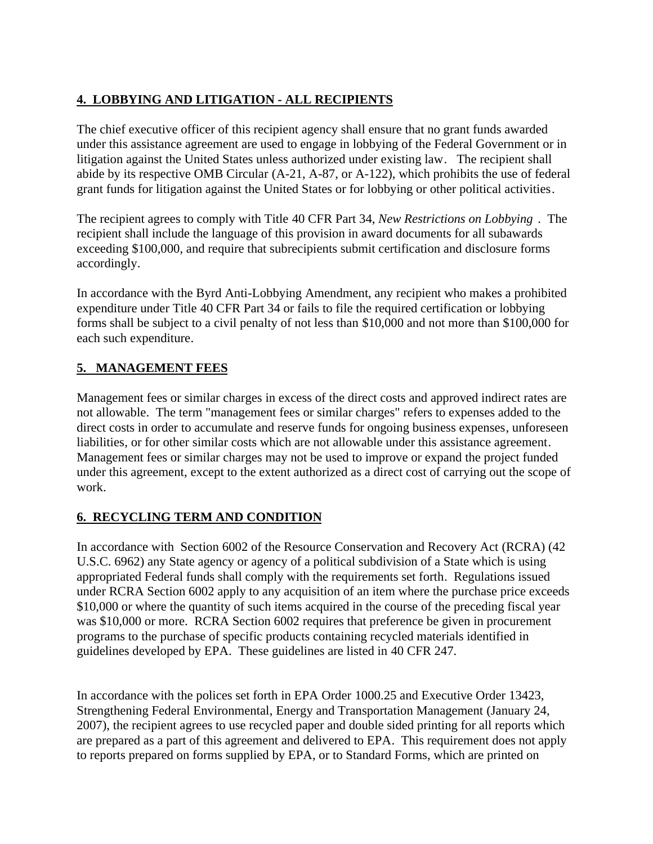## **4. LOBBYING AND LITIGATION - ALL RECIPIENTS**

The chief executive officer of this recipient agency shall ensure that no grant funds awarded under this assistance agreement are used to engage in lobbying of the Federal Government or in litigation against the United States unless authorized under existing law. The recipient shall abide by its respective OMB Circular (A-21, A-87, or A-122), which prohibits the use of federal grant funds for litigation against the United States or for lobbying or other political activities.

The recipient agrees to comply with Title 40 CFR Part 34, *New Restrictions on Lobbying* . The recipient shall include the language of this provision in award documents for all subawards exceeding \$100,000, and require that subrecipients submit certification and disclosure forms accordingly.

In accordance with the Byrd Anti-Lobbying Amendment, any recipient who makes a prohibited expenditure under Title 40 CFR Part 34 or fails to file the required certification or lobbying forms shall be subject to a civil penalty of not less than \$10,000 and not more than \$100,000 for each such expenditure.

## **5. MANAGEMENT FEES**

Management fees or similar charges in excess of the direct costs and approved indirect rates are not allowable. The term "management fees or similar charges" refers to expenses added to the direct costs in order to accumulate and reserve funds for ongoing business expenses, unforeseen liabilities, or for other similar costs which are not allowable under this assistance agreement. Management fees or similar charges may not be used to improve or expand the project funded under this agreement, except to the extent authorized as a direct cost of carrying out the scope of work.

## **6. RECYCLING TERM AND CONDITION**

In accordance with Section 6002 of the Resource Conservation and Recovery Act (RCRA) (42 U.S.C. 6962) any State agency or agency of a political subdivision of a State which is using appropriated Federal funds shall comply with the requirements set forth. Regulations issued under RCRA Section 6002 apply to any acquisition of an item where the purchase price exceeds \$10,000 or where the quantity of such items acquired in the course of the preceding fiscal year was \$10,000 or more. RCRA Section 6002 requires that preference be given in procurement programs to the purchase of specific products containing recycled materials identified in guidelines developed by EPA. These guidelines are listed in 40 CFR 247.

In accordance with the polices set forth in EPA Order 1000.25 and Executive Order 13423, Strengthening Federal Environmental, Energy and Transportation Management (January 24, 2007), the recipient agrees to use recycled paper and double sided printing for all reports which are prepared as a part of this agreement and delivered to EPA. This requirement does not apply to reports prepared on forms supplied by EPA, or to Standard Forms, which are printed on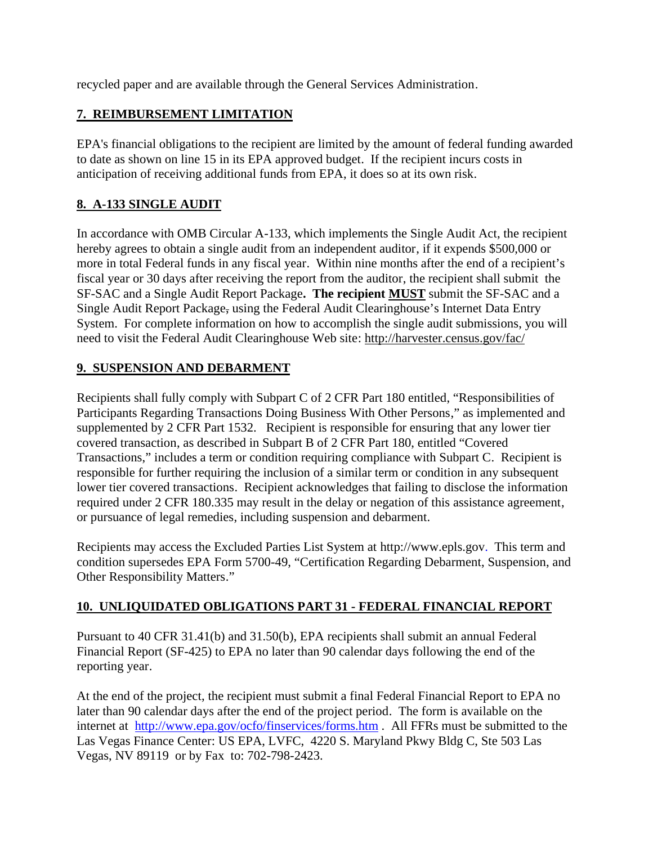recycled paper and are available through the General Services Administration.

## **7. REIMBURSEMENT LIMITATION**

EPA's financial obligations to the recipient are limited by the amount of federal funding awarded to date as shown on line 15 in its EPA approved budget. If the recipient incurs costs in anticipation of receiving additional funds from EPA, it does so at its own risk.

## **8. A-133 SINGLE AUDIT**

In accordance with OMB Circular A-133, which implements the Single Audit Act, the recipient hereby agrees to obtain a single audit from an independent auditor, if it expends \$500,000 or more in total Federal funds in any fiscal year. Within nine months after the end of a recipient's fiscal year or 30 days after receiving the report from the auditor, the recipient shall submit the SF-SAC and a Single Audit Report Package**. The recipient MUST** submit the SF-SAC and a Single Audit Report Package, using the Federal Audit Clearinghouse's Internet Data Entry System. For complete information on how to accomplish the single audit submissions, you will need to visit the Federal Audit Clearinghouse Web site: http://harvester.census.gov/fac/

## **9. SUSPENSION AND DEBARMENT**

Recipients shall fully comply with Subpart C of 2 CFR Part 180 entitled, "Responsibilities of Participants Regarding Transactions Doing Business With Other Persons," as implemented and supplemented by 2 CFR Part 1532. Recipient is responsible for ensuring that any lower tier covered transaction, as described in Subpart B of 2 CFR Part 180, entitled "Covered Transactions," includes a term or condition requiring compliance with Subpart C. Recipient is responsible for further requiring the inclusion of a similar term or condition in any subsequent lower tier covered transactions. Recipient acknowledges that failing to disclose the information required under 2 CFR 180.335 may result in the delay or negation of this assistance agreement, or pursuance of legal remedies, including suspension and debarment.

Recipients may access the Excluded Parties List System at http://www.epls.gov. This term and condition supersedes EPA Form 5700-49, "Certification Regarding Debarment, Suspension, and Other Responsibility Matters."

## **10. UNLIQUIDATED OBLIGATIONS PART 31 - FEDERAL FINANCIAL REPORT**

Pursuant to 40 CFR 31.41(b) and 31.50(b), EPA recipients shall submit an annual Federal Financial Report (SF-425) to EPA no later than 90 calendar days following the end of the reporting year.

At the end of the project, the recipient must submit a final Federal Financial Report to EPA no later than 90 calendar days after the end of the project period. The form is available on the internet at http://www.epa.gov/ocfo/finservices/forms.htm . All FFRs must be submitted to the Las Vegas Finance Center: US EPA, LVFC, 4220 S. Maryland Pkwy Bldg C, Ste 503 Las Vegas, NV 89119 or by Fax to: 702-798-2423.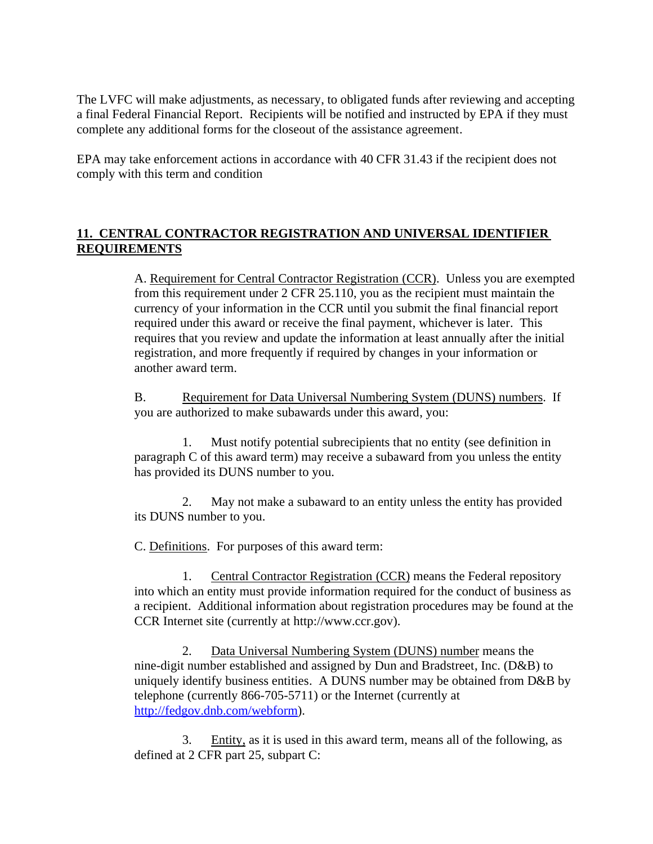The LVFC will make adjustments, as necessary, to obligated funds after reviewing and accepting a final Federal Financial Report. Recipients will be notified and instructed by EPA if they must complete any additional forms for the closeout of the assistance agreement.

EPA may take enforcement actions in accordance with 40 CFR 31.43 if the recipient does not comply with this term and condition

## **11. CENTRAL CONTRACTOR REGISTRATION AND UNIVERSAL IDENTIFIER REQUIREMENTS**

A. Requirement for Central Contractor Registration (CCR). Unless you are exempted from this requirement under 2 CFR 25.110, you as the recipient must maintain the currency of your information in the CCR until you submit the final financial report required under this award or receive the final payment, whichever is later. This requires that you review and update the information at least annually after the initial registration, and more frequently if required by changes in your information or another award term.

B. Requirement for Data Universal Numbering System (DUNS) numbers. If you are authorized to make subawards under this award, you:

1. Must notify potential subrecipients that no entity (see definition in paragraph C of this award term) may receive a subaward from you unless the entity has provided its DUNS number to you.

2. May not make a subaward to an entity unless the entity has provided its DUNS number to you.

C. Definitions. For purposes of this award term:

1. Central Contractor Registration (CCR) means the Federal repository into which an entity must provide information required for the conduct of business as a recipient. Additional information about registration procedures may be found at the CCR Internet site (currently at http://www.ccr.gov).

2. Data Universal Numbering System (DUNS) number means the nine-digit number established and assigned by Dun and Bradstreet, Inc. (D&B) to uniquely identify business entities. A DUNS number may be obtained from D&B by telephone (currently 866-705-5711) or the Internet (currently at http://fedgov.dnb.com/webform).

3. Entity, as it is used in this award term, means all of the following, as defined at 2 CFR part 25, subpart C: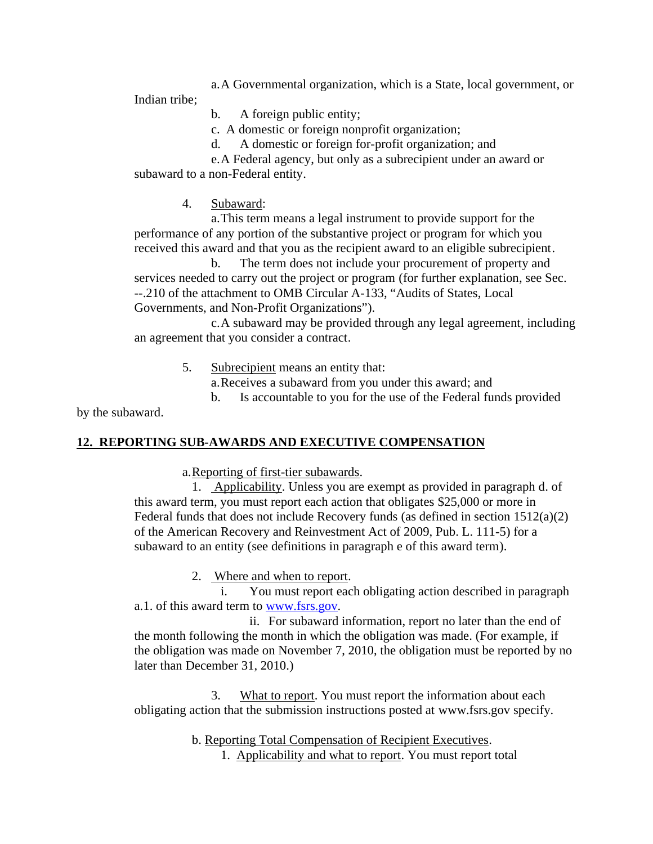a.A Governmental organization, which is a State, local government, or

Indian tribe;

b. A foreign public entity;

c. A domestic or foreign nonprofit organization;

d. A domestic or foreign for-profit organization; and

e.A Federal agency, but only as a subrecipient under an award or subaward to a non-Federal entity.

4. Subaward:

a.This term means a legal instrument to provide support for the performance of any portion of the substantive project or program for which you received this award and that you as the recipient award to an eligible subrecipient.

b. The term does not include your procurement of property and services needed to carry out the project or program (for further explanation, see Sec. --.210 of the attachment to OMB Circular A-133, "Audits of States, Local Governments, and Non-Profit Organizations").

c.A subaward may be provided through any legal agreement, including an agreement that you consider a contract.

5. Subrecipient means an entity that:

a.Receives a subaward from you under this award; and

b. Is accountable to you for the use of the Federal funds provided

by the subaward.

## **12. REPORTING SUB-AWARDS AND EXECUTIVE COMPENSATION**

a.Reporting of first-tier subawards.

1. Applicability. Unless you are exempt as provided in paragraph d. of this award term, you must report each action that obligates \$25,000 or more in Federal funds that does not include Recovery funds (as defined in section 1512(a)(2) of the American Recovery and Reinvestment Act of 2009, Pub. L. 111-5) for a subaward to an entity (see definitions in paragraph e of this award term).

2. Where and when to report.

i. You must report each obligating action described in paragraph a.1. of this award term to www.fsrs.gov.

ii. For subaward information, report no later than the end of the month following the month in which the obligation was made. (For example, if the obligation was made on November 7, 2010, the obligation must be reported by no later than December 31, 2010.)

3. What to report. You must report the information about each obligating action that the submission instructions posted at www.fsrs.gov specify.

> b. Reporting Total Compensation of Recipient Executives. 1. Applicability and what to report. You must report total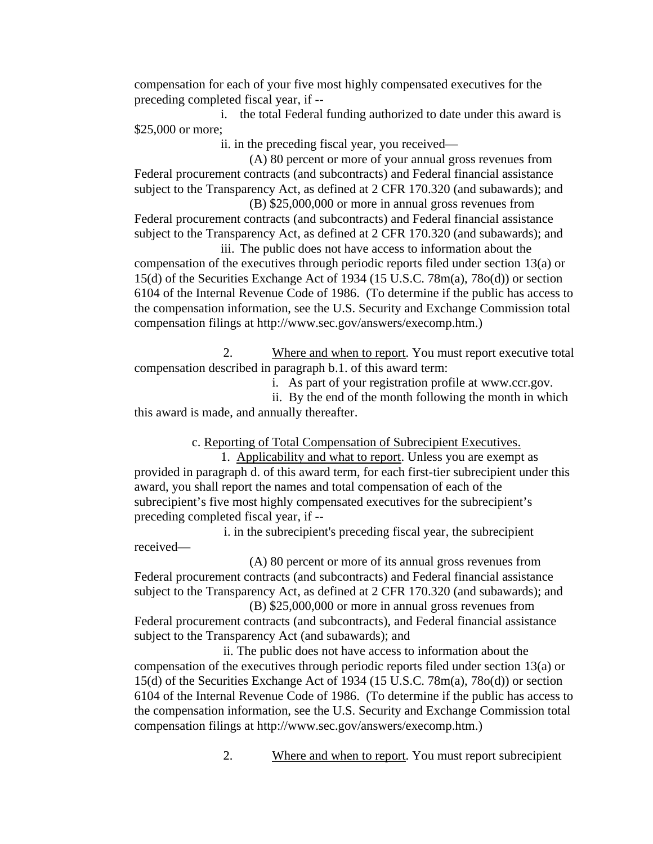compensation for each of your five most highly compensated executives for the preceding completed fiscal year, if --

i. the total Federal funding authorized to date under this award is \$25,000 or more;

ii. in the preceding fiscal year, you received—

(A) 80 percent or more of your annual gross revenues from Federal procurement contracts (and subcontracts) and Federal financial assistance subject to the Transparency Act, as defined at 2 CFR 170.320 (and subawards); and (B) \$25,000,000 or more in annual gross revenues from

Federal procurement contracts (and subcontracts) and Federal financial assistance subject to the Transparency Act, as defined at 2 CFR 170.320 (and subawards); and iii. The public does not have access to information about the

compensation of the executives through periodic reports filed under section 13(a) or 15(d) of the Securities Exchange Act of 1934 (15 U.S.C. 78m(a), 78o(d)) or section 6104 of the Internal Revenue Code of 1986. (To determine if the public has access to the compensation information, see the U.S. Security and Exchange Commission total compensation filings at http://www.sec.gov/answers/execomp.htm.)

2. Where and when to report. You must report executive total compensation described in paragraph b.1. of this award term:

i. As part of your registration profile at www.ccr.gov.

ii. By the end of the month following the month in which this award is made, and annually thereafter.

c. Reporting of Total Compensation of Subrecipient Executives.

1. Applicability and what to report. Unless you are exempt as provided in paragraph d. of this award term, for each first-tier subrecipient under this award, you shall report the names and total compensation of each of the subrecipient's five most highly compensated executives for the subrecipient's preceding completed fiscal year, if --

 i. in the subrecipient's preceding fiscal year, the subrecipient received—

(A) 80 percent or more of its annual gross revenues from Federal procurement contracts (and subcontracts) and Federal financial assistance subject to the Transparency Act, as defined at 2 CFR 170.320 (and subawards); and

(B) \$25,000,000 or more in annual gross revenues from Federal procurement contracts (and subcontracts), and Federal financial assistance subject to the Transparency Act (and subawards); and

ii. The public does not have access to information about the compensation of the executives through periodic reports filed under section 13(a) or 15(d) of the Securities Exchange Act of 1934 (15 U.S.C. 78m(a), 78o(d)) or section 6104 of the Internal Revenue Code of 1986. (To determine if the public has access to the compensation information, see the U.S. Security and Exchange Commission total compensation filings at http://www.sec.gov/answers/execomp.htm.)

2. Where and when to report. You must report subrecipient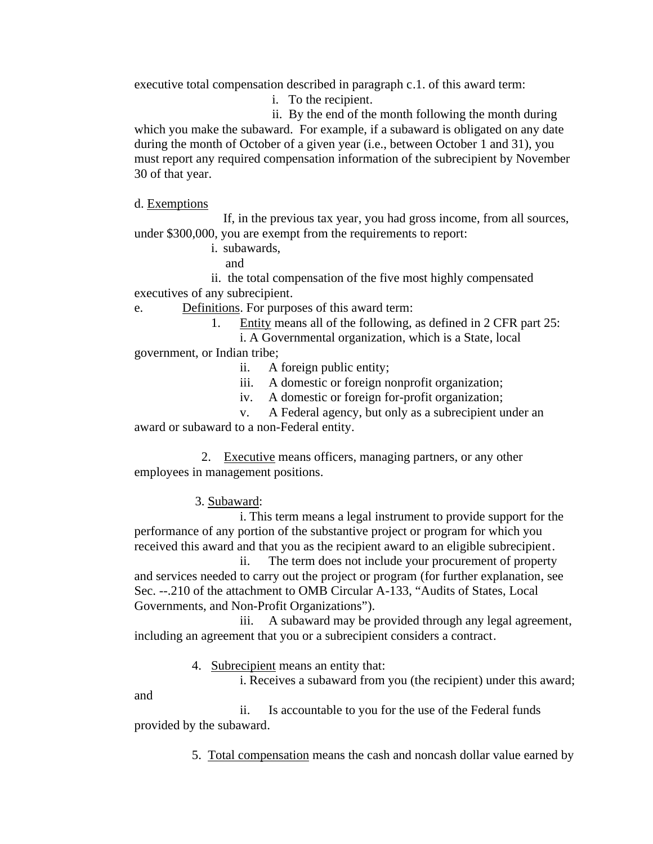executive total compensation described in paragraph c.1. of this award term:

i. To the recipient.

ii. By the end of the month following the month during which you make the subaward. For example, if a subaward is obligated on any date during the month of October of a given year (i.e., between October 1 and 31), you must report any required compensation information of the subrecipient by November 30 of that year.

d. Exemptions

If, in the previous tax year, you had gross income, from all sources, under \$300,000, you are exempt from the requirements to report:

i. subawards,

and

ii. the total compensation of the five most highly compensated executives of any subrecipient.

e. Definitions. For purposes of this award term:

1. Entity means all of the following, as defined in 2 CFR part 25:

i. A Governmental organization, which is a State, local government, or Indian tribe;

- ii. A foreign public entity;
- iii. A domestic or foreign nonprofit organization;
- iv. A domestic or foreign for-profit organization;

v. A Federal agency, but only as a subrecipient under an award or subaward to a non-Federal entity.

 2. Executive means officers, managing partners, or any other employees in management positions.

3. Subaward:

i. This term means a legal instrument to provide support for the performance of any portion of the substantive project or program for which you received this award and that you as the recipient award to an eligible subrecipient.

ii. The term does not include your procurement of property and services needed to carry out the project or program (for further explanation, see Sec. --.210 of the attachment to OMB Circular A-133, "Audits of States, Local Governments, and Non-Profit Organizations").

iii. A subaward may be provided through any legal agreement, including an agreement that you or a subrecipient considers a contract.

4. Subrecipient means an entity that:

i. Receives a subaward from you (the recipient) under this award;

and ii. Is accountable to you for the use of the Federal funds provided by the subaward.

5. Total compensation means the cash and noncash dollar value earned by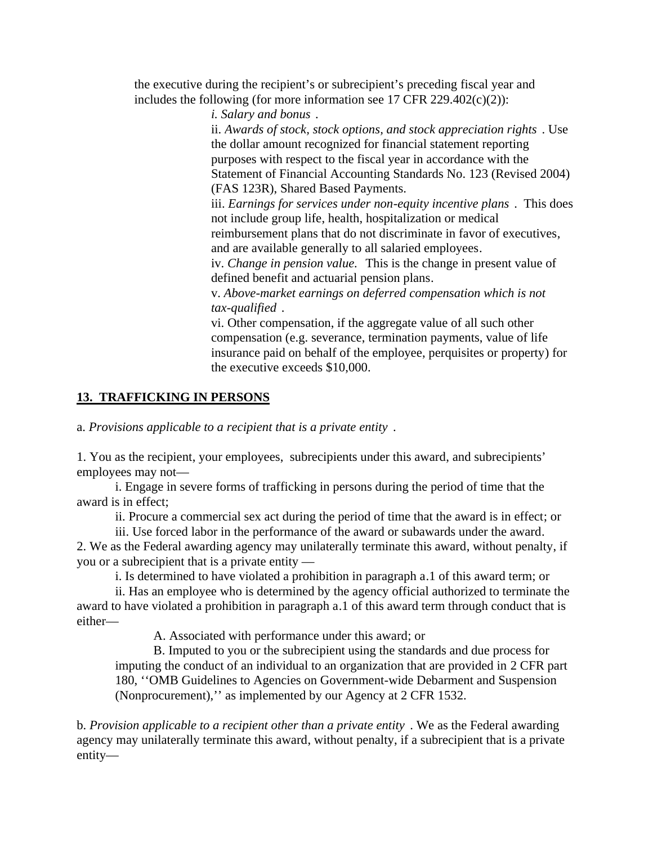the executive during the recipient's or subrecipient's preceding fiscal year and includes the following (for more information see 17 CFR 229.402(c)(2)):

*i. Salary and bonus* .

ii. *Awards of stock, stock options, and stock appreciation rights* . Use the dollar amount recognized for financial statement reporting purposes with respect to the fiscal year in accordance with the Statement of Financial Accounting Standards No. 123 (Revised 2004) (FAS 123R), Shared Based Payments.

iii. *Earnings for services under non-equity incentive plans* . This does not include group life, health, hospitalization or medical reimbursement plans that do not discriminate in favor of executives, and are available generally to all salaried employees.

iv. *Change in pension value.* This is the change in present value of defined benefit and actuarial pension plans.

v. *Above-market earnings on deferred compensation which is not tax-qualified* .

vi. Other compensation, if the aggregate value of all such other compensation (e.g. severance, termination payments, value of life insurance paid on behalf of the employee, perquisites or property) for the executive exceeds \$10,000.

#### **13. TRAFFICKING IN PERSONS**

a. *Provisions applicable to a recipient that is a private entity* .

1. You as the recipient, your employees, subrecipients under this award, and subrecipients' employees may not—

i. Engage in severe forms of trafficking in persons during the period of time that the award is in effect;

ii. Procure a commercial sex act during the period of time that the award is in effect; or

iii. Use forced labor in the performance of the award or subawards under the award. 2. We as the Federal awarding agency may unilaterally terminate this award, without penalty, if you or a subrecipient that is a private entity —

i. Is determined to have violated a prohibition in paragraph a.1 of this award term; or

ii. Has an employee who is determined by the agency official authorized to terminate the award to have violated a prohibition in paragraph a.1 of this award term through conduct that is either—

A. Associated with performance under this award; or

B. Imputed to you or the subrecipient using the standards and due process for imputing the conduct of an individual to an organization that are provided in 2 CFR part 180, ''OMB Guidelines to Agencies on Government-wide Debarment and Suspension (Nonprocurement),'' as implemented by our Agency at 2 CFR 1532.

b. *Provision applicable to a recipient other than a private entity* . We as the Federal awarding agency may unilaterally terminate this award, without penalty, if a subrecipient that is a private entity—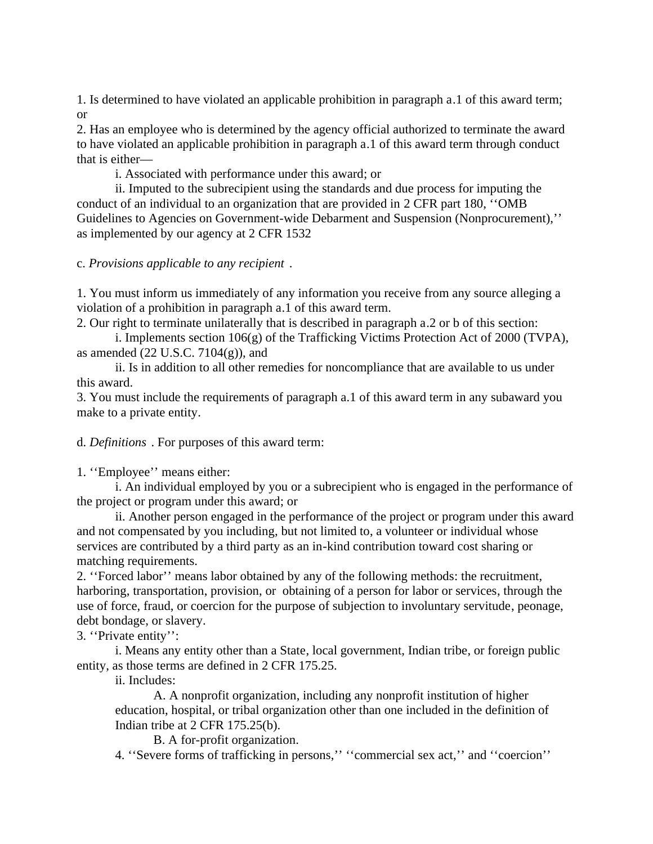1. Is determined to have violated an applicable prohibition in paragraph a.1 of this award term; or

2. Has an employee who is determined by the agency official authorized to terminate the award to have violated an applicable prohibition in paragraph a.1 of this award term through conduct that is either—

i. Associated with performance under this award; or

ii. Imputed to the subrecipient using the standards and due process for imputing the conduct of an individual to an organization that are provided in 2 CFR part 180, ''OMB Guidelines to Agencies on Government-wide Debarment and Suspension (Nonprocurement),'' as implemented by our agency at 2 CFR 1532

c. *Provisions applicable to any recipient* .

1. You must inform us immediately of any information you receive from any source alleging a violation of a prohibition in paragraph a.1 of this award term.

2. Our right to terminate unilaterally that is described in paragraph a.2 or b of this section:

i. Implements section 106(g) of the Trafficking Victims Protection Act of 2000 (TVPA), as amended  $(22 \text{ U.S.C. } 7104(g))$ , and

ii. Is in addition to all other remedies for noncompliance that are available to us under this award.

3. You must include the requirements of paragraph a.1 of this award term in any subaward you make to a private entity.

d. *Definitions* . For purposes of this award term:

1. ''Employee'' means either:

i. An individual employed by you or a subrecipient who is engaged in the performance of the project or program under this award; or

ii. Another person engaged in the performance of the project or program under this award and not compensated by you including, but not limited to, a volunteer or individual whose services are contributed by a third party as an in-kind contribution toward cost sharing or matching requirements.

2. ''Forced labor'' means labor obtained by any of the following methods: the recruitment, harboring, transportation, provision, or obtaining of a person for labor or services, through the use of force, fraud, or coercion for the purpose of subjection to involuntary servitude, peonage, debt bondage, or slavery.

3. ''Private entity'':

i. Means any entity other than a State, local government, Indian tribe, or foreign public entity, as those terms are defined in 2 CFR 175.25.

ii. Includes:

A. A nonprofit organization, including any nonprofit institution of higher education, hospital, or tribal organization other than one included in the definition of Indian tribe at 2 CFR 175.25(b).

B. A for-profit organization.

4. ''Severe forms of trafficking in persons,'' ''commercial sex act,'' and ''coercion''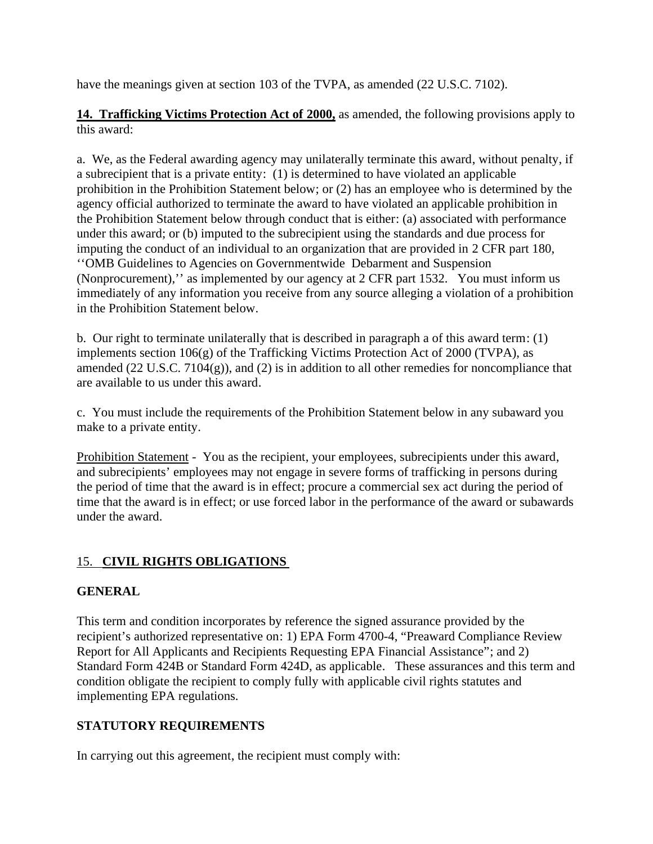have the meanings given at section 103 of the TVPA, as amended (22 U.S.C. 7102).

**14. Trafficking Victims Protection Act of 2000,** as amended, the following provisions apply to this award:

a. We, as the Federal awarding agency may unilaterally terminate this award, without penalty, if a subrecipient that is a private entity: (1) is determined to have violated an applicable prohibition in the Prohibition Statement below; or (2) has an employee who is determined by the agency official authorized to terminate the award to have violated an applicable prohibition in the Prohibition Statement below through conduct that is either: (a) associated with performance under this award; or (b) imputed to the subrecipient using the standards and due process for imputing the conduct of an individual to an organization that are provided in 2 CFR part 180, ''OMB Guidelines to Agencies on Governmentwide Debarment and Suspension (Nonprocurement),'' as implemented by our agency at 2 CFR part 1532. You must inform us immediately of any information you receive from any source alleging a violation of a prohibition in the Prohibition Statement below.

b. Our right to terminate unilaterally that is described in paragraph a of this award term: (1) implements section  $106(g)$  of the Trafficking Victims Protection Act of 2000 (TVPA), as amended (22 U.S.C. 7104(g)), and (2) is in addition to all other remedies for noncompliance that are available to us under this award.

c. You must include the requirements of the Prohibition Statement below in any subaward you make to a private entity.

Prohibition Statement - You as the recipient, your employees, subrecipients under this award, and subrecipients' employees may not engage in severe forms of trafficking in persons during the period of time that the award is in effect; procure a commercial sex act during the period of time that the award is in effect; or use forced labor in the performance of the award or subawards under the award.

## 15. **CIVIL RIGHTS OBLIGATIONS**

## **GENERAL**

This term and condition incorporates by reference the signed assurance provided by the recipient's authorized representative on: 1) EPA Form 4700-4, "Preaward Compliance Review Report for All Applicants and Recipients Requesting EPA Financial Assistance"; and 2) Standard Form 424B or Standard Form 424D, as applicable. These assurances and this term and condition obligate the recipient to comply fully with applicable civil rights statutes and implementing EPA regulations.

## **STATUTORY REQUIREMENTS**

In carrying out this agreement, the recipient must comply with: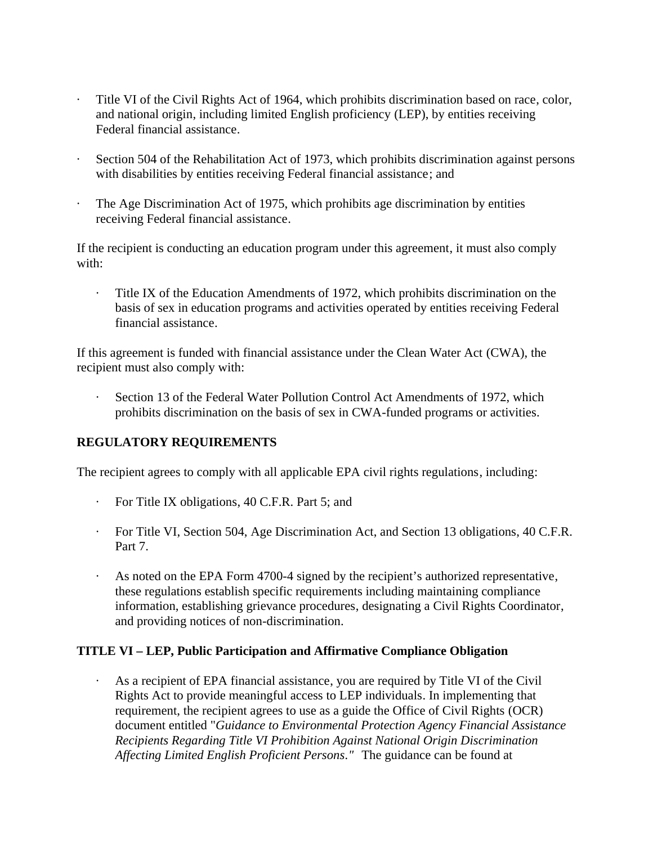- Title VI of the Civil Rights Act of 1964, which prohibits discrimination based on race, color, and national origin, including limited English proficiency (LEP), by entities receiving Federal financial assistance.
- Section 504 of the Rehabilitation Act of 1973, which prohibits discrimination against persons with disabilities by entities receiving Federal financial assistance; and
- The Age Discrimination Act of 1975, which prohibits age discrimination by entities receiving Federal financial assistance.

If the recipient is conducting an education program under this agreement, it must also comply with:

· Title IX of the Education Amendments of 1972, which prohibits discrimination on the basis of sex in education programs and activities operated by entities receiving Federal financial assistance.

If this agreement is funded with financial assistance under the Clean Water Act (CWA), the recipient must also comply with:

Section 13 of the Federal Water Pollution Control Act Amendments of 1972, which prohibits discrimination on the basis of sex in CWA-funded programs or activities.

## **REGULATORY REQUIREMENTS**

The recipient agrees to comply with all applicable EPA civil rights regulations, including:

- · For Title IX obligations, 40 C.F.R. Part 5; and
- · For Title VI, Section 504, Age Discrimination Act, and Section 13 obligations, 40 C.F.R. Part 7.
- · As noted on the EPA Form 4700-4 signed by the recipient's authorized representative, these regulations establish specific requirements including maintaining compliance information, establishing grievance procedures, designating a Civil Rights Coordinator, and providing notices of non-discrimination.

## **TITLE VI – LEP, Public Participation and Affirmative Compliance Obligation**

As a recipient of EPA financial assistance, you are required by Title VI of the Civil Rights Act to provide meaningful access to LEP individuals. In implementing that requirement, the recipient agrees to use as a guide the Office of Civil Rights (OCR) document entitled "*Guidance to Environmental Protection Agency Financial Assistance Recipients Regarding Title VI Prohibition Against National Origin Discrimination Affecting Limited English Proficient Persons."* The guidance can be found at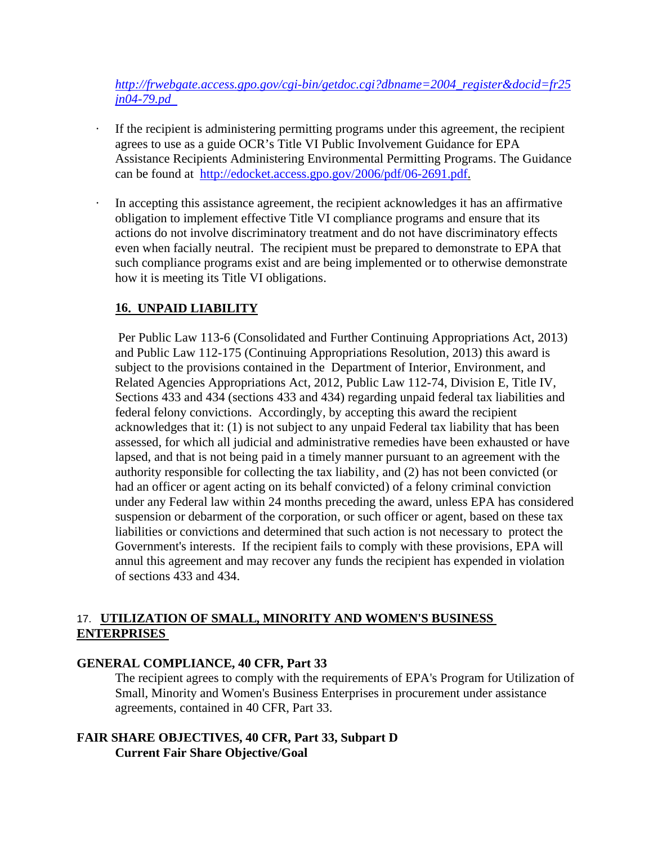*http://frwebgate.access.gpo.gov/cgi-bin/getdoc.cgi?dbname=2004\_register&docid=fr25 jn04-79.pd* 

- If the recipient is administering permitting programs under this agreement, the recipient agrees to use as a guide OCR's Title VI Public Involvement Guidance for EPA Assistance Recipients Administering Environmental Permitting Programs. The Guidance can be found at http://edocket.access.gpo.gov/2006/pdf/06-2691.pdf.
- In accepting this assistance agreement, the recipient acknowledges it has an affirmative obligation to implement effective Title VI compliance programs and ensure that its actions do not involve discriminatory treatment and do not have discriminatory effects even when facially neutral. The recipient must be prepared to demonstrate to EPA that such compliance programs exist and are being implemented or to otherwise demonstrate how it is meeting its Title VI obligations.

## **16. UNPAID LIABILITY**

 Per Public Law 113-6 (Consolidated and Further Continuing Appropriations Act, 2013) and Public Law 112-175 (Continuing Appropriations Resolution, 2013) this award is subject to the provisions contained in the Department of Interior, Environment, and Related Agencies Appropriations Act, 2012, Public Law 112-74, Division E, Title IV, Sections 433 and 434 (sections 433 and 434) regarding unpaid federal tax liabilities and federal felony convictions. Accordingly, by accepting this award the recipient acknowledges that it: (1) is not subject to any unpaid Federal tax liability that has been assessed, for which all judicial and administrative remedies have been exhausted or have lapsed, and that is not being paid in a timely manner pursuant to an agreement with the authority responsible for collecting the tax liability, and (2) has not been convicted (or had an officer or agent acting on its behalf convicted) of a felony criminal conviction under any Federal law within 24 months preceding the award, unless EPA has considered suspension or debarment of the corporation, or such officer or agent, based on these tax liabilities or convictions and determined that such action is not necessary to protect the Government's interests. If the recipient fails to comply with these provisions, EPA will annul this agreement and may recover any funds the recipient has expended in violation of sections 433 and 434.

## 17. **UTILIZATION OF SMALL, MINORITY AND WOMEN'S BUSINESS ENTERPRISES**

## **GENERAL COMPLIANCE, 40 CFR, Part 33**

The recipient agrees to comply with the requirements of EPA's Program for Utilization of Small, Minority and Women's Business Enterprises in procurement under assistance agreements, contained in 40 CFR, Part 33.

## **FAIR SHARE OBJECTIVES, 40 CFR, Part 33, Subpart D Current Fair Share Objective/Goal**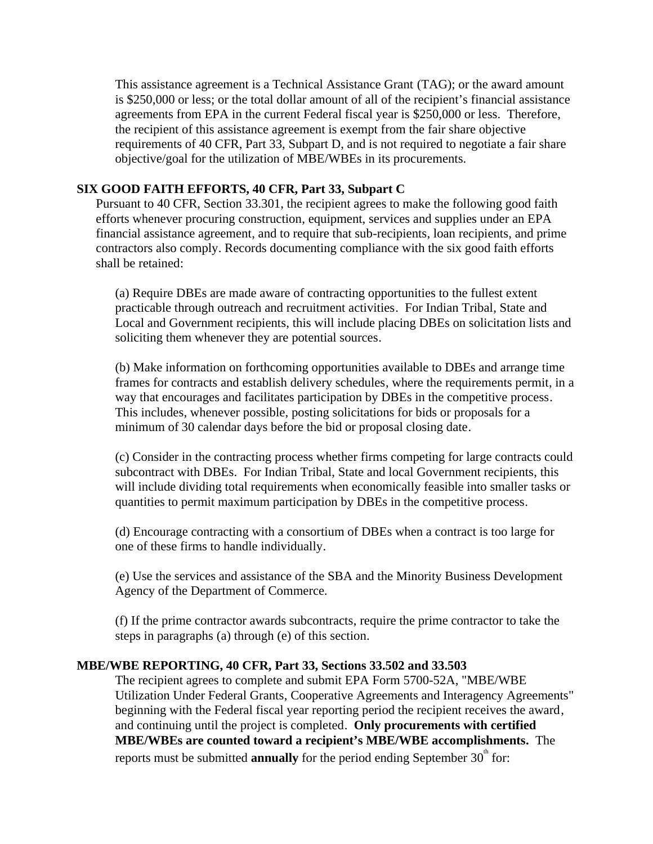This assistance agreement is a Technical Assistance Grant (TAG); or the award amount is \$250,000 or less; or the total dollar amount of all of the recipient's financial assistance agreements from EPA in the current Federal fiscal year is \$250,000 or less. Therefore, the recipient of this assistance agreement is exempt from the fair share objective requirements of 40 CFR, Part 33, Subpart D, and is not required to negotiate a fair share objective/goal for the utilization of MBE/WBEs in its procurements.

#### **SIX GOOD FAITH EFFORTS, 40 CFR, Part 33, Subpart C**

Pursuant to 40 CFR, Section 33.301, the recipient agrees to make the following good faith efforts whenever procuring construction, equipment, services and supplies under an EPA financial assistance agreement, and to require that sub-recipients, loan recipients, and prime contractors also comply. Records documenting compliance with the six good faith efforts shall be retained:

(a) Require DBEs are made aware of contracting opportunities to the fullest extent practicable through outreach and recruitment activities. For Indian Tribal, State and Local and Government recipients, this will include placing DBEs on solicitation lists and soliciting them whenever they are potential sources.

(b) Make information on forthcoming opportunities available to DBEs and arrange time frames for contracts and establish delivery schedules, where the requirements permit, in a way that encourages and facilitates participation by DBEs in the competitive process. This includes, whenever possible, posting solicitations for bids or proposals for a minimum of 30 calendar days before the bid or proposal closing date.

(c) Consider in the contracting process whether firms competing for large contracts could subcontract with DBEs. For Indian Tribal, State and local Government recipients, this will include dividing total requirements when economically feasible into smaller tasks or quantities to permit maximum participation by DBEs in the competitive process.

(d) Encourage contracting with a consortium of DBEs when a contract is too large for one of these firms to handle individually.

(e) Use the services and assistance of the SBA and the Minority Business Development Agency of the Department of Commerce.

(f) If the prime contractor awards subcontracts, require the prime contractor to take the steps in paragraphs (a) through (e) of this section.

#### **MBE/WBE REPORTING, 40 CFR, Part 33, Sections 33.502 and 33.503**

The recipient agrees to complete and submit EPA Form 5700-52A, "MBE/WBE Utilization Under Federal Grants, Cooperative Agreements and Interagency Agreements" beginning with the Federal fiscal year reporting period the recipient receives the award, and continuing until the project is completed. **Only procurements with certified MBE/WBEs are counted toward a recipient's MBE/WBE accomplishments.** The reports must be submitted **annually** for the period ending September  $30<sup>th</sup>$  for: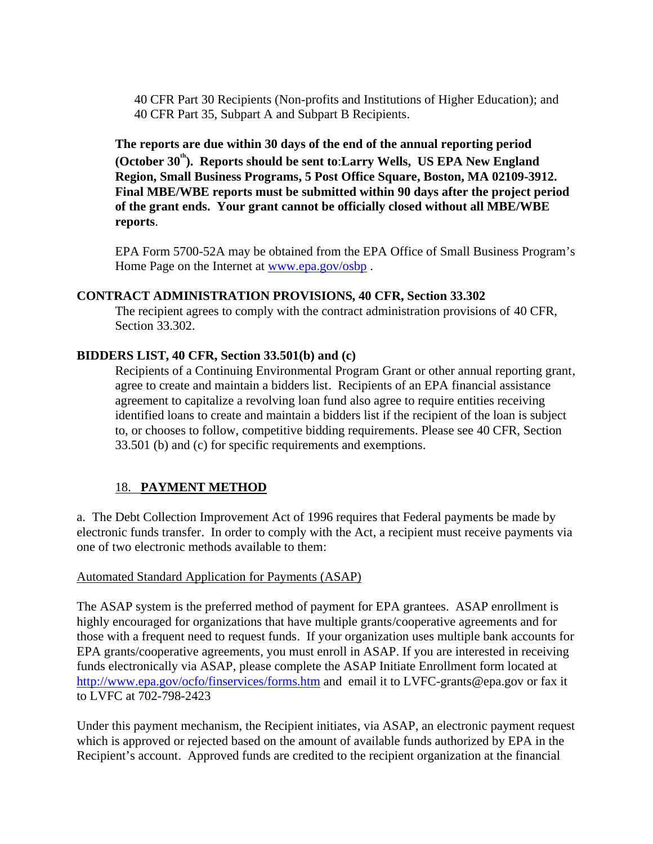40 CFR Part 30 Recipients (Non-profits and Institutions of Higher Education); and 40 CFR Part 35, Subpart A and Subpart B Recipients.

**The reports are due within 30 days of the end of the annual reporting period**  (October 30<sup>th</sup>). Reports should be sent to:Larry Wells, US EPA New England **Region, Small Business Programs, 5 Post Office Square, Boston, MA 02109-3912. Final MBE/WBE reports must be submitted within 90 days after the project period of the grant ends. Your grant cannot be officially closed without all MBE/WBE reports**.

EPA Form 5700-52A may be obtained from the EPA Office of Small Business Program's Home Page on the Internet at www.epa.gov/osbp.

#### **CONTRACT ADMINISTRATION PROVISIONS, 40 CFR, Section 33.302**

The recipient agrees to comply with the contract administration provisions of 40 CFR, Section 33.302.

#### **BIDDERS LIST, 40 CFR, Section 33.501(b) and (c)**

Recipients of a Continuing Environmental Program Grant or other annual reporting grant, agree to create and maintain a bidders list. Recipients of an EPA financial assistance agreement to capitalize a revolving loan fund also agree to require entities receiving identified loans to create and maintain a bidders list if the recipient of the loan is subject to, or chooses to follow, competitive bidding requirements. Please see 40 CFR, Section 33.501 (b) and (c) for specific requirements and exemptions.

## 18. **PAYMENT METHOD**

a. The Debt Collection Improvement Act of 1996 requires that Federal payments be made by electronic funds transfer. In order to comply with the Act, a recipient must receive payments via one of two electronic methods available to them:

#### Automated Standard Application for Payments (ASAP)

The ASAP system is the preferred method of payment for EPA grantees. ASAP enrollment is highly encouraged for organizations that have multiple grants/cooperative agreements and for those with a frequent need to request funds. If your organization uses multiple bank accounts for EPA grants/cooperative agreements, you must enroll in ASAP. If you are interested in receiving funds electronically via ASAP, please complete the ASAP Initiate Enrollment form located at http://www.epa.gov/ocfo/finservices/forms.htm and email it to LVFC-grants@epa.gov or fax it to LVFC at 702-798-2423

Under this payment mechanism, the Recipient initiates, via ASAP, an electronic payment request which is approved or rejected based on the amount of available funds authorized by EPA in the Recipient's account. Approved funds are credited to the recipient organization at the financial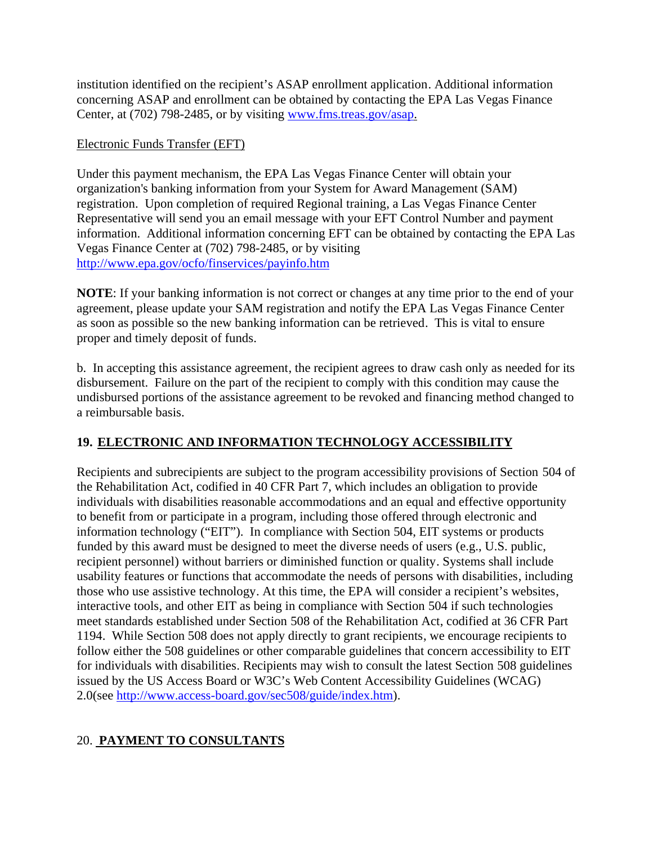institution identified on the recipient's ASAP enrollment application. Additional information concerning ASAP and enrollment can be obtained by contacting the EPA Las Vegas Finance Center, at (702) 798-2485, or by visiting www.fms.treas.gov/asap.

## Electronic Funds Transfer (EFT)

Under this payment mechanism, the EPA Las Vegas Finance Center will obtain your organization's banking information from your System for Award Management (SAM) registration. Upon completion of required Regional training, a Las Vegas Finance Center Representative will send you an email message with your EFT Control Number and payment information. Additional information concerning EFT can be obtained by contacting the EPA Las Vegas Finance Center at (702) 798-2485, or by visiting http://www.epa.gov/ocfo/finservices/payinfo.htm

**NOTE**: If your banking information is not correct or changes at any time prior to the end of your agreement, please update your SAM registration and notify the EPA Las Vegas Finance Center as soon as possible so the new banking information can be retrieved. This is vital to ensure proper and timely deposit of funds.

b. In accepting this assistance agreement, the recipient agrees to draw cash only as needed for its disbursement. Failure on the part of the recipient to comply with this condition may cause the undisbursed portions of the assistance agreement to be revoked and financing method changed to a reimbursable basis.

## **19. ELECTRONIC AND INFORMATION TECHNOLOGY ACCESSIBILITY**

Recipients and subrecipients are subject to the program accessibility provisions of Section 504 of the Rehabilitation Act, codified in 40 CFR Part 7, which includes an obligation to provide individuals with disabilities reasonable accommodations and an equal and effective opportunity to benefit from or participate in a program, including those offered through electronic and information technology ("EIT"). In compliance with Section 504, EIT systems or products funded by this award must be designed to meet the diverse needs of users (e.g., U.S. public, recipient personnel) without barriers or diminished function or quality. Systems shall include usability features or functions that accommodate the needs of persons with disabilities, including those who use assistive technology. At this time, the EPA will consider a recipient's websites, interactive tools, and other EIT as being in compliance with Section 504 if such technologies meet standards established under Section 508 of the Rehabilitation Act, codified at 36 CFR Part 1194. While Section 508 does not apply directly to grant recipients, we encourage recipients to follow either the 508 guidelines or other comparable guidelines that concern accessibility to EIT for individuals with disabilities. Recipients may wish to consult the latest Section 508 guidelines issued by the US Access Board or W3C's Web Content Accessibility Guidelines (WCAG) 2.0(see http://www.access-board.gov/sec508/guide/index.htm).

## 20. **PAYMENT TO CONSULTANTS**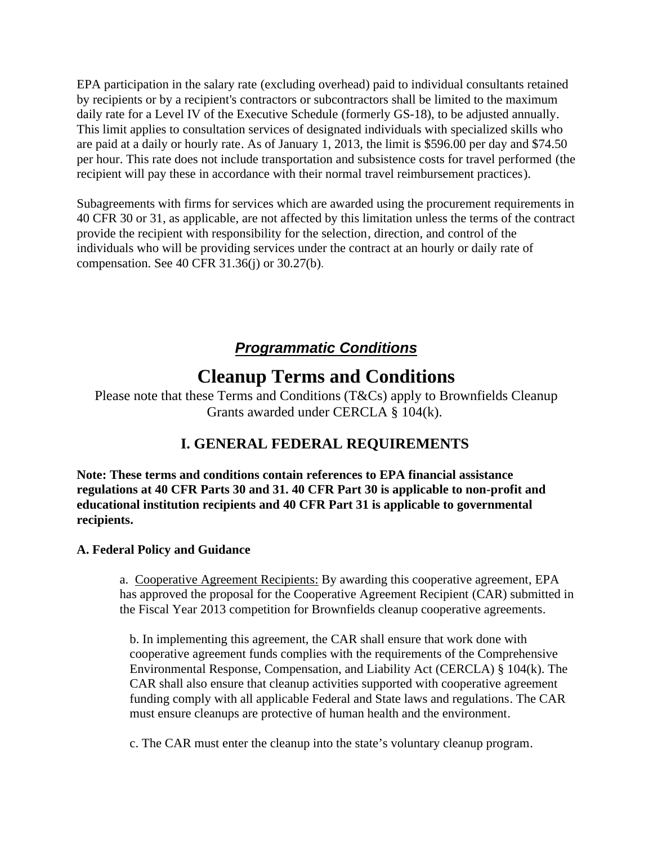EPA participation in the salary rate (excluding overhead) paid to individual consultants retained by recipients or by a recipient's contractors or subcontractors shall be limited to the maximum daily rate for a Level IV of the Executive Schedule (formerly GS-18), to be adjusted annually. This limit applies to consultation services of designated individuals with specialized skills who are paid at a daily or hourly rate. As of January 1, 2013, the limit is \$596.00 per day and \$74.50 per hour. This rate does not include transportation and subsistence costs for travel performed (the recipient will pay these in accordance with their normal travel reimbursement practices).

Subagreements with firms for services which are awarded using the procurement requirements in 40 CFR 30 or 31, as applicable, are not affected by this limitation unless the terms of the contract provide the recipient with responsibility for the selection, direction, and control of the individuals who will be providing services under the contract at an hourly or daily rate of compensation. See 40 CFR 31.36(j) or 30.27(b).

# *Programmatic Conditions*

# **Cleanup Terms and Conditions**

Please note that these Terms and Conditions (T&Cs) apply to Brownfields Cleanup Grants awarded under CERCLA § 104(k).

## **I. GENERAL FEDERAL REQUIREMENTS**

**Note: These terms and conditions contain references to EPA financial assistance regulations at 40 CFR Parts 30 and 31. 40 CFR Part 30 is applicable to non-profit and educational institution recipients and 40 CFR Part 31 is applicable to governmental recipients.**

## **A. Federal Policy and Guidance**

a. Cooperative Agreement Recipients: By awarding this cooperative agreement, EPA has approved the proposal for the Cooperative Agreement Recipient (CAR) submitted in the Fiscal Year 2013 competition for Brownfields cleanup cooperative agreements.

b. In implementing this agreement, the CAR shall ensure that work done with cooperative agreement funds complies with the requirements of the Comprehensive Environmental Response, Compensation, and Liability Act (CERCLA) § 104(k). The CAR shall also ensure that cleanup activities supported with cooperative agreement funding comply with all applicable Federal and State laws and regulations. The CAR must ensure cleanups are protective of human health and the environment.

c. The CAR must enter the cleanup into the state's voluntary cleanup program.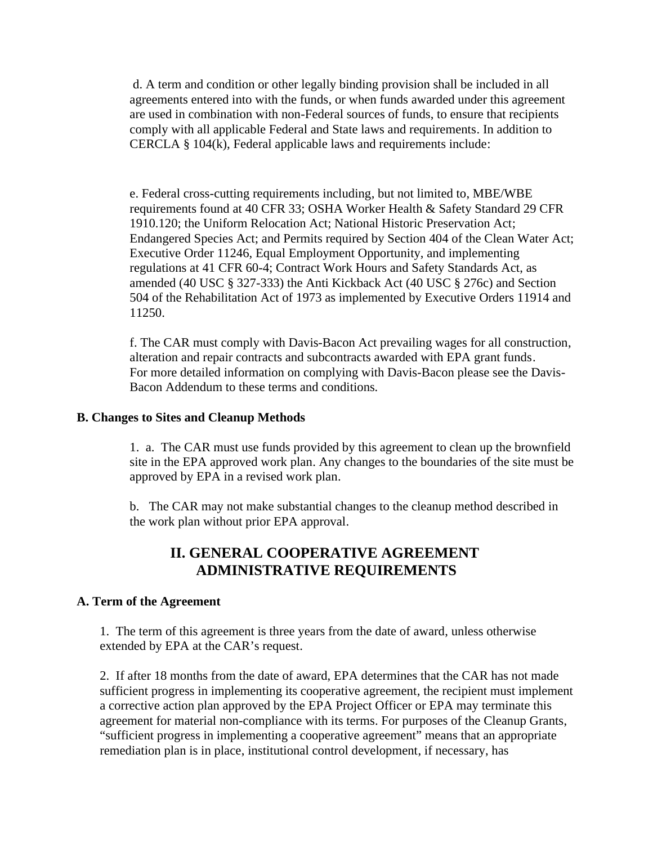d. A term and condition or other legally binding provision shall be included in all agreements entered into with the funds, or when funds awarded under this agreement are used in combination with non-Federal sources of funds, to ensure that recipients comply with all applicable Federal and State laws and requirements. In addition to CERCLA § 104(k), Federal applicable laws and requirements include:

e. Federal cross-cutting requirements including, but not limited to, MBE/WBE requirements found at 40 CFR 33; OSHA Worker Health & Safety Standard 29 CFR 1910.120; the Uniform Relocation Act; National Historic Preservation Act; Endangered Species Act; and Permits required by Section 404 of the Clean Water Act; Executive Order 11246, Equal Employment Opportunity, and implementing regulations at 41 CFR 60-4; Contract Work Hours and Safety Standards Act, as amended (40 USC § 327-333) the Anti Kickback Act (40 USC § 276c) and Section 504 of the Rehabilitation Act of 1973 as implemented by Executive Orders 11914 and 11250.

f. The CAR must comply with Davis-Bacon Act prevailing wages for all construction, alteration and repair contracts and subcontracts awarded with EPA grant funds. For more detailed information on complying with Davis-Bacon please see the Davis-Bacon Addendum to these terms and conditions*.* 

#### **B. Changes to Sites and Cleanup Methods**

1. a. The CAR must use funds provided by this agreement to clean up the brownfield site in the EPA approved work plan. Any changes to the boundaries of the site must be approved by EPA in a revised work plan.

b. The CAR may not make substantial changes to the cleanup method described in the work plan without prior EPA approval.

## **II. GENERAL COOPERATIVE AGREEMENT ADMINISTRATIVE REQUIREMENTS**

#### **A. Term of the Agreement**

1. The term of this agreement is three years from the date of award, unless otherwise extended by EPA at the CAR's request.

2. If after 18 months from the date of award, EPA determines that the CAR has not made sufficient progress in implementing its cooperative agreement, the recipient must implement a corrective action plan approved by the EPA Project Officer or EPA may terminate this agreement for material non-compliance with its terms. For purposes of the Cleanup Grants, "sufficient progress in implementing a cooperative agreement" means that an appropriate remediation plan is in place, institutional control development, if necessary, has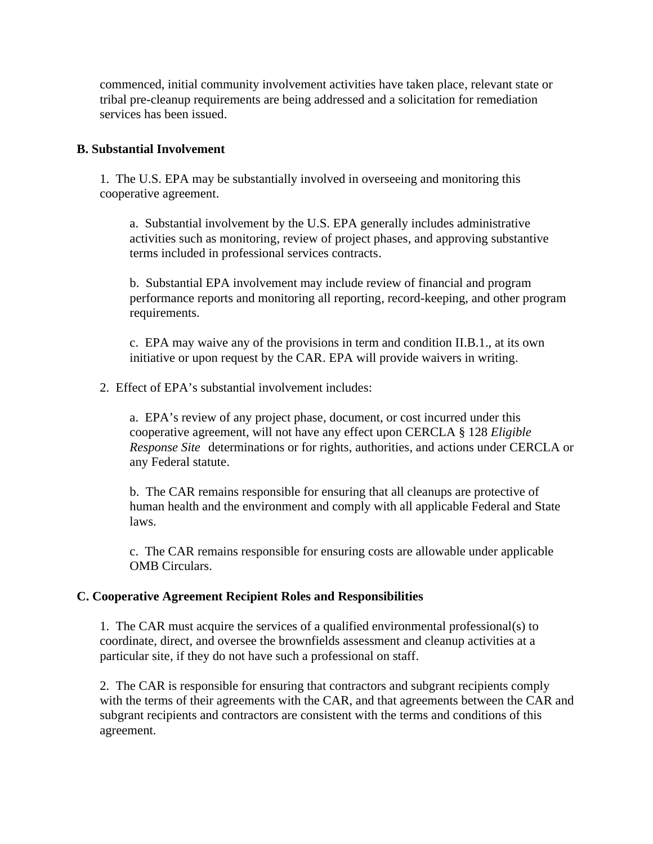commenced, initial community involvement activities have taken place, relevant state or tribal pre-cleanup requirements are being addressed and a solicitation for remediation services has been issued.

#### **B. Substantial Involvement**

1. The U.S. EPA may be substantially involved in overseeing and monitoring this cooperative agreement.

a. Substantial involvement by the U.S. EPA generally includes administrative activities such as monitoring, review of project phases, and approving substantive terms included in professional services contracts.

b. Substantial EPA involvement may include review of financial and program performance reports and monitoring all reporting, record-keeping, and other program requirements.

c. EPA may waive any of the provisions in term and condition II.B.1., at its own initiative or upon request by the CAR. EPA will provide waivers in writing.

2. Effect of EPA's substantial involvement includes:

a. EPA's review of any project phase, document, or cost incurred under this cooperative agreement, will not have any effect upon CERCLA § 128 *Eligible Response Site* determinations or for rights, authorities, and actions under CERCLA or any Federal statute.

b. The CAR remains responsible for ensuring that all cleanups are protective of human health and the environment and comply with all applicable Federal and State laws.

c. The CAR remains responsible for ensuring costs are allowable under applicable OMB Circulars.

#### **C. Cooperative Agreement Recipient Roles and Responsibilities**

1. The CAR must acquire the services of a qualified environmental professional(s) to coordinate, direct, and oversee the brownfields assessment and cleanup activities at a particular site, if they do not have such a professional on staff.

2. The CAR is responsible for ensuring that contractors and subgrant recipients comply with the terms of their agreements with the CAR, and that agreements between the CAR and subgrant recipients and contractors are consistent with the terms and conditions of this agreement.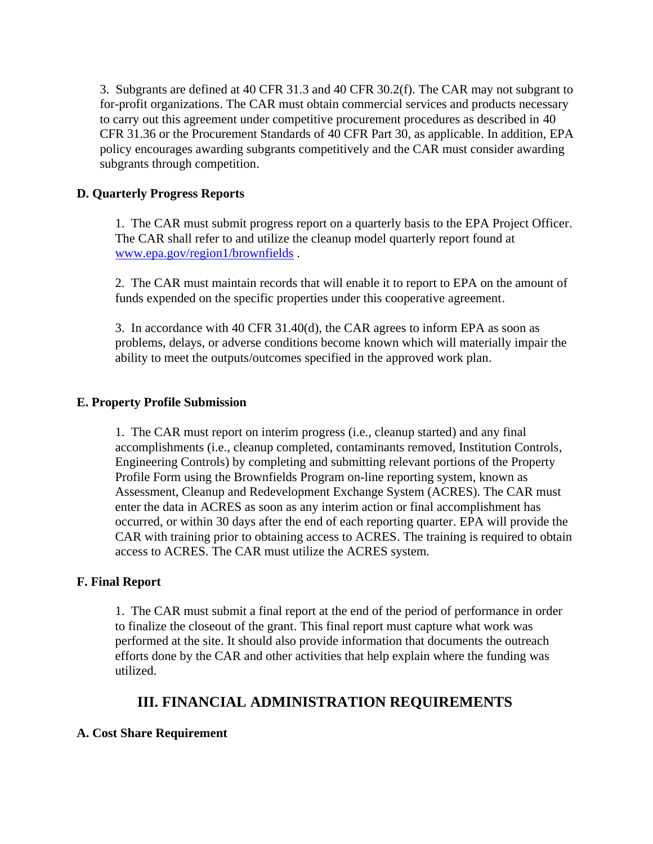3. Subgrants are defined at 40 CFR 31.3 and 40 CFR 30.2(f). The CAR may not subgrant to for-profit organizations. The CAR must obtain commercial services and products necessary to carry out this agreement under competitive procurement procedures as described in 40 CFR 31.36 or the Procurement Standards of 40 CFR Part 30, as applicable. In addition, EPA policy encourages awarding subgrants competitively and the CAR must consider awarding subgrants through competition.

#### **D. Quarterly Progress Reports**

1. The CAR must submit progress report on a quarterly basis to the EPA Project Officer. The CAR shall refer to and utilize the cleanup model quarterly report found at www.epa.gov/region1/brownfields .

2. The CAR must maintain records that will enable it to report to EPA on the amount of funds expended on the specific properties under this cooperative agreement.

3. In accordance with 40 CFR 31.40(d), the CAR agrees to inform EPA as soon as problems, delays, or adverse conditions become known which will materially impair the ability to meet the outputs/outcomes specified in the approved work plan.

#### **E. Property Profile Submission**

1. The CAR must report on interim progress (i.e., cleanup started) and any final accomplishments (i.e., cleanup completed, contaminants removed, Institution Controls, Engineering Controls) by completing and submitting relevant portions of the Property Profile Form using the Brownfields Program on-line reporting system, known as Assessment, Cleanup and Redevelopment Exchange System (ACRES). The CAR must enter the data in ACRES as soon as any interim action or final accomplishment has occurred, or within 30 days after the end of each reporting quarter. EPA will provide the CAR with training prior to obtaining access to ACRES. The training is required to obtain access to ACRES. The CAR must utilize the ACRES system.

#### **F. Final Report**

1. The CAR must submit a final report at the end of the period of performance in order to finalize the closeout of the grant. This final report must capture what work was performed at the site. It should also provide information that documents the outreach efforts done by the CAR and other activities that help explain where the funding was utilized.

## **III. FINANCIAL ADMINISTRATION REQUIREMENTS**

#### **A. Cost Share Requirement**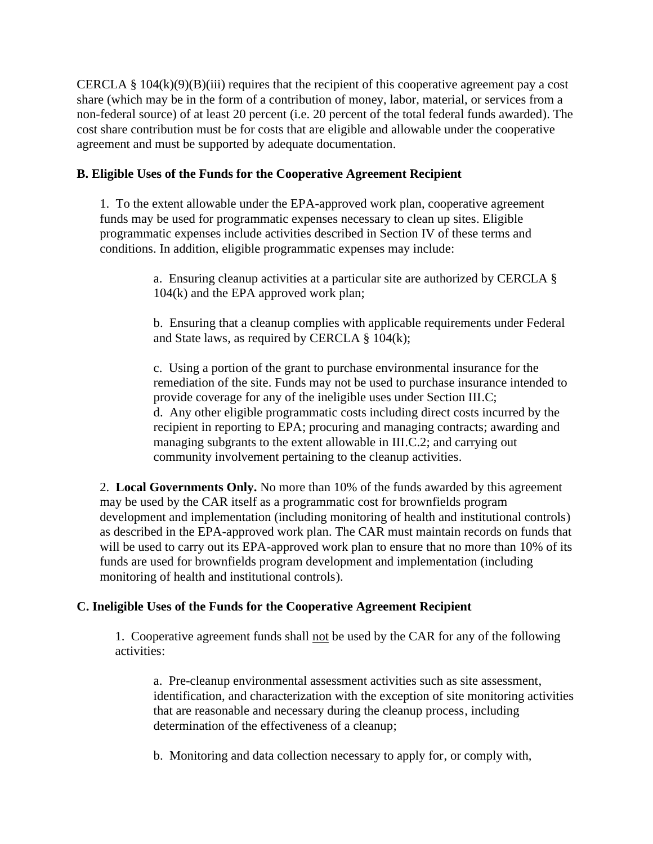CERCLA §  $104(k)(9)(B)(iii)$  requires that the recipient of this cooperative agreement pay a cost share (which may be in the form of a contribution of money, labor, material, or services from a non-federal source) of at least 20 percent (i.e. 20 percent of the total federal funds awarded). The cost share contribution must be for costs that are eligible and allowable under the cooperative agreement and must be supported by adequate documentation.

#### **B. Eligible Uses of the Funds for the Cooperative Agreement Recipient**

1. To the extent allowable under the EPA-approved work plan, cooperative agreement funds may be used for programmatic expenses necessary to clean up sites. Eligible programmatic expenses include activities described in Section IV of these terms and conditions. In addition, eligible programmatic expenses may include:

> a. Ensuring cleanup activities at a particular site are authorized by CERCLA § 104(k) and the EPA approved work plan;

b. Ensuring that a cleanup complies with applicable requirements under Federal and State laws, as required by CERCLA § 104(k);

c. Using a portion of the grant to purchase environmental insurance for the remediation of the site. Funds may not be used to purchase insurance intended to provide coverage for any of the ineligible uses under Section III.C; d. Any other eligible programmatic costs including direct costs incurred by the recipient in reporting to EPA; procuring and managing contracts; awarding and managing subgrants to the extent allowable in III.C.2; and carrying out community involvement pertaining to the cleanup activities.

2. **Local Governments Only.** No more than 10% of the funds awarded by this agreement may be used by the CAR itself as a programmatic cost for brownfields program development and implementation (including monitoring of health and institutional controls) as described in the EPA-approved work plan. The CAR must maintain records on funds that will be used to carry out its EPA-approved work plan to ensure that no more than 10% of its funds are used for brownfields program development and implementation (including monitoring of health and institutional controls).

## **C. Ineligible Uses of the Funds for the Cooperative Agreement Recipient**

1. Cooperative agreement funds shall not be used by the CAR for any of the following activities:

a. Pre-cleanup environmental assessment activities such as site assessment, identification, and characterization with the exception of site monitoring activities that are reasonable and necessary during the cleanup process, including determination of the effectiveness of a cleanup;

b. Monitoring and data collection necessary to apply for, or comply with,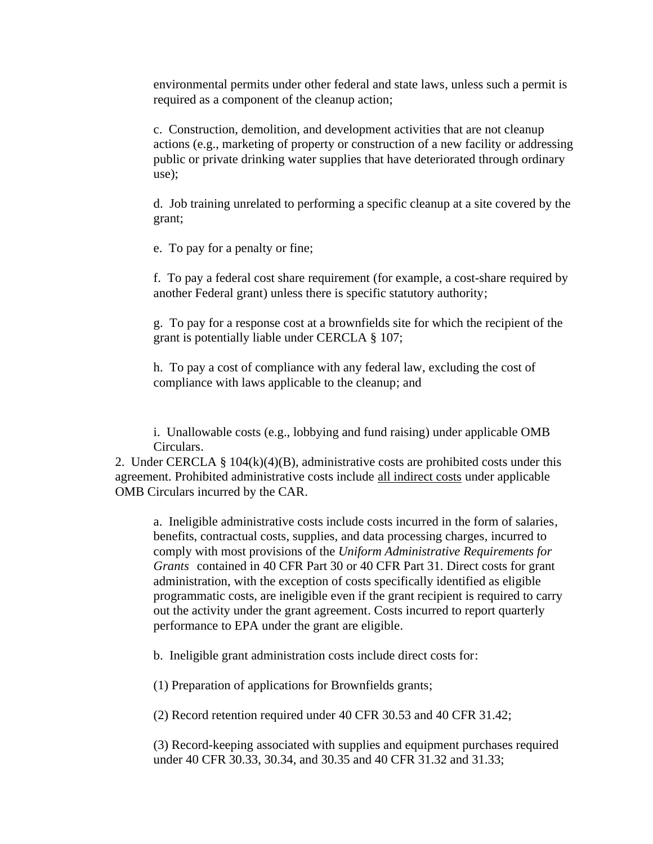environmental permits under other federal and state laws, unless such a permit is required as a component of the cleanup action;

c. Construction, demolition, and development activities that are not cleanup actions (e.g., marketing of property or construction of a new facility or addressing public or private drinking water supplies that have deteriorated through ordinary use);

d. Job training unrelated to performing a specific cleanup at a site covered by the grant;

e. To pay for a penalty or fine;

f. To pay a federal cost share requirement (for example, a cost-share required by another Federal grant) unless there is specific statutory authority;

g. To pay for a response cost at a brownfields site for which the recipient of the grant is potentially liable under CERCLA § 107;

h. To pay a cost of compliance with any federal law, excluding the cost of compliance with laws applicable to the cleanup; and

i. Unallowable costs (e.g., lobbying and fund raising) under applicable OMB Circulars.

2. Under CERCLA §  $104(k)(4)(B)$ , administrative costs are prohibited costs under this agreement. Prohibited administrative costs include all indirect costs under applicable OMB Circulars incurred by the CAR.

a. Ineligible administrative costs include costs incurred in the form of salaries, benefits, contractual costs, supplies, and data processing charges, incurred to comply with most provisions of the *Uniform Administrative Requirements for Grants* contained in 40 CFR Part 30 or 40 CFR Part 31. Direct costs for grant administration, with the exception of costs specifically identified as eligible programmatic costs, are ineligible even if the grant recipient is required to carry out the activity under the grant agreement. Costs incurred to report quarterly performance to EPA under the grant are eligible.

b. Ineligible grant administration costs include direct costs for:

(1) Preparation of applications for Brownfields grants;

(2) Record retention required under 40 CFR 30.53 and 40 CFR 31.42;

(3) Record-keeping associated with supplies and equipment purchases required under 40 CFR 30.33, 30.34, and 30.35 and 40 CFR 31.32 and 31.33;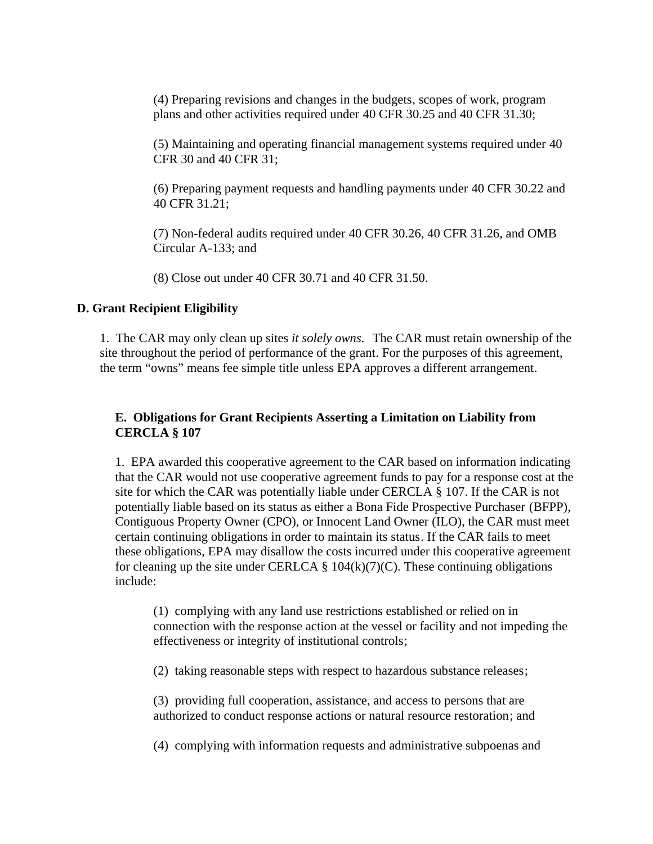(4) Preparing revisions and changes in the budgets, scopes of work, program plans and other activities required under 40 CFR 30.25 and 40 CFR 31.30;

(5) Maintaining and operating financial management systems required under 40 CFR 30 and 40 CFR 31;

(6) Preparing payment requests and handling payments under 40 CFR 30.22 and 40 CFR 31.21;

(7) Non-federal audits required under 40 CFR 30.26, 40 CFR 31.26, and OMB Circular A-133; and

(8) Close out under 40 CFR 30.71 and 40 CFR 31.50.

#### **D. Grant Recipient Eligibility**

1. The CAR may only clean up sites *it solely owns.* The CAR must retain ownership of the site throughout the period of performance of the grant. For the purposes of this agreement, the term "owns" means fee simple title unless EPA approves a different arrangement.

#### **E. Obligations for Grant Recipients Asserting a Limitation on Liability from CERCLA § 107**

1. EPA awarded this cooperative agreement to the CAR based on information indicating that the CAR would not use cooperative agreement funds to pay for a response cost at the site for which the CAR was potentially liable under CERCLA § 107. If the CAR is not potentially liable based on its status as either a Bona Fide Prospective Purchaser (BFPP), Contiguous Property Owner (CPO), or Innocent Land Owner (ILO), the CAR must meet certain continuing obligations in order to maintain its status. If the CAR fails to meet these obligations, EPA may disallow the costs incurred under this cooperative agreement for cleaning up the site under CERLCA  $\S$  104(k)(7)(C). These continuing obligations include:

(1) complying with any land use restrictions established or relied on in connection with the response action at the vessel or facility and not impeding the effectiveness or integrity of institutional controls;

(2) taking reasonable steps with respect to hazardous substance releases;

(3) providing full cooperation, assistance, and access to persons that are authorized to conduct response actions or natural resource restoration; and

(4) complying with information requests and administrative subpoenas and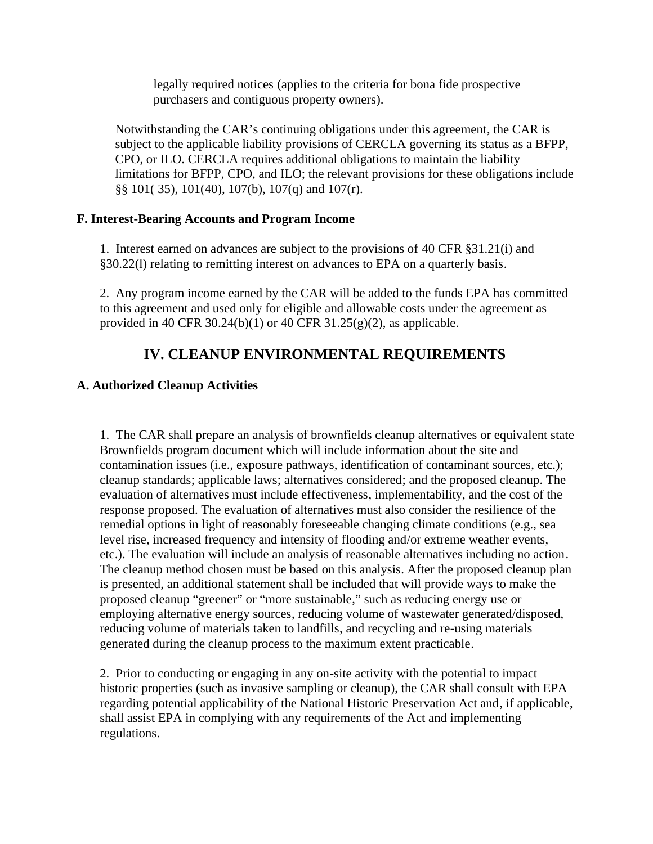legally required notices (applies to the criteria for bona fide prospective purchasers and contiguous property owners).

Notwithstanding the CAR's continuing obligations under this agreement, the CAR is subject to the applicable liability provisions of CERCLA governing its status as a BFPP, CPO, or ILO. CERCLA requires additional obligations to maintain the liability limitations for BFPP, CPO, and ILO; the relevant provisions for these obligations include §§ 101( 35), 101(40), 107(b), 107(q) and 107(r).

#### **F. Interest-Bearing Accounts and Program Income**

1. Interest earned on advances are subject to the provisions of 40 CFR §31.21(i) and §30.22(l) relating to remitting interest on advances to EPA on a quarterly basis.

2. Any program income earned by the CAR will be added to the funds EPA has committed to this agreement and used only for eligible and allowable costs under the agreement as provided in 40 CFR 30.24(b)(1) or 40 CFR  $31.25(g)(2)$ , as applicable.

## **IV. CLEANUP ENVIRONMENTAL REQUIREMENTS**

## **A. Authorized Cleanup Activities**

1. The CAR shall prepare an analysis of brownfields cleanup alternatives or equivalent state Brownfields program document which will include information about the site and contamination issues (i.e., exposure pathways, identification of contaminant sources, etc.); cleanup standards; applicable laws; alternatives considered; and the proposed cleanup. The evaluation of alternatives must include effectiveness, implementability, and the cost of the response proposed. The evaluation of alternatives must also consider the resilience of the remedial options in light of reasonably foreseeable changing climate conditions (e.g., sea level rise, increased frequency and intensity of flooding and/or extreme weather events, etc.). The evaluation will include an analysis of reasonable alternatives including no action. The cleanup method chosen must be based on this analysis. After the proposed cleanup plan is presented, an additional statement shall be included that will provide ways to make the proposed cleanup "greener" or "more sustainable," such as reducing energy use or employing alternative energy sources, reducing volume of wastewater generated/disposed, reducing volume of materials taken to landfills, and recycling and re-using materials generated during the cleanup process to the maximum extent practicable.

2. Prior to conducting or engaging in any on-site activity with the potential to impact historic properties (such as invasive sampling or cleanup), the CAR shall consult with EPA regarding potential applicability of the National Historic Preservation Act and, if applicable, shall assist EPA in complying with any requirements of the Act and implementing regulations.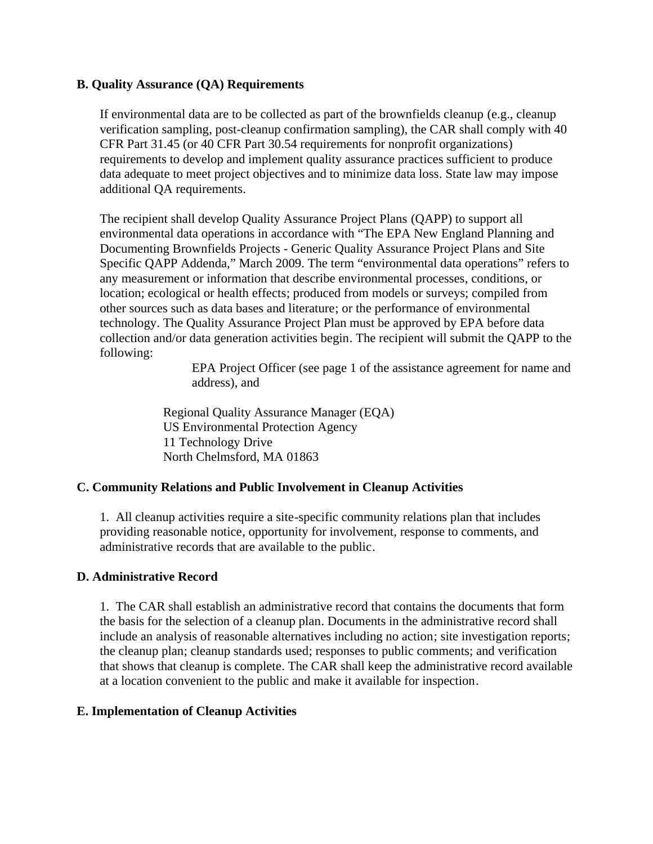#### **B. Quality Assurance (QA) Requirements**

If environmental data are to be collected as part of the brownfields cleanup (e.g., cleanup verification sampling, post-cleanup confirmation sampling), the CAR shall comply with 40 CFR Part 31.45 (or 40 CFR Part 30.54 requirements for nonprofit organizations) requirements to develop and implement quality assurance practices sufficient to produce data adequate to meet project objectives and to minimize data loss. State law may impose additional QA requirements.

The recipient shall develop Quality Assurance Project Plans (QAPP) to support all environmental data operations in accordance with "The EPA New England Planning and Documenting Brownfields Projects - Generic Quality Assurance Project Plans and Site Specific QAPP Addenda," March 2009. The term "environmental data operations" refers to any measurement or information that describe environmental processes, conditions, or location; ecological or health effects; produced from models or surveys; compiled from other sources such as data bases and literature; or the performance of environmental technology. The Quality Assurance Project Plan must be approved by EPA before data collection and/or data generation activities begin. The recipient will submit the QAPP to the following:

> EPA Project Officer (see page 1 of the assistance agreement for name and address), and

 Regional Quality Assurance Manager (EQA) US Environmental Protection Agency 11 Technology Drive North Chelmsford, MA 01863

## **C. Community Relations and Public Involvement in Cleanup Activities**

1. All cleanup activities require a site-specific community relations plan that includes providing reasonable notice, opportunity for involvement, response to comments, and administrative records that are available to the public.

## **D. Administrative Record**

1. The CAR shall establish an administrative record that contains the documents that form the basis for the selection of a cleanup plan. Documents in the administrative record shall include an analysis of reasonable alternatives including no action; site investigation reports; the cleanup plan; cleanup standards used; responses to public comments; and verification that shows that cleanup is complete. The CAR shall keep the administrative record available at a location convenient to the public and make it available for inspection.

#### **E. Implementation of Cleanup Activities**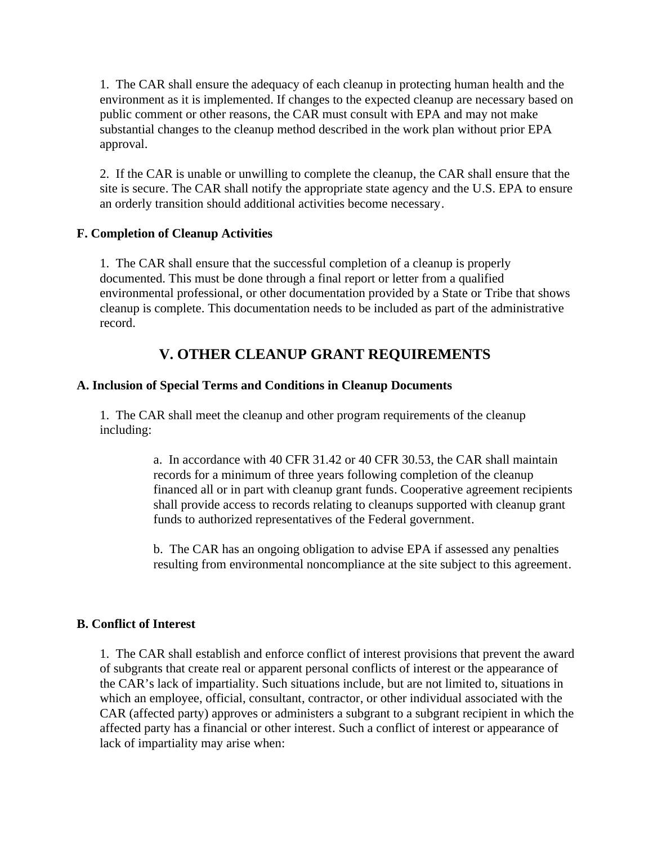1. The CAR shall ensure the adequacy of each cleanup in protecting human health and the environment as it is implemented. If changes to the expected cleanup are necessary based on public comment or other reasons, the CAR must consult with EPA and may not make substantial changes to the cleanup method described in the work plan without prior EPA approval.

2. If the CAR is unable or unwilling to complete the cleanup, the CAR shall ensure that the site is secure. The CAR shall notify the appropriate state agency and the U.S. EPA to ensure an orderly transition should additional activities become necessary.

## **F. Completion of Cleanup Activities**

1. The CAR shall ensure that the successful completion of a cleanup is properly documented. This must be done through a final report or letter from a qualified environmental professional, or other documentation provided by a State or Tribe that shows cleanup is complete. This documentation needs to be included as part of the administrative record.

## **V. OTHER CLEANUP GRANT REQUIREMENTS**

## **A. Inclusion of Special Terms and Conditions in Cleanup Documents**

1. The CAR shall meet the cleanup and other program requirements of the cleanup including:

> a. In accordance with 40 CFR 31.42 or 40 CFR 30.53, the CAR shall maintain records for a minimum of three years following completion of the cleanup financed all or in part with cleanup grant funds. Cooperative agreement recipients shall provide access to records relating to cleanups supported with cleanup grant funds to authorized representatives of the Federal government.

> b. The CAR has an ongoing obligation to advise EPA if assessed any penalties resulting from environmental noncompliance at the site subject to this agreement.

## **B. Conflict of Interest**

1. The CAR shall establish and enforce conflict of interest provisions that prevent the award of subgrants that create real or apparent personal conflicts of interest or the appearance of the CAR's lack of impartiality. Such situations include, but are not limited to, situations in which an employee, official, consultant, contractor, or other individual associated with the CAR (affected party) approves or administers a subgrant to a subgrant recipient in which the affected party has a financial or other interest. Such a conflict of interest or appearance of lack of impartiality may arise when: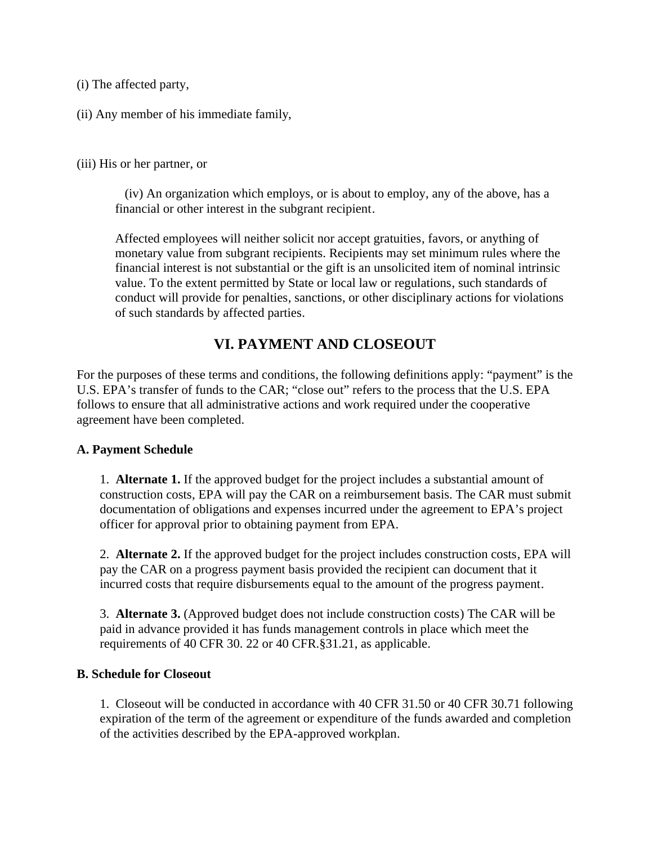(i) The affected party,

(ii) Any member of his immediate family,

(iii) His or her partner, or

 (iv) An organization which employs, or is about to employ, any of the above, has a financial or other interest in the subgrant recipient.

Affected employees will neither solicit nor accept gratuities, favors, or anything of monetary value from subgrant recipients. Recipients may set minimum rules where the financial interest is not substantial or the gift is an unsolicited item of nominal intrinsic value. To the extent permitted by State or local law or regulations, such standards of conduct will provide for penalties, sanctions, or other disciplinary actions for violations of such standards by affected parties.

## **VI. PAYMENT AND CLOSEOUT**

For the purposes of these terms and conditions, the following definitions apply: "payment" is the U.S. EPA's transfer of funds to the CAR; "close out" refers to the process that the U.S. EPA follows to ensure that all administrative actions and work required under the cooperative agreement have been completed.

#### **A. Payment Schedule**

1. **Alternate 1.** If the approved budget for the project includes a substantial amount of construction costs, EPA will pay the CAR on a reimbursement basis. The CAR must submit documentation of obligations and expenses incurred under the agreement to EPA's project officer for approval prior to obtaining payment from EPA.

2. **Alternate 2.** If the approved budget for the project includes construction costs, EPA will pay the CAR on a progress payment basis provided the recipient can document that it incurred costs that require disbursements equal to the amount of the progress payment.

3. **Alternate 3.** (Approved budget does not include construction costs) The CAR will be paid in advance provided it has funds management controls in place which meet the requirements of 40 CFR 30. 22 or 40 CFR.§31.21, as applicable.

#### **B. Schedule for Closeout**

1. Closeout will be conducted in accordance with 40 CFR 31.50 or 40 CFR 30.71 following expiration of the term of the agreement or expenditure of the funds awarded and completion of the activities described by the EPA-approved workplan.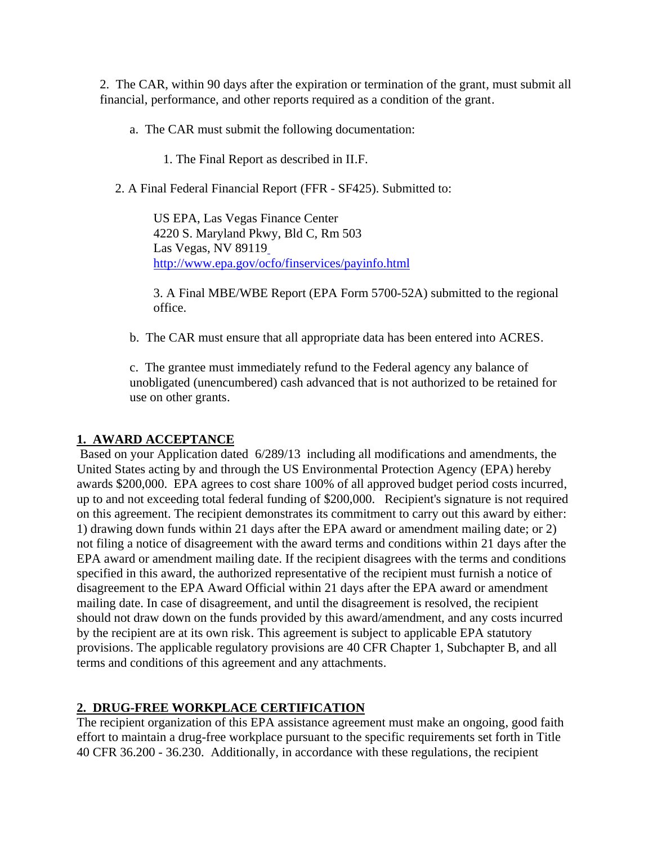2. The CAR, within 90 days after the expiration or termination of the grant, must submit all financial, performance, and other reports required as a condition of the grant.

- a. The CAR must submit the following documentation:
	- 1. The Final Report as described in II.F.
- 2. A Final Federal Financial Report (FFR SF425). Submitted to:

US EPA, Las Vegas Finance Center 4220 S. Maryland Pkwy, Bld C, Rm 503 Las Vegas, NV 89119 http://www.epa.gov/ocfo/finservices/payinfo.html

3. A Final MBE/WBE Report (EPA Form 5700-52A) submitted to the regional office.

b. The CAR must ensure that all appropriate data has been entered into ACRES.

c. The grantee must immediately refund to the Federal agency any balance of unobligated (unencumbered) cash advanced that is not authorized to be retained for use on other grants.

## **1. AWARD ACCEPTANCE**

 Based on your Application dated 6/289/13 including all modifications and amendments, the United States acting by and through the US Environmental Protection Agency (EPA) hereby awards \$200,000. EPA agrees to cost share 100% of all approved budget period costs incurred, up to and not exceeding total federal funding of \$200,000. Recipient's signature is not required on this agreement. The recipient demonstrates its commitment to carry out this award by either: 1) drawing down funds within 21 days after the EPA award or amendment mailing date; or 2) not filing a notice of disagreement with the award terms and conditions within 21 days after the EPA award or amendment mailing date. If the recipient disagrees with the terms and conditions specified in this award, the authorized representative of the recipient must furnish a notice of disagreement to the EPA Award Official within 21 days after the EPA award or amendment mailing date. In case of disagreement, and until the disagreement is resolved, the recipient should not draw down on the funds provided by this award/amendment, and any costs incurred by the recipient are at its own risk. This agreement is subject to applicable EPA statutory provisions. The applicable regulatory provisions are 40 CFR Chapter 1, Subchapter B, and all terms and conditions of this agreement and any attachments.

## **2. DRUG-FREE WORKPLACE CERTIFICATION**

The recipient organization of this EPA assistance agreement must make an ongoing, good faith effort to maintain a drug-free workplace pursuant to the specific requirements set forth in Title 40 CFR 36.200 - 36.230. Additionally, in accordance with these regulations, the recipient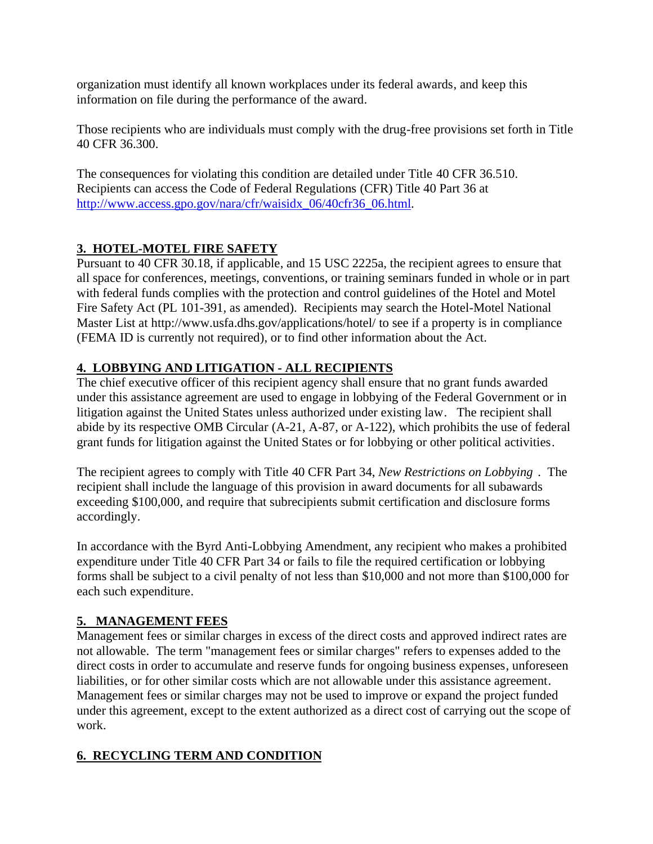organization must identify all known workplaces under its federal awards, and keep this information on file during the performance of the award.

Those recipients who are individuals must comply with the drug-free provisions set forth in Title 40 CFR 36.300.

The consequences for violating this condition are detailed under Title 40 CFR 36.510. Recipients can access the Code of Federal Regulations (CFR) Title 40 Part 36 at http://www.access.gpo.gov/nara/cfr/waisidx\_06/40cfr36\_06.html.

## **3. HOTEL-MOTEL FIRE SAFETY**

Pursuant to 40 CFR 30.18, if applicable, and 15 USC 2225a, the recipient agrees to ensure that all space for conferences, meetings, conventions, or training seminars funded in whole or in part with federal funds complies with the protection and control guidelines of the Hotel and Motel Fire Safety Act (PL 101-391, as amended). Recipients may search the Hotel-Motel National Master List at http://www.usfa.dhs.gov/applications/hotel/ to see if a property is in compliance (FEMA ID is currently not required), or to find other information about the Act.

## **4. LOBBYING AND LITIGATION - ALL RECIPIENTS**

The chief executive officer of this recipient agency shall ensure that no grant funds awarded under this assistance agreement are used to engage in lobbying of the Federal Government or in litigation against the United States unless authorized under existing law. The recipient shall abide by its respective OMB Circular (A-21, A-87, or A-122), which prohibits the use of federal grant funds for litigation against the United States or for lobbying or other political activities.

The recipient agrees to comply with Title 40 CFR Part 34, *New Restrictions on Lobbying* . The recipient shall include the language of this provision in award documents for all subawards exceeding \$100,000, and require that subrecipients submit certification and disclosure forms accordingly.

In accordance with the Byrd Anti-Lobbying Amendment, any recipient who makes a prohibited expenditure under Title 40 CFR Part 34 or fails to file the required certification or lobbying forms shall be subject to a civil penalty of not less than \$10,000 and not more than \$100,000 for each such expenditure.

## **5. MANAGEMENT FEES**

Management fees or similar charges in excess of the direct costs and approved indirect rates are not allowable. The term "management fees or similar charges" refers to expenses added to the direct costs in order to accumulate and reserve funds for ongoing business expenses, unforeseen liabilities, or for other similar costs which are not allowable under this assistance agreement. Management fees or similar charges may not be used to improve or expand the project funded under this agreement, except to the extent authorized as a direct cost of carrying out the scope of work.

## **6. RECYCLING TERM AND CONDITION**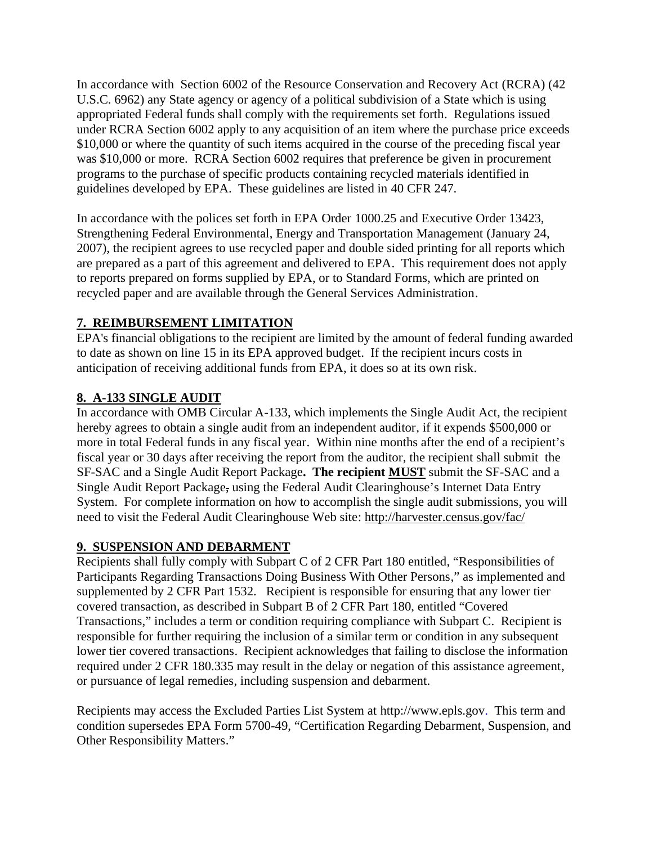In accordance with Section 6002 of the Resource Conservation and Recovery Act (RCRA) (42 U.S.C. 6962) any State agency or agency of a political subdivision of a State which is using appropriated Federal funds shall comply with the requirements set forth. Regulations issued under RCRA Section 6002 apply to any acquisition of an item where the purchase price exceeds \$10,000 or where the quantity of such items acquired in the course of the preceding fiscal year was \$10,000 or more. RCRA Section 6002 requires that preference be given in procurement programs to the purchase of specific products containing recycled materials identified in guidelines developed by EPA. These guidelines are listed in 40 CFR 247.

In accordance with the polices set forth in EPA Order 1000.25 and Executive Order 13423, Strengthening Federal Environmental, Energy and Transportation Management (January 24, 2007), the recipient agrees to use recycled paper and double sided printing for all reports which are prepared as a part of this agreement and delivered to EPA. This requirement does not apply to reports prepared on forms supplied by EPA, or to Standard Forms, which are printed on recycled paper and are available through the General Services Administration.

## **7. REIMBURSEMENT LIMITATION**

EPA's financial obligations to the recipient are limited by the amount of federal funding awarded to date as shown on line 15 in its EPA approved budget. If the recipient incurs costs in anticipation of receiving additional funds from EPA, it does so at its own risk.

## **8. A-133 SINGLE AUDIT**

In accordance with OMB Circular A-133, which implements the Single Audit Act, the recipient hereby agrees to obtain a single audit from an independent auditor, if it expends \$500,000 or more in total Federal funds in any fiscal year. Within nine months after the end of a recipient's fiscal year or 30 days after receiving the report from the auditor, the recipient shall submit the SF-SAC and a Single Audit Report Package**. The recipient MUST** submit the SF-SAC and a Single Audit Report Package, using the Federal Audit Clearinghouse's Internet Data Entry System. For complete information on how to accomplish the single audit submissions, you will need to visit the Federal Audit Clearinghouse Web site: http://harvester.census.gov/fac/

## **9. SUSPENSION AND DEBARMENT**

Recipients shall fully comply with Subpart C of 2 CFR Part 180 entitled, "Responsibilities of Participants Regarding Transactions Doing Business With Other Persons," as implemented and supplemented by 2 CFR Part 1532. Recipient is responsible for ensuring that any lower tier covered transaction, as described in Subpart B of 2 CFR Part 180, entitled "Covered Transactions," includes a term or condition requiring compliance with Subpart C. Recipient is responsible for further requiring the inclusion of a similar term or condition in any subsequent lower tier covered transactions. Recipient acknowledges that failing to disclose the information required under 2 CFR 180.335 may result in the delay or negation of this assistance agreement, or pursuance of legal remedies, including suspension and debarment.

Recipients may access the Excluded Parties List System at http://www.epls.gov. This term and condition supersedes EPA Form 5700-49, "Certification Regarding Debarment, Suspension, and Other Responsibility Matters."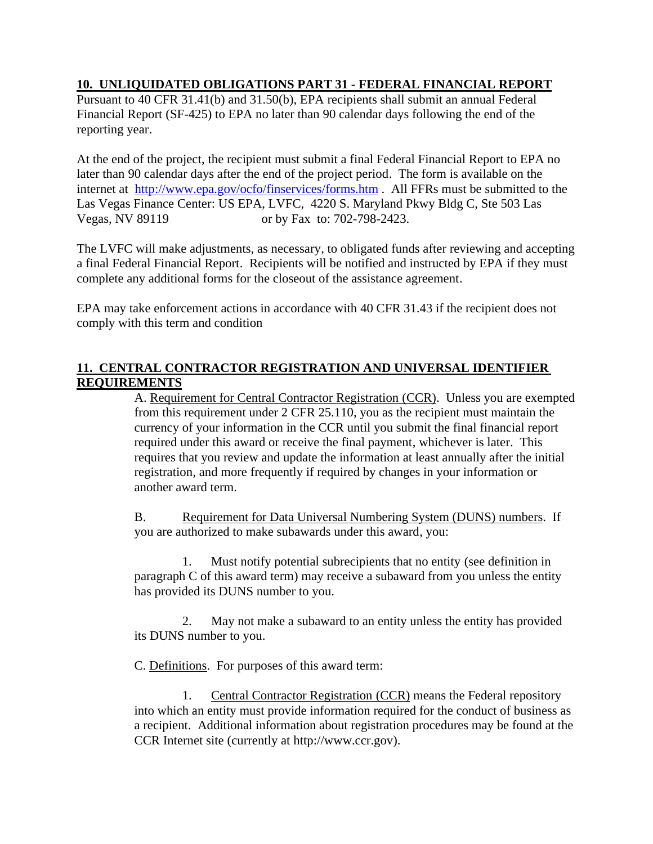## **10. UNLIQUIDATED OBLIGATIONS PART 31 - FEDERAL FINANCIAL REPORT**

Pursuant to 40 CFR 31.41(b) and 31.50(b), EPA recipients shall submit an annual Federal Financial Report (SF-425) to EPA no later than 90 calendar days following the end of the reporting year.

At the end of the project, the recipient must submit a final Federal Financial Report to EPA no later than 90 calendar days after the end of the project period. The form is available on the internet at http://www.epa.gov/ocfo/finservices/forms.htm . All FFRs must be submitted to the Las Vegas Finance Center: US EPA, LVFC, 4220 S. Maryland Pkwy Bldg C, Ste 503 Las Vegas, NV 89119 or by Fax to: 702-798-2423.

The LVFC will make adjustments, as necessary, to obligated funds after reviewing and accepting a final Federal Financial Report. Recipients will be notified and instructed by EPA if they must complete any additional forms for the closeout of the assistance agreement.

EPA may take enforcement actions in accordance with 40 CFR 31.43 if the recipient does not comply with this term and condition

## **11. CENTRAL CONTRACTOR REGISTRATION AND UNIVERSAL IDENTIFIER REQUIREMENTS**

A. Requirement for Central Contractor Registration (CCR). Unless you are exempted from this requirement under 2 CFR 25.110, you as the recipient must maintain the currency of your information in the CCR until you submit the final financial report required under this award or receive the final payment, whichever is later. This requires that you review and update the information at least annually after the initial registration, and more frequently if required by changes in your information or another award term.

B. Requirement for Data Universal Numbering System (DUNS) numbers. If you are authorized to make subawards under this award, you:

1. Must notify potential subrecipients that no entity (see definition in paragraph C of this award term) may receive a subaward from you unless the entity has provided its DUNS number to you.

2. May not make a subaward to an entity unless the entity has provided its DUNS number to you.

C. Definitions. For purposes of this award term:

1. Central Contractor Registration (CCR) means the Federal repository into which an entity must provide information required for the conduct of business as a recipient. Additional information about registration procedures may be found at the CCR Internet site (currently at http://www.ccr.gov).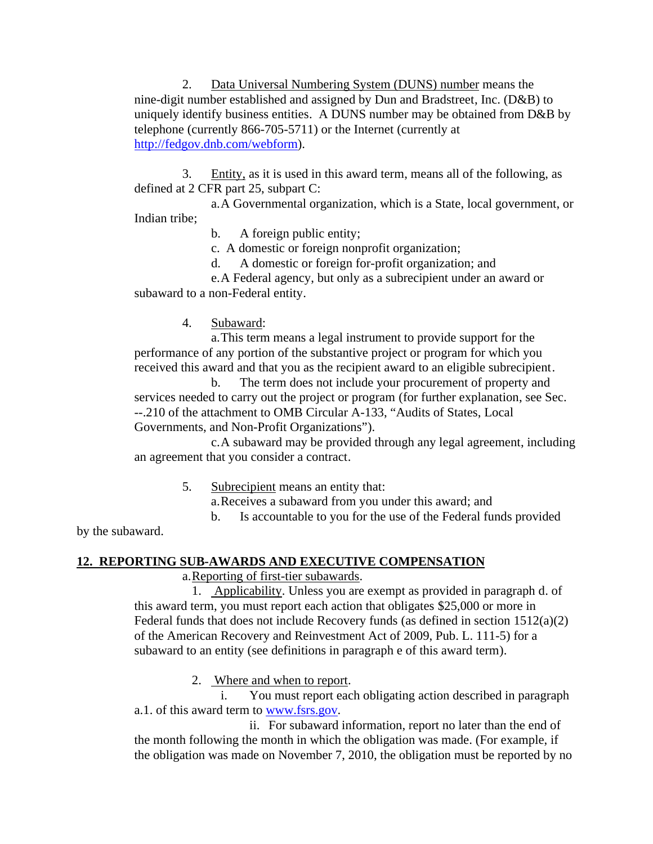2. Data Universal Numbering System (DUNS) number means the nine-digit number established and assigned by Dun and Bradstreet, Inc. (D&B) to uniquely identify business entities. A DUNS number may be obtained from D&B by telephone (currently 866-705-5711) or the Internet (currently at http://fedgov.dnb.com/webform).

3. Entity, as it is used in this award term, means all of the following, as defined at 2 CFR part 25, subpart C:

a.A Governmental organization, which is a State, local government, or Indian tribe;

b. A foreign public entity;

c. A domestic or foreign nonprofit organization;

d. A domestic or foreign for-profit organization; and

e.A Federal agency, but only as a subrecipient under an award or subaward to a non-Federal entity.

4. Subaward:

a.This term means a legal instrument to provide support for the performance of any portion of the substantive project or program for which you received this award and that you as the recipient award to an eligible subrecipient.

b. The term does not include your procurement of property and services needed to carry out the project or program (for further explanation, see Sec. --.210 of the attachment to OMB Circular A-133, "Audits of States, Local Governments, and Non-Profit Organizations").

c.A subaward may be provided through any legal agreement, including an agreement that you consider a contract.

5. Subrecipient means an entity that:

a.Receives a subaward from you under this award; and

b. Is accountable to you for the use of the Federal funds provided

by the subaward.

## **12. REPORTING SUB-AWARDS AND EXECUTIVE COMPENSATION**

a.Reporting of first-tier subawards.

1. Applicability. Unless you are exempt as provided in paragraph d. of this award term, you must report each action that obligates \$25,000 or more in Federal funds that does not include Recovery funds (as defined in section 1512(a)(2) of the American Recovery and Reinvestment Act of 2009, Pub. L. 111-5) for a subaward to an entity (see definitions in paragraph e of this award term).

2. Where and when to report.

i. You must report each obligating action described in paragraph a.1. of this award term to www.fsrs.gov.

ii. For subaward information, report no later than the end of the month following the month in which the obligation was made. (For example, if the obligation was made on November 7, 2010, the obligation must be reported by no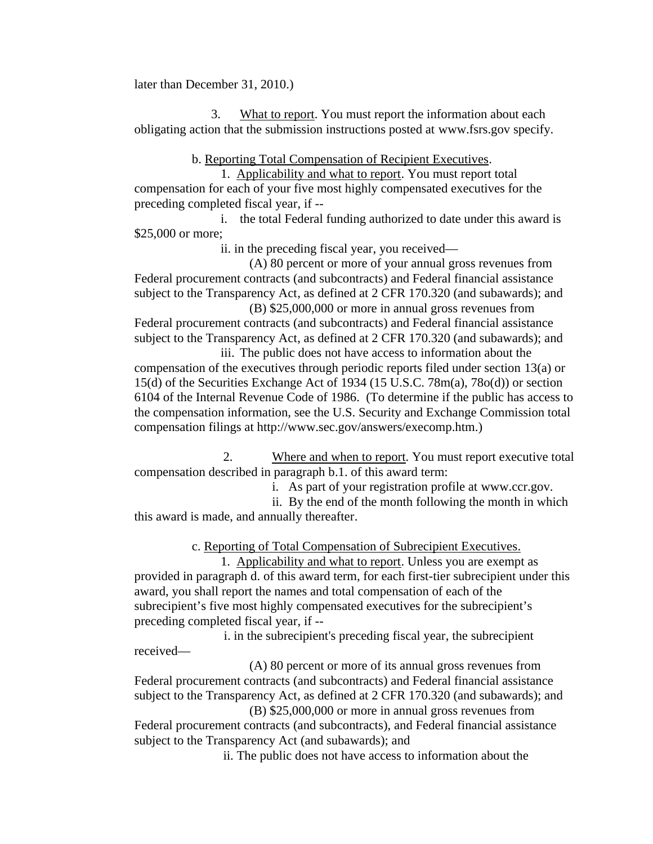later than December 31, 2010.)

3. What to report. You must report the information about each obligating action that the submission instructions posted at www.fsrs.gov specify.

b. Reporting Total Compensation of Recipient Executives.

1. Applicability and what to report. You must report total compensation for each of your five most highly compensated executives for the preceding completed fiscal year, if --

i. the total Federal funding authorized to date under this award is \$25,000 or more;

ii. in the preceding fiscal year, you received—

(A) 80 percent or more of your annual gross revenues from Federal procurement contracts (and subcontracts) and Federal financial assistance subject to the Transparency Act, as defined at 2 CFR 170.320 (and subawards); and (B) \$25,000,000 or more in annual gross revenues from

Federal procurement contracts (and subcontracts) and Federal financial assistance subject to the Transparency Act, as defined at 2 CFR 170.320 (and subawards); and

iii. The public does not have access to information about the compensation of the executives through periodic reports filed under section 13(a) or 15(d) of the Securities Exchange Act of 1934 (15 U.S.C. 78m(a), 78o(d)) or section 6104 of the Internal Revenue Code of 1986. (To determine if the public has access to the compensation information, see the U.S. Security and Exchange Commission total compensation filings at http://www.sec.gov/answers/execomp.htm.)

2. Where and when to report. You must report executive total compensation described in paragraph b.1. of this award term:

i. As part of your registration profile at www.ccr.gov.

ii. By the end of the month following the month in which this award is made, and annually thereafter.

c. Reporting of Total Compensation of Subrecipient Executives.

1. Applicability and what to report. Unless you are exempt as provided in paragraph d. of this award term, for each first-tier subrecipient under this award, you shall report the names and total compensation of each of the subrecipient's five most highly compensated executives for the subrecipient's preceding completed fiscal year, if --

 i. in the subrecipient's preceding fiscal year, the subrecipient received—

(A) 80 percent or more of its annual gross revenues from Federal procurement contracts (and subcontracts) and Federal financial assistance subject to the Transparency Act, as defined at 2 CFR 170.320 (and subawards); and (B) \$25,000,000 or more in annual gross revenues from

Federal procurement contracts (and subcontracts), and Federal financial assistance subject to the Transparency Act (and subawards); and

ii. The public does not have access to information about the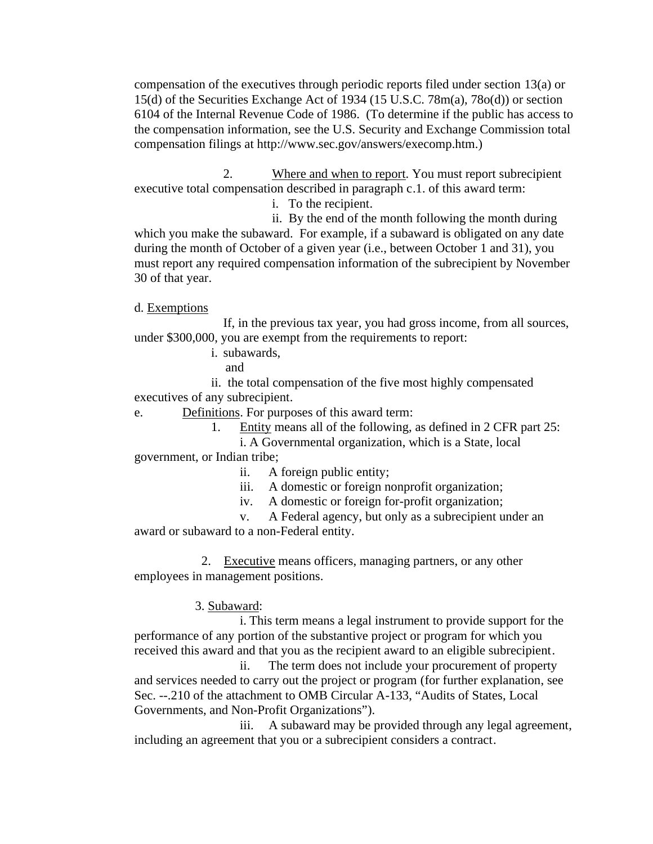compensation of the executives through periodic reports filed under section 13(a) or 15(d) of the Securities Exchange Act of 1934 (15 U.S.C. 78m(a), 78o(d)) or section 6104 of the Internal Revenue Code of 1986. (To determine if the public has access to the compensation information, see the U.S. Security and Exchange Commission total compensation filings at http://www.sec.gov/answers/execomp.htm.)

2. Where and when to report. You must report subrecipient executive total compensation described in paragraph c.1. of this award term:

i. To the recipient.

ii. By the end of the month following the month during which you make the subaward. For example, if a subaward is obligated on any date during the month of October of a given year (i.e., between October 1 and 31), you must report any required compensation information of the subrecipient by November 30 of that year.

d. Exemptions

If, in the previous tax year, you had gross income, from all sources, under \$300,000, you are exempt from the requirements to report:

i. subawards,

and

ii. the total compensation of the five most highly compensated executives of any subrecipient.

e. Definitions. For purposes of this award term:

1. Entity means all of the following, as defined in 2 CFR part 25:

i. A Governmental organization, which is a State, local government, or Indian tribe;

- ii. A foreign public entity;
- iii. A domestic or foreign nonprofit organization;
- iv. A domestic or foreign for-profit organization;

v. A Federal agency, but only as a subrecipient under an award or subaward to a non-Federal entity.

 2. Executive means officers, managing partners, or any other employees in management positions.

## 3. Subaward:

i. This term means a legal instrument to provide support for the performance of any portion of the substantive project or program for which you received this award and that you as the recipient award to an eligible subrecipient.

ii. The term does not include your procurement of property and services needed to carry out the project or program (for further explanation, see Sec. --.210 of the attachment to OMB Circular A-133, "Audits of States, Local Governments, and Non-Profit Organizations").

iii. A subaward may be provided through any legal agreement, including an agreement that you or a subrecipient considers a contract.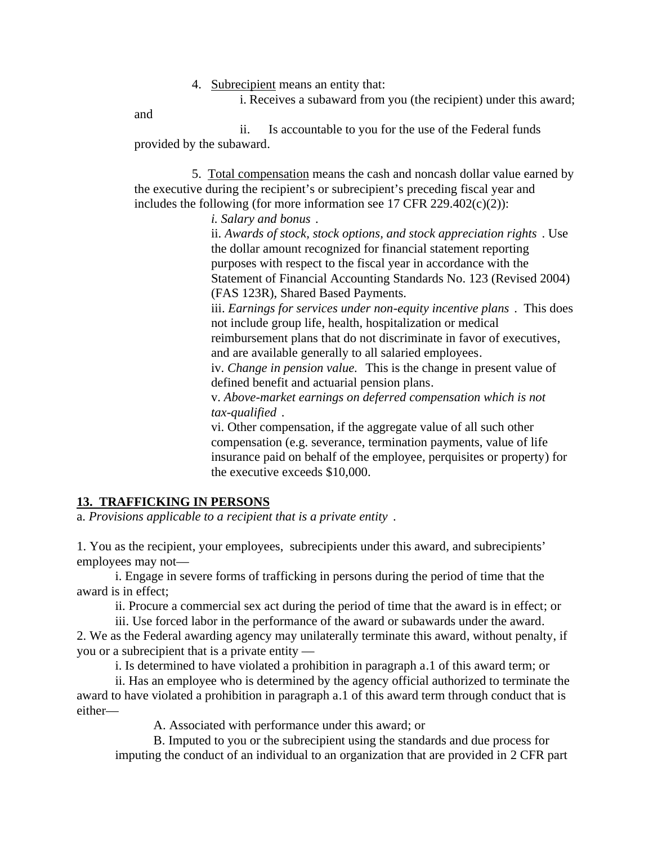4. Subrecipient means an entity that:

i. Receives a subaward from you (the recipient) under this award;

and

ii. Is accountable to you for the use of the Federal funds provided by the subaward.

5. Total compensation means the cash and noncash dollar value earned by the executive during the recipient's or subrecipient's preceding fiscal year and includes the following (for more information see 17 CFR 229.402(c)(2)):

*i. Salary and bonus* .

ii. *Awards of stock, stock options, and stock appreciation rights* . Use the dollar amount recognized for financial statement reporting purposes with respect to the fiscal year in accordance with the Statement of Financial Accounting Standards No. 123 (Revised 2004) (FAS 123R), Shared Based Payments.

iii. *Earnings for services under non-equity incentive plans* . This does not include group life, health, hospitalization or medical reimbursement plans that do not discriminate in favor of executives,

and are available generally to all salaried employees.

iv. *Change in pension value.* This is the change in present value of defined benefit and actuarial pension plans.

v. *Above-market earnings on deferred compensation which is not tax-qualified* .

vi. Other compensation, if the aggregate value of all such other compensation (e.g. severance, termination payments, value of life insurance paid on behalf of the employee, perquisites or property) for the executive exceeds \$10,000.

## **13. TRAFFICKING IN PERSONS**

a. *Provisions applicable to a recipient that is a private entity* .

1. You as the recipient, your employees, subrecipients under this award, and subrecipients' employees may not—

i. Engage in severe forms of trafficking in persons during the period of time that the award is in effect;

ii. Procure a commercial sex act during the period of time that the award is in effect; or

iii. Use forced labor in the performance of the award or subawards under the award. 2. We as the Federal awarding agency may unilaterally terminate this award, without penalty, if you or a subrecipient that is a private entity —

i. Is determined to have violated a prohibition in paragraph a.1 of this award term; or

ii. Has an employee who is determined by the agency official authorized to terminate the award to have violated a prohibition in paragraph a.1 of this award term through conduct that is either—

A. Associated with performance under this award; or

B. Imputed to you or the subrecipient using the standards and due process for imputing the conduct of an individual to an organization that are provided in 2 CFR part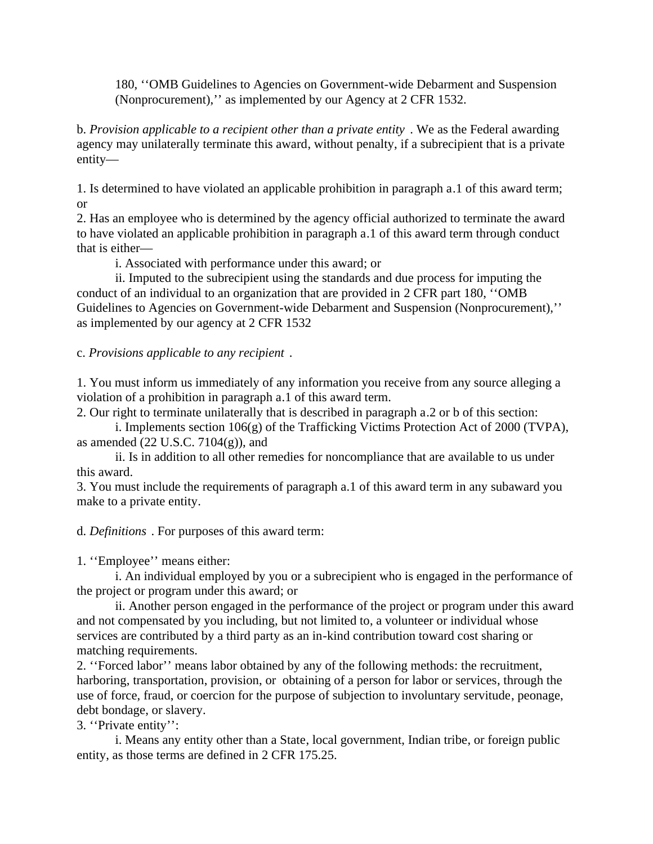180, ''OMB Guidelines to Agencies on Government-wide Debarment and Suspension (Nonprocurement),'' as implemented by our Agency at 2 CFR 1532.

b. *Provision applicable to a recipient other than a private entity* . We as the Federal awarding agency may unilaterally terminate this award, without penalty, if a subrecipient that is a private entity—

1. Is determined to have violated an applicable prohibition in paragraph a.1 of this award term; or

2. Has an employee who is determined by the agency official authorized to terminate the award to have violated an applicable prohibition in paragraph a.1 of this award term through conduct that is either—

i. Associated with performance under this award; or

ii. Imputed to the subrecipient using the standards and due process for imputing the conduct of an individual to an organization that are provided in 2 CFR part 180, ''OMB Guidelines to Agencies on Government-wide Debarment and Suspension (Nonprocurement),'' as implemented by our agency at 2 CFR 1532

c. *Provisions applicable to any recipient* .

1. You must inform us immediately of any information you receive from any source alleging a violation of a prohibition in paragraph a.1 of this award term.

2. Our right to terminate unilaterally that is described in paragraph a.2 or b of this section:

i. Implements section 106(g) of the Trafficking Victims Protection Act of 2000 (TVPA), as amended  $(22 \text{ U.S.C. } 7104(g))$ , and

ii. Is in addition to all other remedies for noncompliance that are available to us under this award.

3. You must include the requirements of paragraph a.1 of this award term in any subaward you make to a private entity.

d. *Definitions* . For purposes of this award term:

1. ''Employee'' means either:

i. An individual employed by you or a subrecipient who is engaged in the performance of the project or program under this award; or

ii. Another person engaged in the performance of the project or program under this award and not compensated by you including, but not limited to, a volunteer or individual whose services are contributed by a third party as an in-kind contribution toward cost sharing or matching requirements.

2. ''Forced labor'' means labor obtained by any of the following methods: the recruitment, harboring, transportation, provision, or obtaining of a person for labor or services, through the use of force, fraud, or coercion for the purpose of subjection to involuntary servitude, peonage, debt bondage, or slavery.

3. ''Private entity'':

i. Means any entity other than a State, local government, Indian tribe, or foreign public entity, as those terms are defined in 2 CFR 175.25.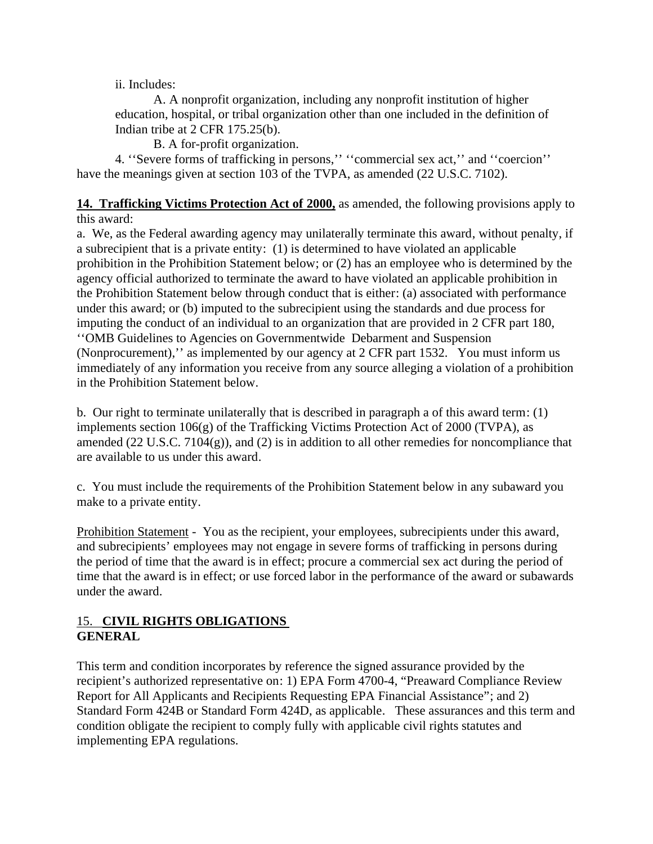ii. Includes:

A. A nonprofit organization, including any nonprofit institution of higher education, hospital, or tribal organization other than one included in the definition of Indian tribe at 2 CFR 175.25(b).

B. A for-profit organization.

4. ''Severe forms of trafficking in persons,'' ''commercial sex act,'' and ''coercion'' have the meanings given at section 103 of the TVPA, as amended (22 U.S.C. 7102).

**14. Trafficking Victims Protection Act of 2000,** as amended, the following provisions apply to this award:

a. We, as the Federal awarding agency may unilaterally terminate this award, without penalty, if a subrecipient that is a private entity: (1) is determined to have violated an applicable prohibition in the Prohibition Statement below; or (2) has an employee who is determined by the agency official authorized to terminate the award to have violated an applicable prohibition in the Prohibition Statement below through conduct that is either: (a) associated with performance under this award; or (b) imputed to the subrecipient using the standards and due process for imputing the conduct of an individual to an organization that are provided in 2 CFR part 180, ''OMB Guidelines to Agencies on Governmentwide Debarment and Suspension (Nonprocurement),'' as implemented by our agency at 2 CFR part 1532. You must inform us immediately of any information you receive from any source alleging a violation of a prohibition in the Prohibition Statement below.

b. Our right to terminate unilaterally that is described in paragraph a of this award term: (1) implements section 106(g) of the Trafficking Victims Protection Act of 2000 (TVPA), as amended (22 U.S.C. 7104(g)), and (2) is in addition to all other remedies for noncompliance that are available to us under this award.

c. You must include the requirements of the Prohibition Statement below in any subaward you make to a private entity.

Prohibition Statement - You as the recipient, your employees, subrecipients under this award, and subrecipients' employees may not engage in severe forms of trafficking in persons during the period of time that the award is in effect; procure a commercial sex act during the period of time that the award is in effect; or use forced labor in the performance of the award or subawards under the award.

## 15. **CIVIL RIGHTS OBLIGATIONS GENERAL**

This term and condition incorporates by reference the signed assurance provided by the recipient's authorized representative on: 1) EPA Form 4700-4, "Preaward Compliance Review Report for All Applicants and Recipients Requesting EPA Financial Assistance"; and 2) Standard Form 424B or Standard Form 424D, as applicable. These assurances and this term and condition obligate the recipient to comply fully with applicable civil rights statutes and implementing EPA regulations.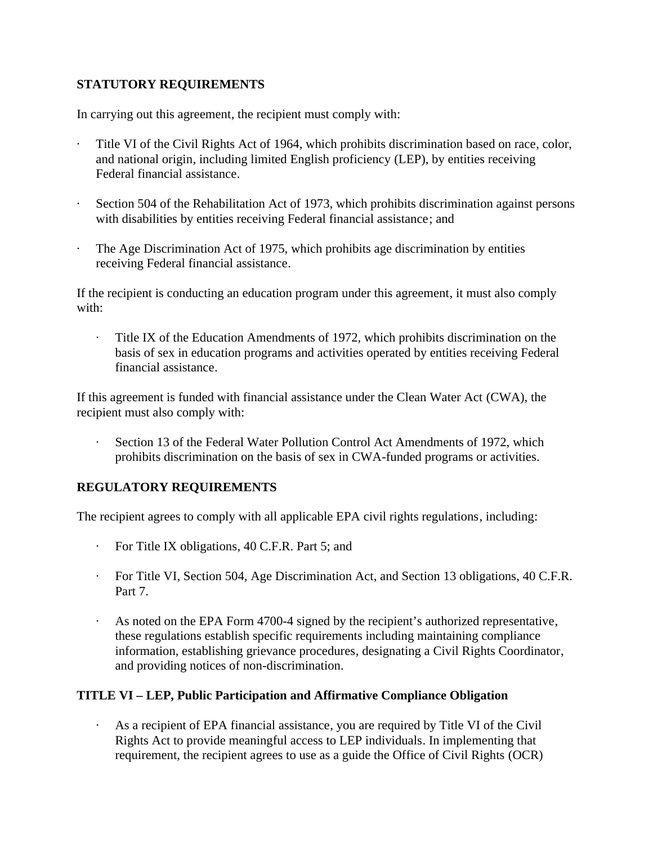## **STATUTORY REQUIREMENTS**

In carrying out this agreement, the recipient must comply with:

- Title VI of the Civil Rights Act of 1964, which prohibits discrimination based on race, color, and national origin, including limited English proficiency (LEP), by entities receiving Federal financial assistance.
- Section 504 of the Rehabilitation Act of 1973, which prohibits discrimination against persons with disabilities by entities receiving Federal financial assistance; and
- The Age Discrimination Act of 1975, which prohibits age discrimination by entities receiving Federal financial assistance.

If the recipient is conducting an education program under this agreement, it must also comply with:

· Title IX of the Education Amendments of 1972, which prohibits discrimination on the basis of sex in education programs and activities operated by entities receiving Federal financial assistance.

If this agreement is funded with financial assistance under the Clean Water Act (CWA), the recipient must also comply with:

Section 13 of the Federal Water Pollution Control Act Amendments of 1972, which prohibits discrimination on the basis of sex in CWA-funded programs or activities.

## **REGULATORY REQUIREMENTS**

The recipient agrees to comply with all applicable EPA civil rights regulations, including:

- · For Title IX obligations, 40 C.F.R. Part 5; and
- · For Title VI, Section 504, Age Discrimination Act, and Section 13 obligations, 40 C.F.R. Part 7.
- · As noted on the EPA Form 4700-4 signed by the recipient's authorized representative, these regulations establish specific requirements including maintaining compliance information, establishing grievance procedures, designating a Civil Rights Coordinator, and providing notices of non-discrimination.

## **TITLE VI – LEP, Public Participation and Affirmative Compliance Obligation**

· As a recipient of EPA financial assistance, you are required by Title VI of the Civil Rights Act to provide meaningful access to LEP individuals. In implementing that requirement, the recipient agrees to use as a guide the Office of Civil Rights (OCR)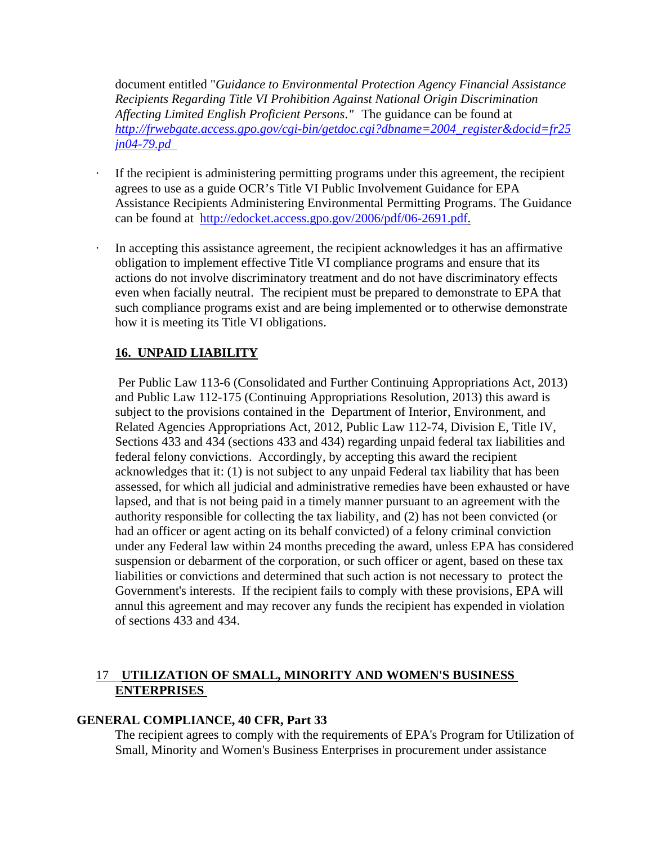document entitled "*Guidance to Environmental Protection Agency Financial Assistance Recipients Regarding Title VI Prohibition Against National Origin Discrimination Affecting Limited English Proficient Persons."* The guidance can be found at *http://frwebgate.access.gpo.gov/cgi-bin/getdoc.cgi?dbname=2004\_register&docid=fr25 jn04-79.pd* 

- If the recipient is administering permitting programs under this agreement, the recipient agrees to use as a guide OCR's Title VI Public Involvement Guidance for EPA Assistance Recipients Administering Environmental Permitting Programs. The Guidance can be found at http://edocket.access.gpo.gov/2006/pdf/06-2691.pdf.
- In accepting this assistance agreement, the recipient acknowledges it has an affirmative obligation to implement effective Title VI compliance programs and ensure that its actions do not involve discriminatory treatment and do not have discriminatory effects even when facially neutral. The recipient must be prepared to demonstrate to EPA that such compliance programs exist and are being implemented or to otherwise demonstrate how it is meeting its Title VI obligations.

## **16. UNPAID LIABILITY**

 Per Public Law 113-6 (Consolidated and Further Continuing Appropriations Act, 2013) and Public Law 112-175 (Continuing Appropriations Resolution, 2013) this award is subject to the provisions contained in the Department of Interior, Environment, and Related Agencies Appropriations Act, 2012, Public Law 112-74, Division E, Title IV, Sections 433 and 434 (sections 433 and 434) regarding unpaid federal tax liabilities and federal felony convictions. Accordingly, by accepting this award the recipient acknowledges that it: (1) is not subject to any unpaid Federal tax liability that has been assessed, for which all judicial and administrative remedies have been exhausted or have lapsed, and that is not being paid in a timely manner pursuant to an agreement with the authority responsible for collecting the tax liability, and (2) has not been convicted (or had an officer or agent acting on its behalf convicted) of a felony criminal conviction under any Federal law within 24 months preceding the award, unless EPA has considered suspension or debarment of the corporation, or such officer or agent, based on these tax liabilities or convictions and determined that such action is not necessary to protect the Government's interests. If the recipient fails to comply with these provisions, EPA will annul this agreement and may recover any funds the recipient has expended in violation of sections 433 and 434.

## 17 **UTILIZATION OF SMALL, MINORITY AND WOMEN'S BUSINESS ENTERPRISES**

#### **GENERAL COMPLIANCE, 40 CFR, Part 33**

The recipient agrees to comply with the requirements of EPA's Program for Utilization of Small, Minority and Women's Business Enterprises in procurement under assistance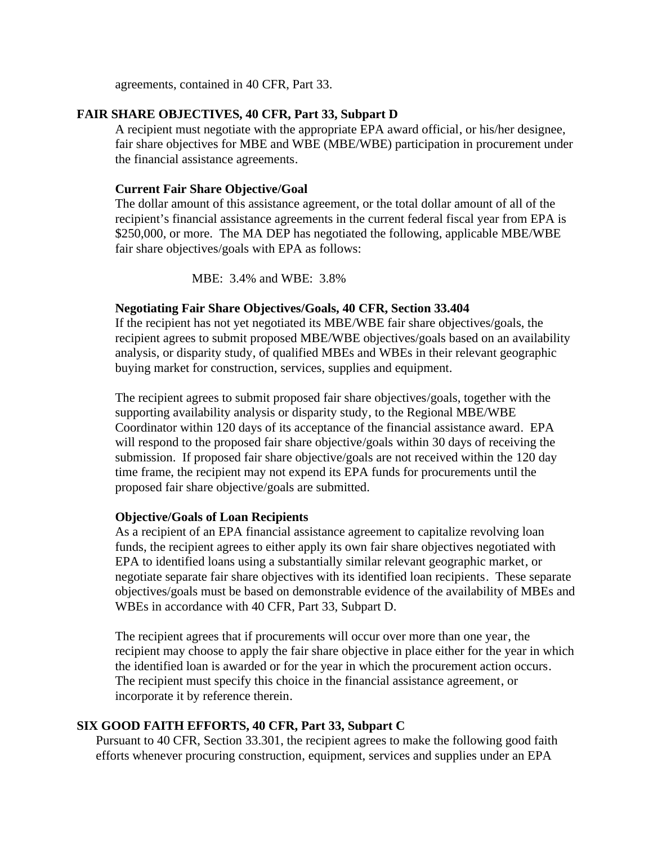agreements, contained in 40 CFR, Part 33.

#### **FAIR SHARE OBJECTIVES, 40 CFR, Part 33, Subpart D**

A recipient must negotiate with the appropriate EPA award official, or his/her designee, fair share objectives for MBE and WBE (MBE/WBE) participation in procurement under the financial assistance agreements.

#### **Current Fair Share Objective/Goal**

The dollar amount of this assistance agreement, or the total dollar amount of all of the recipient's financial assistance agreements in the current federal fiscal year from EPA is \$250,000, or more. The MA DEP has negotiated the following, applicable MBE/WBE fair share objectives/goals with EPA as follows:

MBE: 3.4% and WBE: 3.8%

#### **Negotiating Fair Share Objectives/Goals, 40 CFR, Section 33.404**

If the recipient has not yet negotiated its MBE/WBE fair share objectives/goals, the recipient agrees to submit proposed MBE/WBE objectives/goals based on an availability analysis, or disparity study, of qualified MBEs and WBEs in their relevant geographic buying market for construction, services, supplies and equipment.

The recipient agrees to submit proposed fair share objectives/goals, together with the supporting availability analysis or disparity study, to the Regional MBE/WBE Coordinator within 120 days of its acceptance of the financial assistance award. EPA will respond to the proposed fair share objective/goals within 30 days of receiving the submission. If proposed fair share objective/goals are not received within the 120 day time frame, the recipient may not expend its EPA funds for procurements until the proposed fair share objective/goals are submitted.

#### **Objective/Goals of Loan Recipients**

As a recipient of an EPA financial assistance agreement to capitalize revolving loan funds, the recipient agrees to either apply its own fair share objectives negotiated with EPA to identified loans using a substantially similar relevant geographic market, or negotiate separate fair share objectives with its identified loan recipients. These separate objectives/goals must be based on demonstrable evidence of the availability of MBEs and WBEs in accordance with 40 CFR, Part 33, Subpart D.

The recipient agrees that if procurements will occur over more than one year, the recipient may choose to apply the fair share objective in place either for the year in which the identified loan is awarded or for the year in which the procurement action occurs. The recipient must specify this choice in the financial assistance agreement, or incorporate it by reference therein.

#### **SIX GOOD FAITH EFFORTS, 40 CFR, Part 33, Subpart C**

Pursuant to 40 CFR, Section 33.301, the recipient agrees to make the following good faith efforts whenever procuring construction, equipment, services and supplies under an EPA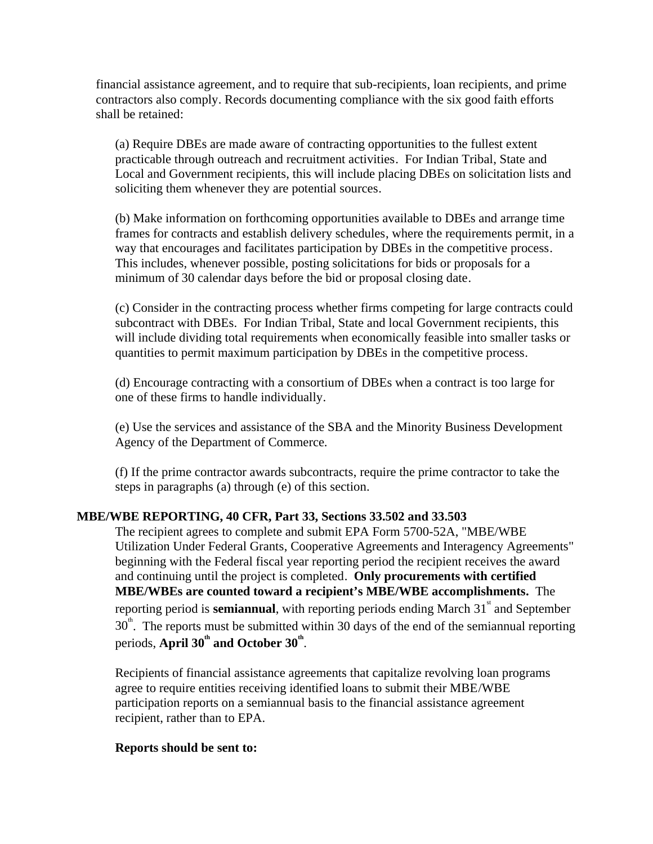financial assistance agreement, and to require that sub-recipients, loan recipients, and prime contractors also comply. Records documenting compliance with the six good faith efforts shall be retained:

(a) Require DBEs are made aware of contracting opportunities to the fullest extent practicable through outreach and recruitment activities. For Indian Tribal, State and Local and Government recipients, this will include placing DBEs on solicitation lists and soliciting them whenever they are potential sources.

(b) Make information on forthcoming opportunities available to DBEs and arrange time frames for contracts and establish delivery schedules, where the requirements permit, in a way that encourages and facilitates participation by DBEs in the competitive process. This includes, whenever possible, posting solicitations for bids or proposals for a minimum of 30 calendar days before the bid or proposal closing date.

(c) Consider in the contracting process whether firms competing for large contracts could subcontract with DBEs. For Indian Tribal, State and local Government recipients, this will include dividing total requirements when economically feasible into smaller tasks or quantities to permit maximum participation by DBEs in the competitive process.

(d) Encourage contracting with a consortium of DBEs when a contract is too large for one of these firms to handle individually.

(e) Use the services and assistance of the SBA and the Minority Business Development Agency of the Department of Commerce.

(f) If the prime contractor awards subcontracts, require the prime contractor to take the steps in paragraphs (a) through (e) of this section.

#### **MBE/WBE REPORTING, 40 CFR, Part 33, Sections 33.502 and 33.503**

The recipient agrees to complete and submit EPA Form 5700-52A, "MBE/WBE Utilization Under Federal Grants, Cooperative Agreements and Interagency Agreements" beginning with the Federal fiscal year reporting period the recipient receives the award and continuing until the project is completed. **Only procurements with certified MBE/WBEs are counted toward a recipient's MBE/WBE accomplishments.** The reporting period is **semiannual**, with reporting periods ending March  $31^{\text{st}}$  and September  $30<sup>th</sup>$ . The reports must be submitted within 30 days of the end of the semiannual reporting periods, A**pril 30<sup>th</sup> and October 30<sup>th</sup>.** 

Recipients of financial assistance agreements that capitalize revolving loan programs agree to require entities receiving identified loans to submit their MBE/WBE participation reports on a semiannual basis to the financial assistance agreement recipient, rather than to EPA.

#### **Reports should be sent to:**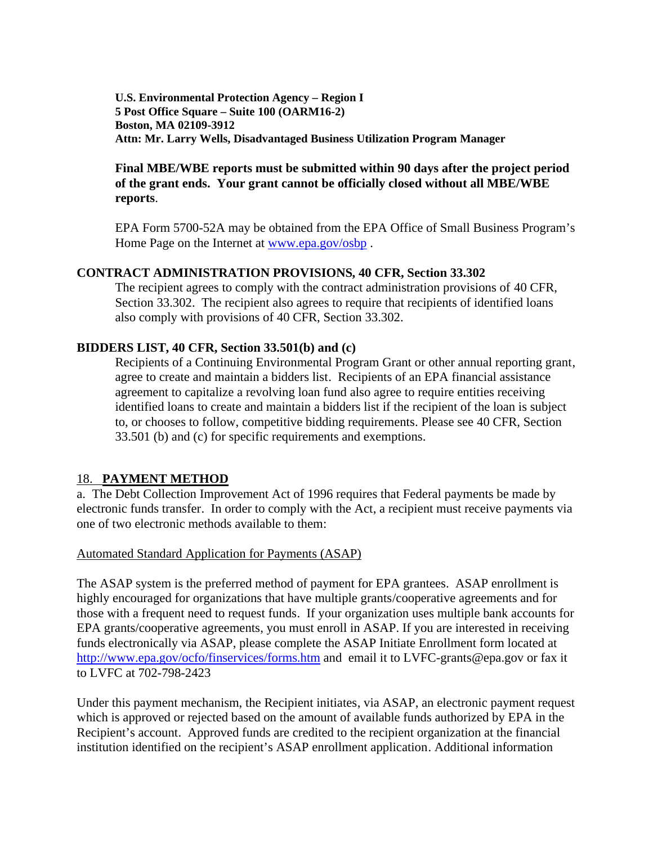**U.S. Environmental Protection Agency – Region I 5 Post Office Square – Suite 100 (OARM16-2) Boston, MA 02109-3912 Attn: Mr. Larry Wells, Disadvantaged Business Utilization Program Manager** 

## **Final MBE/WBE reports must be submitted within 90 days after the project period of the grant ends. Your grant cannot be officially closed without all MBE/WBE reports**.

EPA Form 5700-52A may be obtained from the EPA Office of Small Business Program's Home Page on the Internet at www.epa.gov/osbp .

#### **CONTRACT ADMINISTRATION PROVISIONS, 40 CFR, Section 33.302**

The recipient agrees to comply with the contract administration provisions of 40 CFR, Section 33.302. The recipient also agrees to require that recipients of identified loans also comply with provisions of 40 CFR, Section 33.302.

#### **BIDDERS LIST, 40 CFR, Section 33.501(b) and (c)**

Recipients of a Continuing Environmental Program Grant or other annual reporting grant, agree to create and maintain a bidders list. Recipients of an EPA financial assistance agreement to capitalize a revolving loan fund also agree to require entities receiving identified loans to create and maintain a bidders list if the recipient of the loan is subject to, or chooses to follow, competitive bidding requirements. Please see 40 CFR, Section 33.501 (b) and (c) for specific requirements and exemptions.

#### 18. **PAYMENT METHOD**

a. The Debt Collection Improvement Act of 1996 requires that Federal payments be made by electronic funds transfer. In order to comply with the Act, a recipient must receive payments via one of two electronic methods available to them:

#### Automated Standard Application for Payments (ASAP)

The ASAP system is the preferred method of payment for EPA grantees. ASAP enrollment is highly encouraged for organizations that have multiple grants/cooperative agreements and for those with a frequent need to request funds. If your organization uses multiple bank accounts for EPA grants/cooperative agreements, you must enroll in ASAP. If you are interested in receiving funds electronically via ASAP, please complete the ASAP Initiate Enrollment form located at http://www.epa.gov/ocfo/finservices/forms.htm and email it to LVFC-grants@epa.gov or fax it to LVFC at 702-798-2423

Under this payment mechanism, the Recipient initiates, via ASAP, an electronic payment request which is approved or rejected based on the amount of available funds authorized by EPA in the Recipient's account. Approved funds are credited to the recipient organization at the financial institution identified on the recipient's ASAP enrollment application. Additional information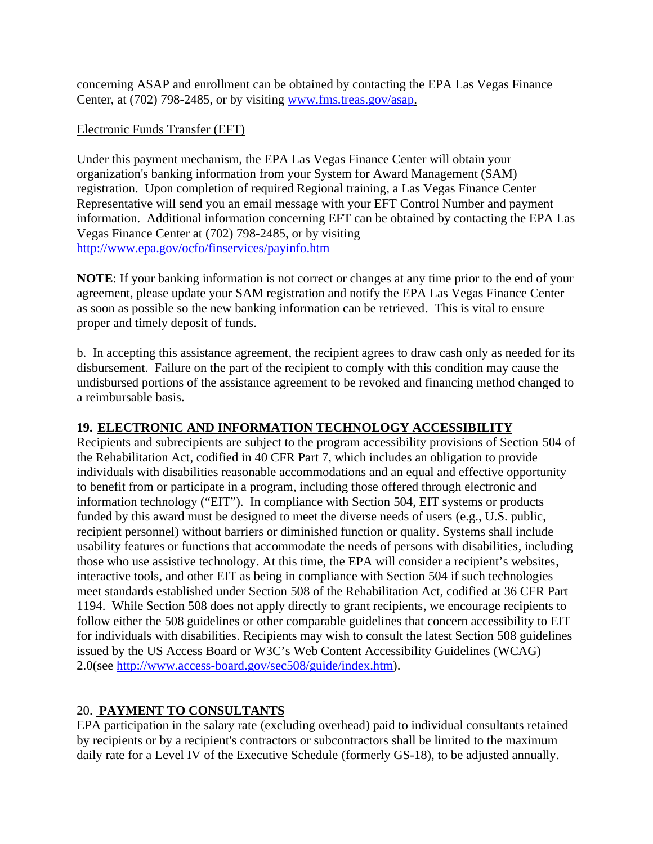concerning ASAP and enrollment can be obtained by contacting the EPA Las Vegas Finance Center, at (702) 798-2485, or by visiting www.fms.treas.gov/asap.

#### Electronic Funds Transfer (EFT)

Under this payment mechanism, the EPA Las Vegas Finance Center will obtain your organization's banking information from your System for Award Management (SAM) registration. Upon completion of required Regional training, a Las Vegas Finance Center Representative will send you an email message with your EFT Control Number and payment information. Additional information concerning EFT can be obtained by contacting the EPA Las Vegas Finance Center at (702) 798-2485, or by visiting http://www.epa.gov/ocfo/finservices/payinfo.htm

**NOTE**: If your banking information is not correct or changes at any time prior to the end of your agreement, please update your SAM registration and notify the EPA Las Vegas Finance Center as soon as possible so the new banking information can be retrieved. This is vital to ensure proper and timely deposit of funds.

b. In accepting this assistance agreement, the recipient agrees to draw cash only as needed for its disbursement. Failure on the part of the recipient to comply with this condition may cause the undisbursed portions of the assistance agreement to be revoked and financing method changed to a reimbursable basis.

## **19. ELECTRONIC AND INFORMATION TECHNOLOGY ACCESSIBILITY**

Recipients and subrecipients are subject to the program accessibility provisions of Section 504 of the Rehabilitation Act, codified in 40 CFR Part 7, which includes an obligation to provide individuals with disabilities reasonable accommodations and an equal and effective opportunity to benefit from or participate in a program, including those offered through electronic and information technology ("EIT"). In compliance with Section 504, EIT systems or products funded by this award must be designed to meet the diverse needs of users (e.g., U.S. public, recipient personnel) without barriers or diminished function or quality. Systems shall include usability features or functions that accommodate the needs of persons with disabilities, including those who use assistive technology. At this time, the EPA will consider a recipient's websites, interactive tools, and other EIT as being in compliance with Section 504 if such technologies meet standards established under Section 508 of the Rehabilitation Act, codified at 36 CFR Part 1194. While Section 508 does not apply directly to grant recipients, we encourage recipients to follow either the 508 guidelines or other comparable guidelines that concern accessibility to EIT for individuals with disabilities. Recipients may wish to consult the latest Section 508 guidelines issued by the US Access Board or W3C's Web Content Accessibility Guidelines (WCAG) 2.0(see http://www.access-board.gov/sec508/guide/index.htm).

## 20. **PAYMENT TO CONSULTANTS**

EPA participation in the salary rate (excluding overhead) paid to individual consultants retained by recipients or by a recipient's contractors or subcontractors shall be limited to the maximum daily rate for a Level IV of the Executive Schedule (formerly GS-18), to be adjusted annually.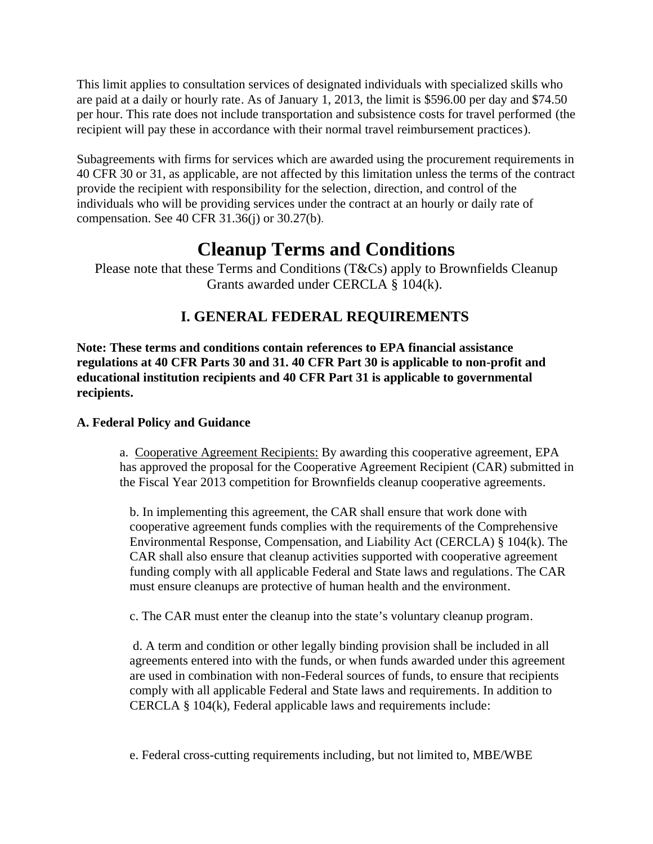This limit applies to consultation services of designated individuals with specialized skills who are paid at a daily or hourly rate. As of January 1, 2013, the limit is \$596.00 per day and \$74.50 per hour. This rate does not include transportation and subsistence costs for travel performed (the recipient will pay these in accordance with their normal travel reimbursement practices).

Subagreements with firms for services which are awarded using the procurement requirements in 40 CFR 30 or 31, as applicable, are not affected by this limitation unless the terms of the contract provide the recipient with responsibility for the selection, direction, and control of the individuals who will be providing services under the contract at an hourly or daily rate of compensation. See 40 CFR 31.36(j) or 30.27(b).

# **Cleanup Terms and Conditions**

Please note that these Terms and Conditions (T&Cs) apply to Brownfields Cleanup Grants awarded under CERCLA § 104(k).

## **I. GENERAL FEDERAL REQUIREMENTS**

**Note: These terms and conditions contain references to EPA financial assistance regulations at 40 CFR Parts 30 and 31. 40 CFR Part 30 is applicable to non-profit and educational institution recipients and 40 CFR Part 31 is applicable to governmental recipients.**

## **A. Federal Policy and Guidance**

a. Cooperative Agreement Recipients: By awarding this cooperative agreement, EPA has approved the proposal for the Cooperative Agreement Recipient (CAR) submitted in the Fiscal Year 2013 competition for Brownfields cleanup cooperative agreements.

b. In implementing this agreement, the CAR shall ensure that work done with cooperative agreement funds complies with the requirements of the Comprehensive Environmental Response, Compensation, and Liability Act (CERCLA) § 104(k). The CAR shall also ensure that cleanup activities supported with cooperative agreement funding comply with all applicable Federal and State laws and regulations. The CAR must ensure cleanups are protective of human health and the environment.

c. The CAR must enter the cleanup into the state's voluntary cleanup program.

 d. A term and condition or other legally binding provision shall be included in all agreements entered into with the funds, or when funds awarded under this agreement are used in combination with non-Federal sources of funds, to ensure that recipients comply with all applicable Federal and State laws and requirements. In addition to CERCLA § 104(k), Federal applicable laws and requirements include:

e. Federal cross-cutting requirements including, but not limited to, MBE/WBE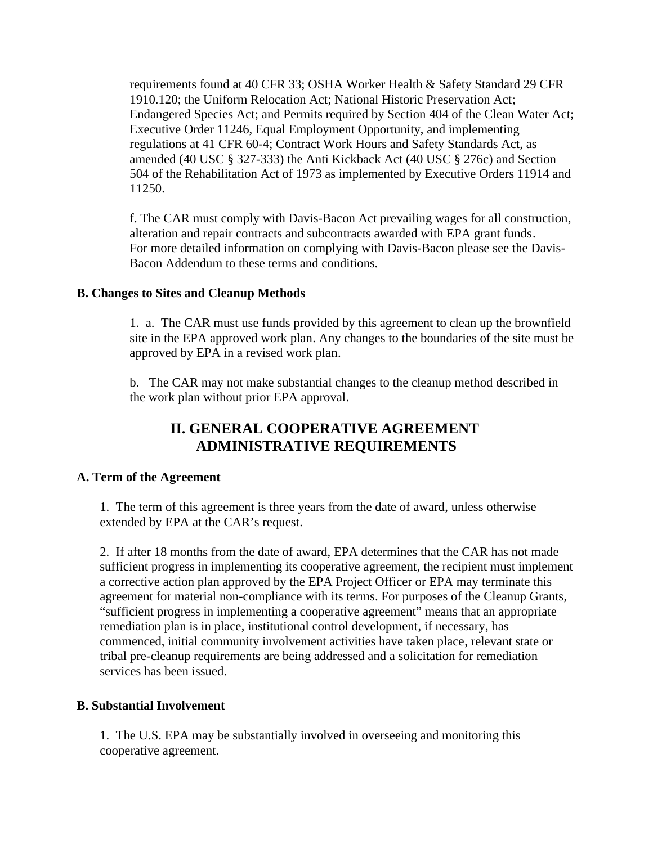requirements found at 40 CFR 33; OSHA Worker Health & Safety Standard 29 CFR 1910.120; the Uniform Relocation Act; National Historic Preservation Act; Endangered Species Act; and Permits required by Section 404 of the Clean Water Act; Executive Order 11246, Equal Employment Opportunity, and implementing regulations at 41 CFR 60-4; Contract Work Hours and Safety Standards Act, as amended (40 USC § 327-333) the Anti Kickback Act (40 USC § 276c) and Section 504 of the Rehabilitation Act of 1973 as implemented by Executive Orders 11914 and 11250.

f. The CAR must comply with Davis-Bacon Act prevailing wages for all construction, alteration and repair contracts and subcontracts awarded with EPA grant funds. For more detailed information on complying with Davis-Bacon please see the Davis-Bacon Addendum to these terms and conditions*.* 

#### **B. Changes to Sites and Cleanup Methods**

1. a. The CAR must use funds provided by this agreement to clean up the brownfield site in the EPA approved work plan. Any changes to the boundaries of the site must be approved by EPA in a revised work plan.

b. The CAR may not make substantial changes to the cleanup method described in the work plan without prior EPA approval.

## **II. GENERAL COOPERATIVE AGREEMENT ADMINISTRATIVE REQUIREMENTS**

#### **A. Term of the Agreement**

1. The term of this agreement is three years from the date of award, unless otherwise extended by EPA at the CAR's request.

2. If after 18 months from the date of award, EPA determines that the CAR has not made sufficient progress in implementing its cooperative agreement, the recipient must implement a corrective action plan approved by the EPA Project Officer or EPA may terminate this agreement for material non-compliance with its terms. For purposes of the Cleanup Grants, "sufficient progress in implementing a cooperative agreement" means that an appropriate remediation plan is in place, institutional control development, if necessary, has commenced, initial community involvement activities have taken place, relevant state or tribal pre-cleanup requirements are being addressed and a solicitation for remediation services has been issued.

#### **B. Substantial Involvement**

1. The U.S. EPA may be substantially involved in overseeing and monitoring this cooperative agreement.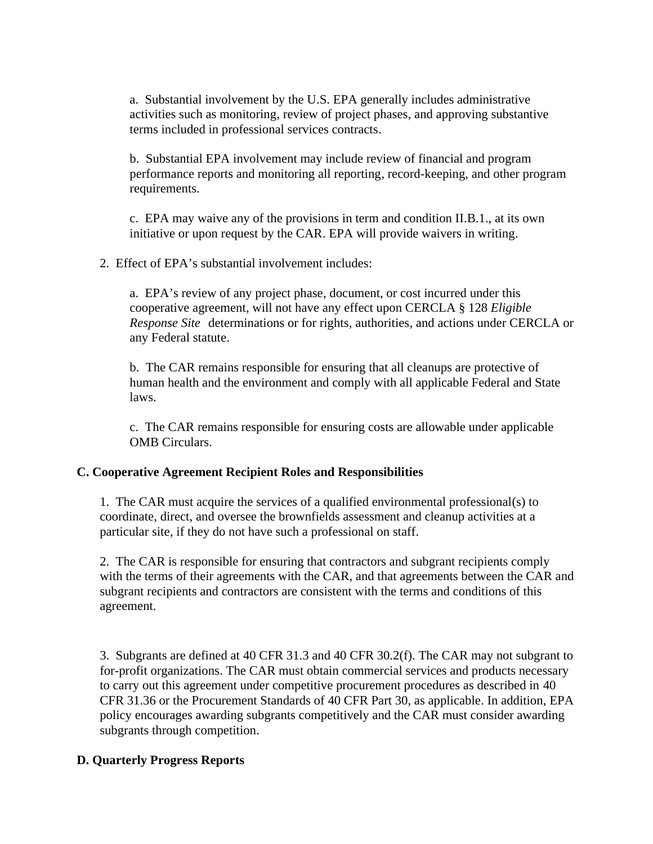a. Substantial involvement by the U.S. EPA generally includes administrative activities such as monitoring, review of project phases, and approving substantive terms included in professional services contracts.

b. Substantial EPA involvement may include review of financial and program performance reports and monitoring all reporting, record-keeping, and other program requirements.

c. EPA may waive any of the provisions in term and condition II.B.1., at its own initiative or upon request by the CAR. EPA will provide waivers in writing.

2. Effect of EPA's substantial involvement includes:

a. EPA's review of any project phase, document, or cost incurred under this cooperative agreement, will not have any effect upon CERCLA § 128 *Eligible Response Site* determinations or for rights, authorities, and actions under CERCLA or any Federal statute.

b. The CAR remains responsible for ensuring that all cleanups are protective of human health and the environment and comply with all applicable Federal and State laws.

c. The CAR remains responsible for ensuring costs are allowable under applicable OMB Circulars.

#### **C. Cooperative Agreement Recipient Roles and Responsibilities**

1. The CAR must acquire the services of a qualified environmental professional(s) to coordinate, direct, and oversee the brownfields assessment and cleanup activities at a particular site, if they do not have such a professional on staff.

2. The CAR is responsible for ensuring that contractors and subgrant recipients comply with the terms of their agreements with the CAR, and that agreements between the CAR and subgrant recipients and contractors are consistent with the terms and conditions of this agreement.

3. Subgrants are defined at 40 CFR 31.3 and 40 CFR 30.2(f). The CAR may not subgrant to for-profit organizations. The CAR must obtain commercial services and products necessary to carry out this agreement under competitive procurement procedures as described in 40 CFR 31.36 or the Procurement Standards of 40 CFR Part 30, as applicable. In addition, EPA policy encourages awarding subgrants competitively and the CAR must consider awarding subgrants through competition.

## **D. Quarterly Progress Reports**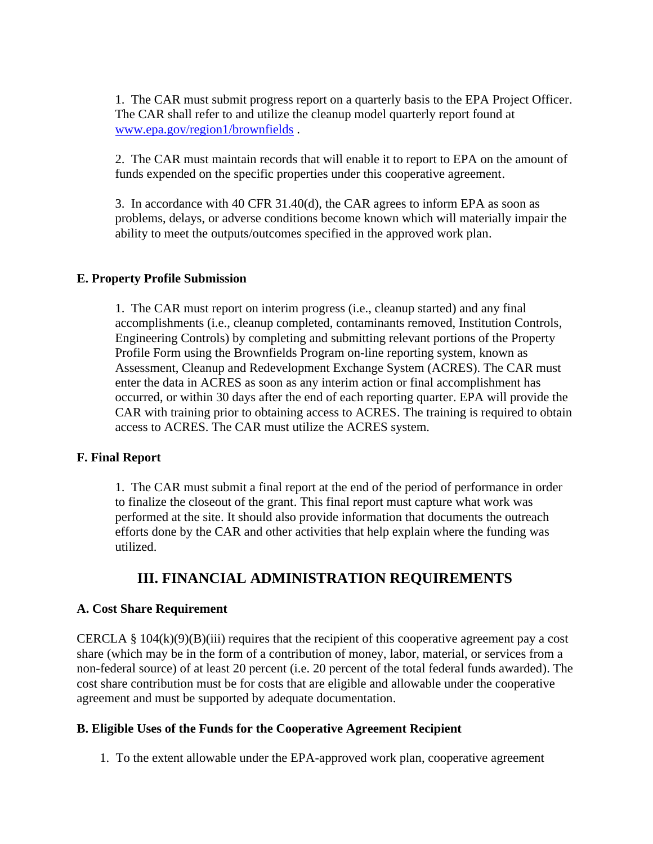1. The CAR must submit progress report on a quarterly basis to the EPA Project Officer. The CAR shall refer to and utilize the cleanup model quarterly report found at www.epa.gov/region1/brownfields .

2. The CAR must maintain records that will enable it to report to EPA on the amount of funds expended on the specific properties under this cooperative agreement.

3. In accordance with 40 CFR 31.40(d), the CAR agrees to inform EPA as soon as problems, delays, or adverse conditions become known which will materially impair the ability to meet the outputs/outcomes specified in the approved work plan.

#### **E. Property Profile Submission**

1. The CAR must report on interim progress (i.e., cleanup started) and any final accomplishments (i.e., cleanup completed, contaminants removed, Institution Controls, Engineering Controls) by completing and submitting relevant portions of the Property Profile Form using the Brownfields Program on-line reporting system, known as Assessment, Cleanup and Redevelopment Exchange System (ACRES). The CAR must enter the data in ACRES as soon as any interim action or final accomplishment has occurred, or within 30 days after the end of each reporting quarter. EPA will provide the CAR with training prior to obtaining access to ACRES. The training is required to obtain access to ACRES. The CAR must utilize the ACRES system.

#### **F. Final Report**

1. The CAR must submit a final report at the end of the period of performance in order to finalize the closeout of the grant. This final report must capture what work was performed at the site. It should also provide information that documents the outreach efforts done by the CAR and other activities that help explain where the funding was utilized.

## **III. FINANCIAL ADMINISTRATION REQUIREMENTS**

#### **A. Cost Share Requirement**

CERCLA  $\S$  104(k)(9)(B)(iii) requires that the recipient of this cooperative agreement pay a cost share (which may be in the form of a contribution of money, labor, material, or services from a non-federal source) of at least 20 percent (i.e. 20 percent of the total federal funds awarded). The cost share contribution must be for costs that are eligible and allowable under the cooperative agreement and must be supported by adequate documentation.

#### **B. Eligible Uses of the Funds for the Cooperative Agreement Recipient**

1. To the extent allowable under the EPA-approved work plan, cooperative agreement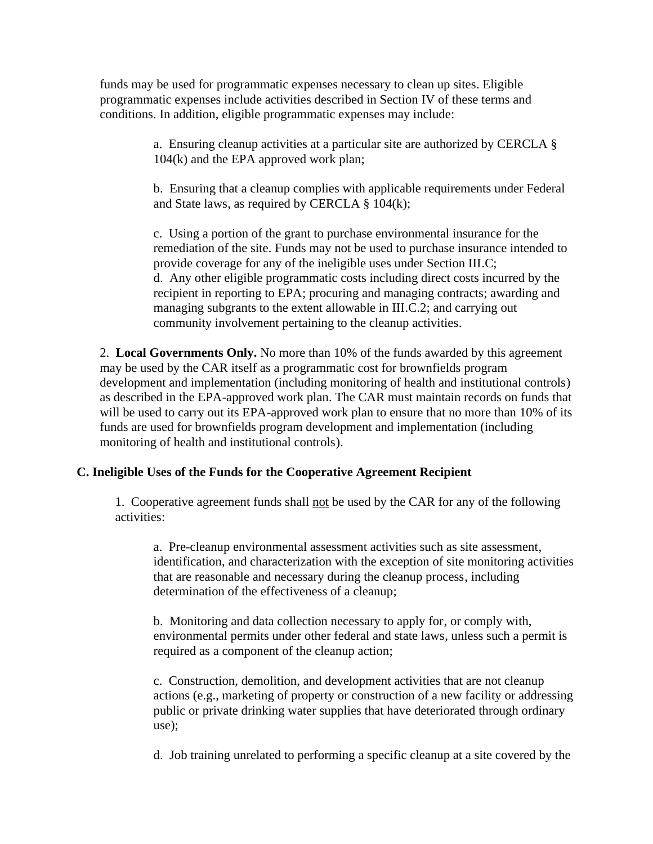funds may be used for programmatic expenses necessary to clean up sites. Eligible programmatic expenses include activities described in Section IV of these terms and conditions. In addition, eligible programmatic expenses may include:

> a. Ensuring cleanup activities at a particular site are authorized by CERCLA § 104(k) and the EPA approved work plan;

b. Ensuring that a cleanup complies with applicable requirements under Federal and State laws, as required by CERCLA § 104(k);

c. Using a portion of the grant to purchase environmental insurance for the remediation of the site. Funds may not be used to purchase insurance intended to provide coverage for any of the ineligible uses under Section III.C; d. Any other eligible programmatic costs including direct costs incurred by the recipient in reporting to EPA; procuring and managing contracts; awarding and managing subgrants to the extent allowable in III.C.2; and carrying out community involvement pertaining to the cleanup activities.

2. **Local Governments Only.** No more than 10% of the funds awarded by this agreement may be used by the CAR itself as a programmatic cost for brownfields program development and implementation (including monitoring of health and institutional controls) as described in the EPA-approved work plan. The CAR must maintain records on funds that will be used to carry out its EPA-approved work plan to ensure that no more than 10% of its funds are used for brownfields program development and implementation (including monitoring of health and institutional controls).

## **C. Ineligible Uses of the Funds for the Cooperative Agreement Recipient**

1. Cooperative agreement funds shall not be used by the CAR for any of the following activities:

a. Pre-cleanup environmental assessment activities such as site assessment, identification, and characterization with the exception of site monitoring activities that are reasonable and necessary during the cleanup process, including determination of the effectiveness of a cleanup;

b. Monitoring and data collection necessary to apply for, or comply with, environmental permits under other federal and state laws, unless such a permit is required as a component of the cleanup action;

c. Construction, demolition, and development activities that are not cleanup actions (e.g., marketing of property or construction of a new facility or addressing public or private drinking water supplies that have deteriorated through ordinary use);

d. Job training unrelated to performing a specific cleanup at a site covered by the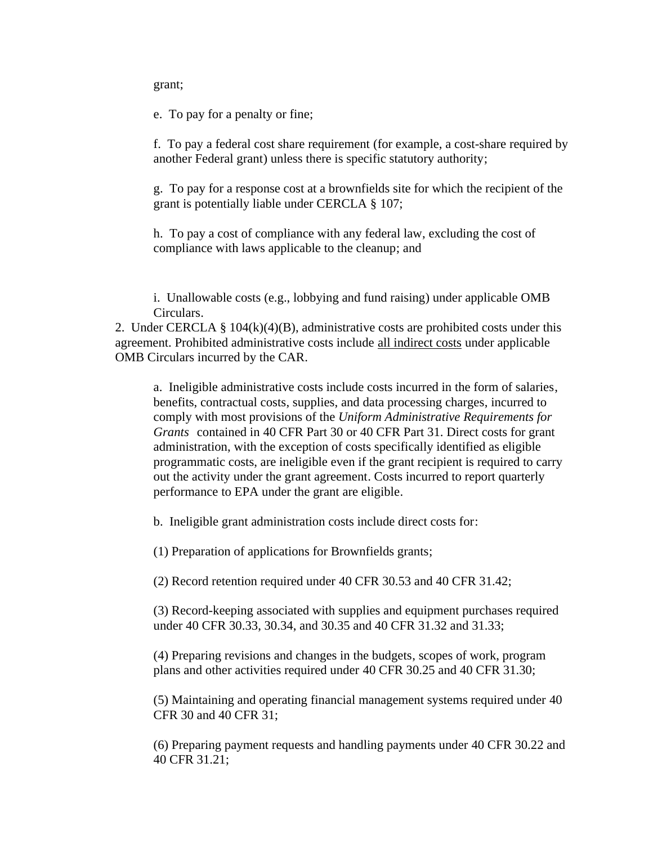grant;

e. To pay for a penalty or fine;

f. To pay a federal cost share requirement (for example, a cost-share required by another Federal grant) unless there is specific statutory authority;

g. To pay for a response cost at a brownfields site for which the recipient of the grant is potentially liable under CERCLA § 107;

h. To pay a cost of compliance with any federal law, excluding the cost of compliance with laws applicable to the cleanup; and

i. Unallowable costs (e.g., lobbying and fund raising) under applicable OMB Circulars.

2. Under CERCLA  $\S$  104(k)(4)(B), administrative costs are prohibited costs under this agreement. Prohibited administrative costs include all indirect costs under applicable OMB Circulars incurred by the CAR.

a. Ineligible administrative costs include costs incurred in the form of salaries, benefits, contractual costs, supplies, and data processing charges, incurred to comply with most provisions of the *Uniform Administrative Requirements for Grants* contained in 40 CFR Part 30 or 40 CFR Part 31. Direct costs for grant administration, with the exception of costs specifically identified as eligible programmatic costs, are ineligible even if the grant recipient is required to carry out the activity under the grant agreement. Costs incurred to report quarterly performance to EPA under the grant are eligible.

b. Ineligible grant administration costs include direct costs for:

(1) Preparation of applications for Brownfields grants;

(2) Record retention required under 40 CFR 30.53 and 40 CFR 31.42;

(3) Record-keeping associated with supplies and equipment purchases required under 40 CFR 30.33, 30.34, and 30.35 and 40 CFR 31.32 and 31.33;

(4) Preparing revisions and changes in the budgets, scopes of work, program plans and other activities required under 40 CFR 30.25 and 40 CFR 31.30;

(5) Maintaining and operating financial management systems required under 40 CFR 30 and 40 CFR 31;

(6) Preparing payment requests and handling payments under 40 CFR 30.22 and 40 CFR 31.21;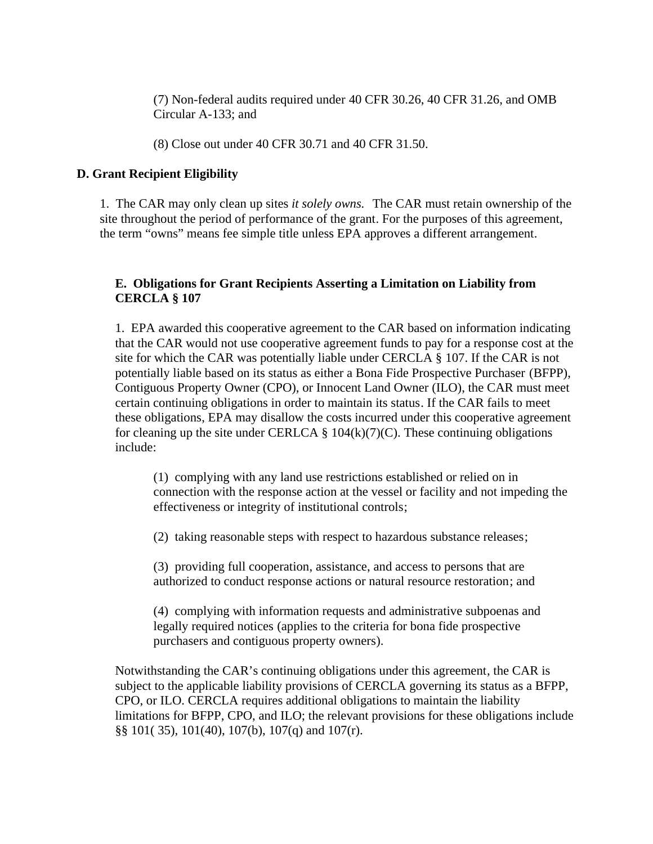(7) Non-federal audits required under 40 CFR 30.26, 40 CFR 31.26, and OMB Circular A-133; and

(8) Close out under 40 CFR 30.71 and 40 CFR 31.50.

#### **D. Grant Recipient Eligibility**

1. The CAR may only clean up sites *it solely owns.* The CAR must retain ownership of the site throughout the period of performance of the grant. For the purposes of this agreement, the term "owns" means fee simple title unless EPA approves a different arrangement.

## **E. Obligations for Grant Recipients Asserting a Limitation on Liability from CERCLA § 107**

1. EPA awarded this cooperative agreement to the CAR based on information indicating that the CAR would not use cooperative agreement funds to pay for a response cost at the site for which the CAR was potentially liable under CERCLA § 107. If the CAR is not potentially liable based on its status as either a Bona Fide Prospective Purchaser (BFPP), Contiguous Property Owner (CPO), or Innocent Land Owner (ILO), the CAR must meet certain continuing obligations in order to maintain its status. If the CAR fails to meet these obligations, EPA may disallow the costs incurred under this cooperative agreement for cleaning up the site under CERLCA  $\S$  104(k)(7)(C). These continuing obligations include:

(1) complying with any land use restrictions established or relied on in connection with the response action at the vessel or facility and not impeding the effectiveness or integrity of institutional controls;

(2) taking reasonable steps with respect to hazardous substance releases;

(3) providing full cooperation, assistance, and access to persons that are authorized to conduct response actions or natural resource restoration; and

(4) complying with information requests and administrative subpoenas and legally required notices (applies to the criteria for bona fide prospective purchasers and contiguous property owners).

Notwithstanding the CAR's continuing obligations under this agreement, the CAR is subject to the applicable liability provisions of CERCLA governing its status as a BFPP, CPO, or ILO. CERCLA requires additional obligations to maintain the liability limitations for BFPP, CPO, and ILO; the relevant provisions for these obligations include §§ 101( 35), 101(40), 107(b), 107(q) and 107(r).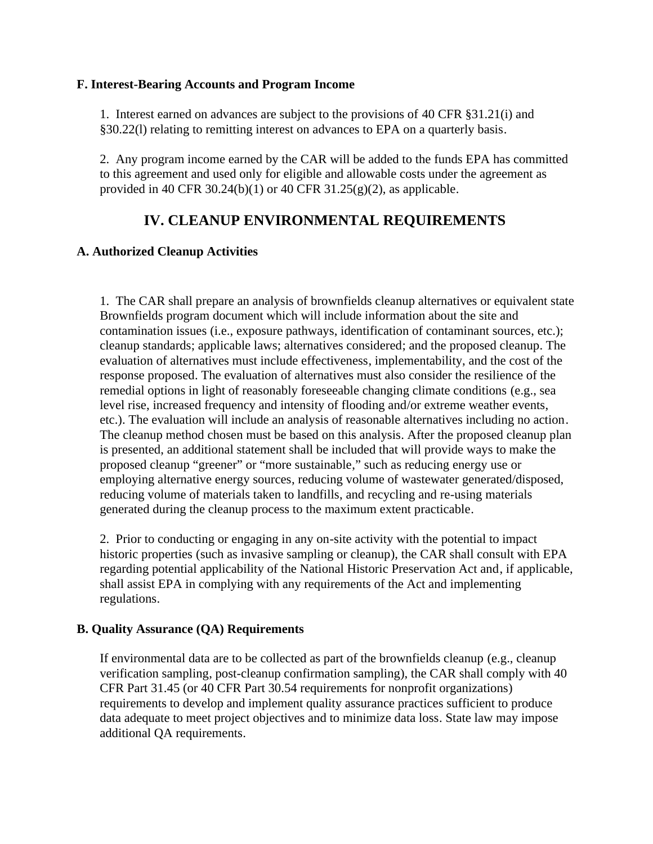#### **F. Interest-Bearing Accounts and Program Income**

1. Interest earned on advances are subject to the provisions of 40 CFR §31.21(i) and §30.22(l) relating to remitting interest on advances to EPA on a quarterly basis.

2. Any program income earned by the CAR will be added to the funds EPA has committed to this agreement and used only for eligible and allowable costs under the agreement as provided in 40 CFR 30.24(b)(1) or 40 CFR 31.25(g)(2), as applicable.

## **IV. CLEANUP ENVIRONMENTAL REQUIREMENTS**

#### **A. Authorized Cleanup Activities**

1. The CAR shall prepare an analysis of brownfields cleanup alternatives or equivalent state Brownfields program document which will include information about the site and contamination issues (i.e., exposure pathways, identification of contaminant sources, etc.); cleanup standards; applicable laws; alternatives considered; and the proposed cleanup. The evaluation of alternatives must include effectiveness, implementability, and the cost of the response proposed. The evaluation of alternatives must also consider the resilience of the remedial options in light of reasonably foreseeable changing climate conditions (e.g., sea level rise, increased frequency and intensity of flooding and/or extreme weather events, etc.). The evaluation will include an analysis of reasonable alternatives including no action. The cleanup method chosen must be based on this analysis. After the proposed cleanup plan is presented, an additional statement shall be included that will provide ways to make the proposed cleanup "greener" or "more sustainable," such as reducing energy use or employing alternative energy sources, reducing volume of wastewater generated/disposed, reducing volume of materials taken to landfills, and recycling and re-using materials generated during the cleanup process to the maximum extent practicable.

2. Prior to conducting or engaging in any on-site activity with the potential to impact historic properties (such as invasive sampling or cleanup), the CAR shall consult with EPA regarding potential applicability of the National Historic Preservation Act and, if applicable, shall assist EPA in complying with any requirements of the Act and implementing regulations.

#### **B. Quality Assurance (QA) Requirements**

If environmental data are to be collected as part of the brownfields cleanup (e.g., cleanup verification sampling, post-cleanup confirmation sampling), the CAR shall comply with 40 CFR Part 31.45 (or 40 CFR Part 30.54 requirements for nonprofit organizations) requirements to develop and implement quality assurance practices sufficient to produce data adequate to meet project objectives and to minimize data loss. State law may impose additional QA requirements.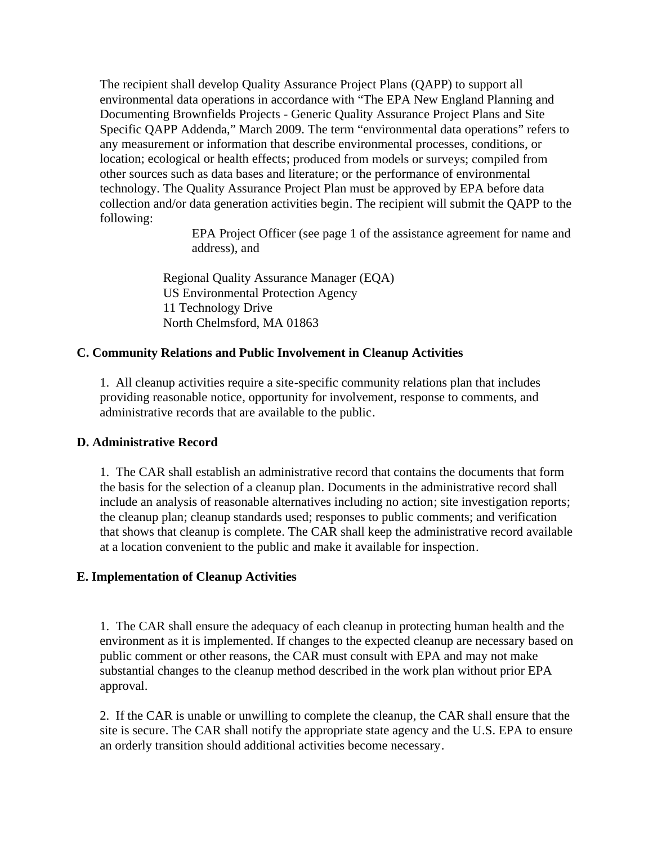The recipient shall develop Quality Assurance Project Plans (QAPP) to support all environmental data operations in accordance with "The EPA New England Planning and Documenting Brownfields Projects - Generic Quality Assurance Project Plans and Site Specific QAPP Addenda," March 2009. The term "environmental data operations" refers to any measurement or information that describe environmental processes, conditions, or location; ecological or health effects; produced from models or surveys; compiled from other sources such as data bases and literature; or the performance of environmental technology. The Quality Assurance Project Plan must be approved by EPA before data collection and/or data generation activities begin. The recipient will submit the QAPP to the following:

> EPA Project Officer (see page 1 of the assistance agreement for name and address), and

 Regional Quality Assurance Manager (EQA) US Environmental Protection Agency 11 Technology Drive North Chelmsford, MA 01863

#### **C. Community Relations and Public Involvement in Cleanup Activities**

1. All cleanup activities require a site-specific community relations plan that includes providing reasonable notice, opportunity for involvement, response to comments, and administrative records that are available to the public.

#### **D. Administrative Record**

1. The CAR shall establish an administrative record that contains the documents that form the basis for the selection of a cleanup plan. Documents in the administrative record shall include an analysis of reasonable alternatives including no action; site investigation reports; the cleanup plan; cleanup standards used; responses to public comments; and verification that shows that cleanup is complete. The CAR shall keep the administrative record available at a location convenient to the public and make it available for inspection.

## **E. Implementation of Cleanup Activities**

1. The CAR shall ensure the adequacy of each cleanup in protecting human health and the environment as it is implemented. If changes to the expected cleanup are necessary based on public comment or other reasons, the CAR must consult with EPA and may not make substantial changes to the cleanup method described in the work plan without prior EPA approval.

2. If the CAR is unable or unwilling to complete the cleanup, the CAR shall ensure that the site is secure. The CAR shall notify the appropriate state agency and the U.S. EPA to ensure an orderly transition should additional activities become necessary.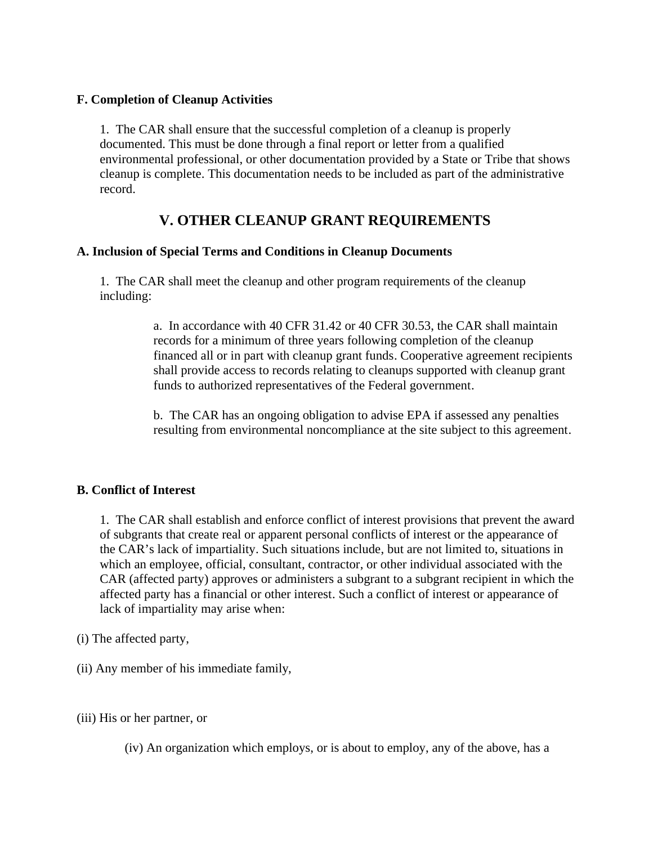#### **F. Completion of Cleanup Activities**

1. The CAR shall ensure that the successful completion of a cleanup is properly documented. This must be done through a final report or letter from a qualified environmental professional, or other documentation provided by a State or Tribe that shows cleanup is complete. This documentation needs to be included as part of the administrative record.

## **V. OTHER CLEANUP GRANT REQUIREMENTS**

#### **A. Inclusion of Special Terms and Conditions in Cleanup Documents**

1. The CAR shall meet the cleanup and other program requirements of the cleanup including:

> a. In accordance with 40 CFR 31.42 or 40 CFR 30.53, the CAR shall maintain records for a minimum of three years following completion of the cleanup financed all or in part with cleanup grant funds. Cooperative agreement recipients shall provide access to records relating to cleanups supported with cleanup grant funds to authorized representatives of the Federal government.

> b. The CAR has an ongoing obligation to advise EPA if assessed any penalties resulting from environmental noncompliance at the site subject to this agreement.

#### **B. Conflict of Interest**

1. The CAR shall establish and enforce conflict of interest provisions that prevent the award of subgrants that create real or apparent personal conflicts of interest or the appearance of the CAR's lack of impartiality. Such situations include, but are not limited to, situations in which an employee, official, consultant, contractor, or other individual associated with the CAR (affected party) approves or administers a subgrant to a subgrant recipient in which the affected party has a financial or other interest. Such a conflict of interest or appearance of lack of impartiality may arise when:

- (i) The affected party,
- (ii) Any member of his immediate family,
- (iii) His or her partner, or
	- (iv) An organization which employs, or is about to employ, any of the above, has a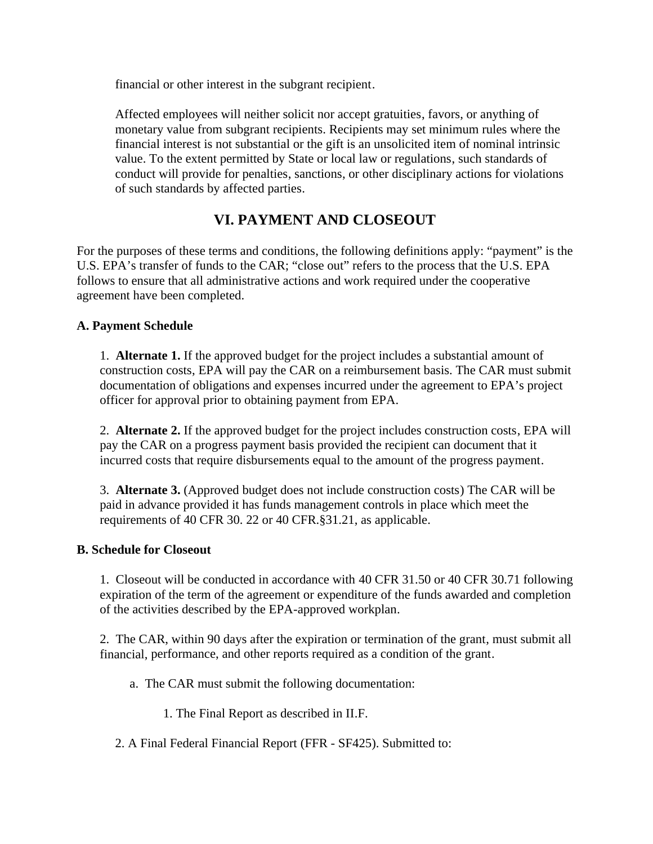financial or other interest in the subgrant recipient.

Affected employees will neither solicit nor accept gratuities, favors, or anything of monetary value from subgrant recipients. Recipients may set minimum rules where the financial interest is not substantial or the gift is an unsolicited item of nominal intrinsic value. To the extent permitted by State or local law or regulations, such standards of conduct will provide for penalties, sanctions, or other disciplinary actions for violations of such standards by affected parties.

## **VI. PAYMENT AND CLOSEOUT**

For the purposes of these terms and conditions, the following definitions apply: "payment" is the U.S. EPA's transfer of funds to the CAR; "close out" refers to the process that the U.S. EPA follows to ensure that all administrative actions and work required under the cooperative agreement have been completed.

## **A. Payment Schedule**

1. **Alternate 1.** If the approved budget for the project includes a substantial amount of construction costs, EPA will pay the CAR on a reimbursement basis. The CAR must submit documentation of obligations and expenses incurred under the agreement to EPA's project officer for approval prior to obtaining payment from EPA.

2. **Alternate 2.** If the approved budget for the project includes construction costs, EPA will pay the CAR on a progress payment basis provided the recipient can document that it incurred costs that require disbursements equal to the amount of the progress payment.

3. **Alternate 3.** (Approved budget does not include construction costs) The CAR will be paid in advance provided it has funds management controls in place which meet the requirements of 40 CFR 30. 22 or 40 CFR.§31.21, as applicable.

## **B. Schedule for Closeout**

1. Closeout will be conducted in accordance with 40 CFR 31.50 or 40 CFR 30.71 following expiration of the term of the agreement or expenditure of the funds awarded and completion of the activities described by the EPA-approved workplan.

2. The CAR, within 90 days after the expiration or termination of the grant, must submit all financial, performance, and other reports required as a condition of the grant.

- a. The CAR must submit the following documentation:
	- 1. The Final Report as described in II.F.
- 2. A Final Federal Financial Report (FFR SF425). Submitted to: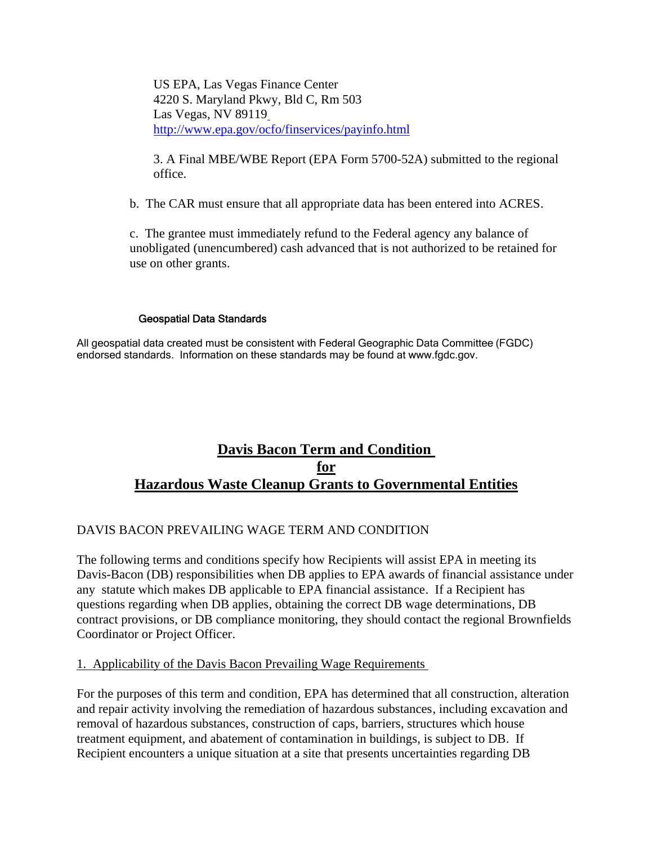US EPA, Las Vegas Finance Center 4220 S. Maryland Pkwy, Bld C, Rm 503 Las Vegas, NV 89119 http://www.epa.gov/ocfo/finservices/payinfo.html

3. A Final MBE/WBE Report (EPA Form 5700-52A) submitted to the regional office.

b. The CAR must ensure that all appropriate data has been entered into ACRES.

c. The grantee must immediately refund to the Federal agency any balance of unobligated (unencumbered) cash advanced that is not authorized to be retained for use on other grants.

#### Geospatial Data Standards

All geospatial data created must be consistent with Federal Geographic Data Committee (FGDC) endorsed standards. Information on these standards may be found at www.fgdc.gov.

## **Davis Bacon Term and Condition for Hazardous Waste Cleanup Grants to Governmental Entities**

## DAVIS BACON PREVAILING WAGE TERM AND CONDITION

The following terms and conditions specify how Recipients will assist EPA in meeting its Davis-Bacon (DB) responsibilities when DB applies to EPA awards of financial assistance under any statute which makes DB applicable to EPA financial assistance. If a Recipient has questions regarding when DB applies, obtaining the correct DB wage determinations, DB contract provisions, or DB compliance monitoring, they should contact the regional Brownfields Coordinator or Project Officer.

#### 1. Applicability of the Davis Bacon Prevailing Wage Requirements

For the purposes of this term and condition, EPA has determined that all construction, alteration and repair activity involving the remediation of hazardous substances, including excavation and removal of hazardous substances, construction of caps, barriers, structures which house treatment equipment, and abatement of contamination in buildings, is subject to DB. If Recipient encounters a unique situation at a site that presents uncertainties regarding DB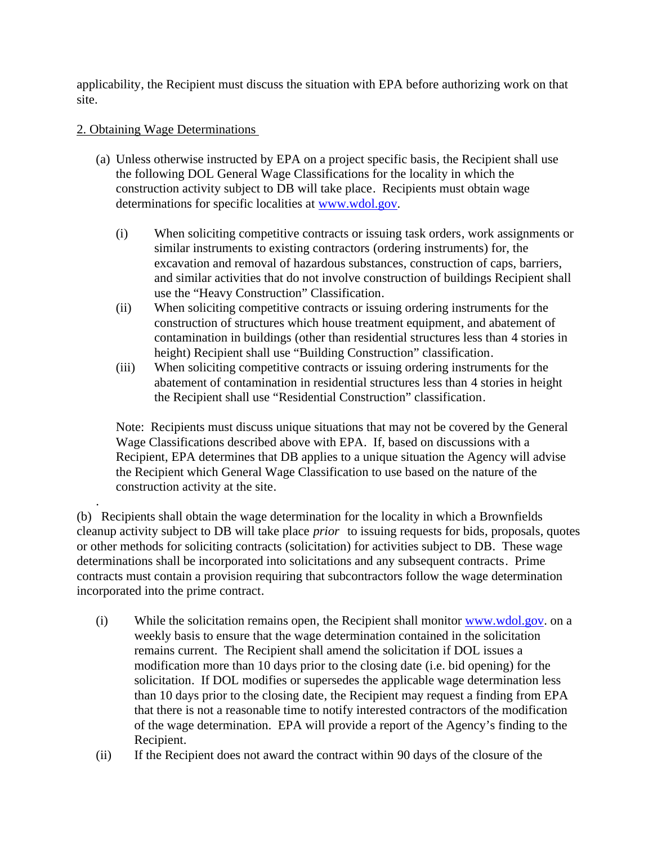applicability, the Recipient must discuss the situation with EPA before authorizing work on that site.

#### 2. Obtaining Wage Determinations

.

- (a) Unless otherwise instructed by EPA on a project specific basis, the Recipient shall use the following DOL General Wage Classifications for the locality in which the construction activity subject to DB will take place. Recipients must obtain wage determinations for specific localities at www.wdol.gov.
	- (i) When soliciting competitive contracts or issuing task orders, work assignments or similar instruments to existing contractors (ordering instruments) for, the excavation and removal of hazardous substances, construction of caps, barriers, and similar activities that do not involve construction of buildings Recipient shall use the "Heavy Construction" Classification.
	- (ii) When soliciting competitive contracts or issuing ordering instruments for the construction of structures which house treatment equipment, and abatement of contamination in buildings (other than residential structures less than 4 stories in height) Recipient shall use "Building Construction" classification.
	- (iii) When soliciting competitive contracts or issuing ordering instruments for the abatement of contamination in residential structures less than 4 stories in height the Recipient shall use "Residential Construction" classification.

Note: Recipients must discuss unique situations that may not be covered by the General Wage Classifications described above with EPA. If, based on discussions with a Recipient, EPA determines that DB applies to a unique situation the Agency will advise the Recipient which General Wage Classification to use based on the nature of the construction activity at the site.

(b) Recipients shall obtain the wage determination for the locality in which a Brownfields cleanup activity subject to DB will take place *prior* to issuing requests for bids, proposals, quotes or other methods for soliciting contracts (solicitation) for activities subject to DB. These wage determinations shall be incorporated into solicitations and any subsequent contracts. Prime contracts must contain a provision requiring that subcontractors follow the wage determination incorporated into the prime contract.

- (i) While the solicitation remains open, the Recipient shall monitor  $www.wdol.gov$  on a weekly basis to ensure that the wage determination contained in the solicitation remains current. The Recipient shall amend the solicitation if DOL issues a modification more than 10 days prior to the closing date (i.e. bid opening) for the solicitation. If DOL modifies or supersedes the applicable wage determination less than 10 days prior to the closing date, the Recipient may request a finding from EPA that there is not a reasonable time to notify interested contractors of the modification of the wage determination. EPA will provide a report of the Agency's finding to the Recipient.
- (ii) If the Recipient does not award the contract within 90 days of the closure of the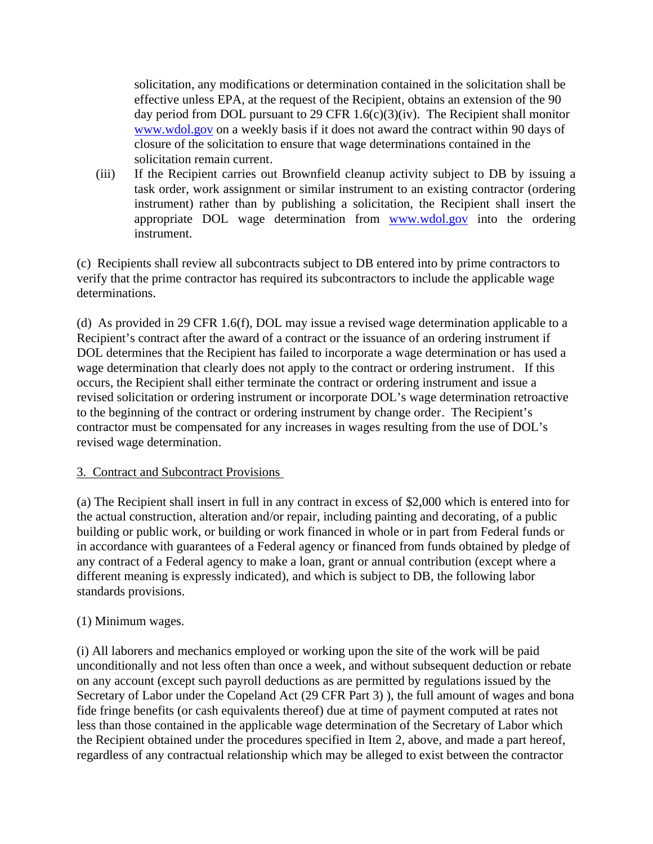solicitation, any modifications or determination contained in the solicitation shall be effective unless EPA, at the request of the Recipient, obtains an extension of the 90 day period from DOL pursuant to 29 CFR 1.6(c)(3)(iv). The Recipient shall monitor www.wdol.gov on a weekly basis if it does not award the contract within 90 days of closure of the solicitation to ensure that wage determinations contained in the solicitation remain current.

(iii) If the Recipient carries out Brownfield cleanup activity subject to DB by issuing a task order, work assignment or similar instrument to an existing contractor (ordering instrument) rather than by publishing a solicitation, the Recipient shall insert the appropriate DOL wage determination from www.wdol.gov into the ordering instrument.

(c) Recipients shall review all subcontracts subject to DB entered into by prime contractors to verify that the prime contractor has required its subcontractors to include the applicable wage determinations.

(d) As provided in 29 CFR 1.6(f), DOL may issue a revised wage determination applicable to a Recipient's contract after the award of a contract or the issuance of an ordering instrument if DOL determines that the Recipient has failed to incorporate a wage determination or has used a wage determination that clearly does not apply to the contract or ordering instrument. If this occurs, the Recipient shall either terminate the contract or ordering instrument and issue a revised solicitation or ordering instrument or incorporate DOL's wage determination retroactive to the beginning of the contract or ordering instrument by change order. The Recipient's contractor must be compensated for any increases in wages resulting from the use of DOL's revised wage determination.

## 3. Contract and Subcontract Provisions

(a) The Recipient shall insert in full in any contract in excess of \$2,000 which is entered into for the actual construction, alteration and/or repair, including painting and decorating, of a public building or public work, or building or work financed in whole or in part from Federal funds or in accordance with guarantees of a Federal agency or financed from funds obtained by pledge of any contract of a Federal agency to make a loan, grant or annual contribution (except where a different meaning is expressly indicated), and which is subject to DB, the following labor standards provisions.

## (1) Minimum wages.

(i) All laborers and mechanics employed or working upon the site of the work will be paid unconditionally and not less often than once a week, and without subsequent deduction or rebate on any account (except such payroll deductions as are permitted by regulations issued by the Secretary of Labor under the Copeland Act (29 CFR Part 3) ), the full amount of wages and bona fide fringe benefits (or cash equivalents thereof) due at time of payment computed at rates not less than those contained in the applicable wage determination of the Secretary of Labor which the Recipient obtained under the procedures specified in Item 2, above, and made a part hereof, regardless of any contractual relationship which may be alleged to exist between the contractor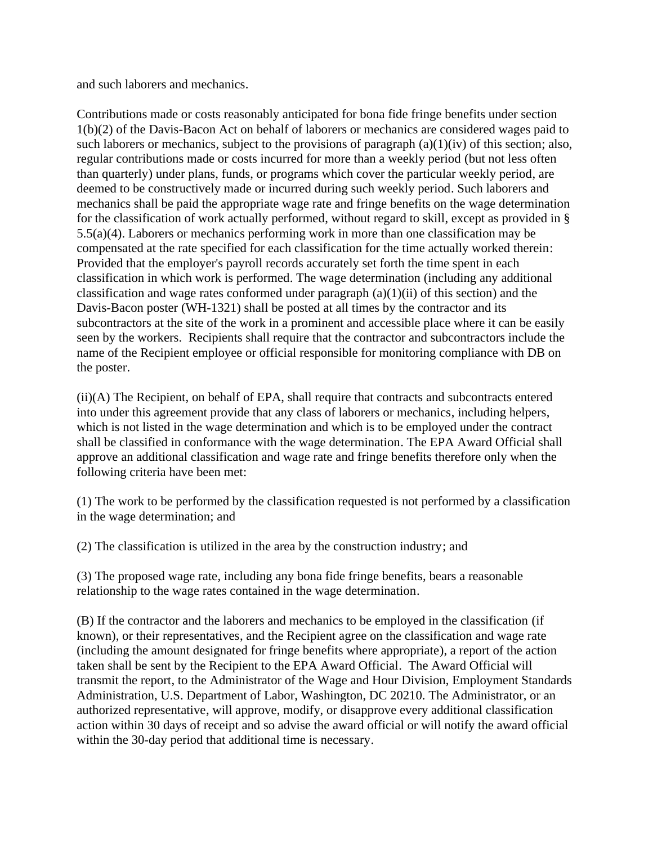and such laborers and mechanics.

Contributions made or costs reasonably anticipated for bona fide fringe benefits under section 1(b)(2) of the Davis-Bacon Act on behalf of laborers or mechanics are considered wages paid to such laborers or mechanics, subject to the provisions of paragraph (a)(1)(iv) of this section; also, regular contributions made or costs incurred for more than a weekly period (but not less often than quarterly) under plans, funds, or programs which cover the particular weekly period, are deemed to be constructively made or incurred during such weekly period. Such laborers and mechanics shall be paid the appropriate wage rate and fringe benefits on the wage determination for the classification of work actually performed, without regard to skill, except as provided in § 5.5(a)(4). Laborers or mechanics performing work in more than one classification may be compensated at the rate specified for each classification for the time actually worked therein: Provided that the employer's payroll records accurately set forth the time spent in each classification in which work is performed. The wage determination (including any additional classification and wage rates conformed under paragraph  $(a)(1)(ii)$  of this section) and the Davis-Bacon poster (WH-1321) shall be posted at all times by the contractor and its subcontractors at the site of the work in a prominent and accessible place where it can be easily seen by the workers. Recipients shall require that the contractor and subcontractors include the name of the Recipient employee or official responsible for monitoring compliance with DB on the poster.

(ii)(A) The Recipient, on behalf of EPA, shall require that contracts and subcontracts entered into under this agreement provide that any class of laborers or mechanics, including helpers, which is not listed in the wage determination and which is to be employed under the contract shall be classified in conformance with the wage determination. The EPA Award Official shall approve an additional classification and wage rate and fringe benefits therefore only when the following criteria have been met:

(1) The work to be performed by the classification requested is not performed by a classification in the wage determination; and

(2) The classification is utilized in the area by the construction industry; and

(3) The proposed wage rate, including any bona fide fringe benefits, bears a reasonable relationship to the wage rates contained in the wage determination.

(B) If the contractor and the laborers and mechanics to be employed in the classification (if known), or their representatives, and the Recipient agree on the classification and wage rate (including the amount designated for fringe benefits where appropriate), a report of the action taken shall be sent by the Recipient to the EPA Award Official. The Award Official will transmit the report, to the Administrator of the Wage and Hour Division, Employment Standards Administration, U.S. Department of Labor, Washington, DC 20210. The Administrator, or an authorized representative, will approve, modify, or disapprove every additional classification action within 30 days of receipt and so advise the award official or will notify the award official within the 30-day period that additional time is necessary.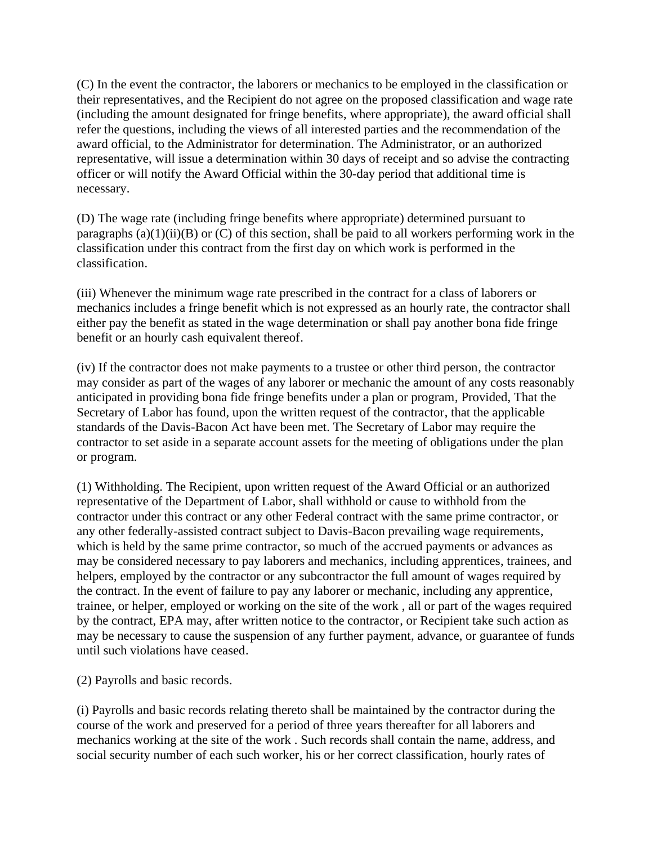(C) In the event the contractor, the laborers or mechanics to be employed in the classification or their representatives, and the Recipient do not agree on the proposed classification and wage rate (including the amount designated for fringe benefits, where appropriate), the award official shall refer the questions, including the views of all interested parties and the recommendation of the award official, to the Administrator for determination. The Administrator, or an authorized representative, will issue a determination within 30 days of receipt and so advise the contracting officer or will notify the Award Official within the 30-day period that additional time is necessary.

(D) The wage rate (including fringe benefits where appropriate) determined pursuant to paragraphs  $(a)(1)(ii)(B)$  or  $(C)$  of this section, shall be paid to all workers performing work in the classification under this contract from the first day on which work is performed in the classification.

(iii) Whenever the minimum wage rate prescribed in the contract for a class of laborers or mechanics includes a fringe benefit which is not expressed as an hourly rate, the contractor shall either pay the benefit as stated in the wage determination or shall pay another bona fide fringe benefit or an hourly cash equivalent thereof.

(iv) If the contractor does not make payments to a trustee or other third person, the contractor may consider as part of the wages of any laborer or mechanic the amount of any costs reasonably anticipated in providing bona fide fringe benefits under a plan or program, Provided, That the Secretary of Labor has found, upon the written request of the contractor, that the applicable standards of the Davis-Bacon Act have been met. The Secretary of Labor may require the contractor to set aside in a separate account assets for the meeting of obligations under the plan or program.

(1) Withholding. The Recipient, upon written request of the Award Official or an authorized representative of the Department of Labor, shall withhold or cause to withhold from the contractor under this contract or any other Federal contract with the same prime contractor, or any other federally-assisted contract subject to Davis-Bacon prevailing wage requirements, which is held by the same prime contractor, so much of the accrued payments or advances as may be considered necessary to pay laborers and mechanics, including apprentices, trainees, and helpers, employed by the contractor or any subcontractor the full amount of wages required by the contract. In the event of failure to pay any laborer or mechanic, including any apprentice, trainee, or helper, employed or working on the site of the work , all or part of the wages required by the contract, EPA may, after written notice to the contractor, or Recipient take such action as may be necessary to cause the suspension of any further payment, advance, or guarantee of funds until such violations have ceased.

(2) Payrolls and basic records.

(i) Payrolls and basic records relating thereto shall be maintained by the contractor during the course of the work and preserved for a period of three years thereafter for all laborers and mechanics working at the site of the work . Such records shall contain the name, address, and social security number of each such worker, his or her correct classification, hourly rates of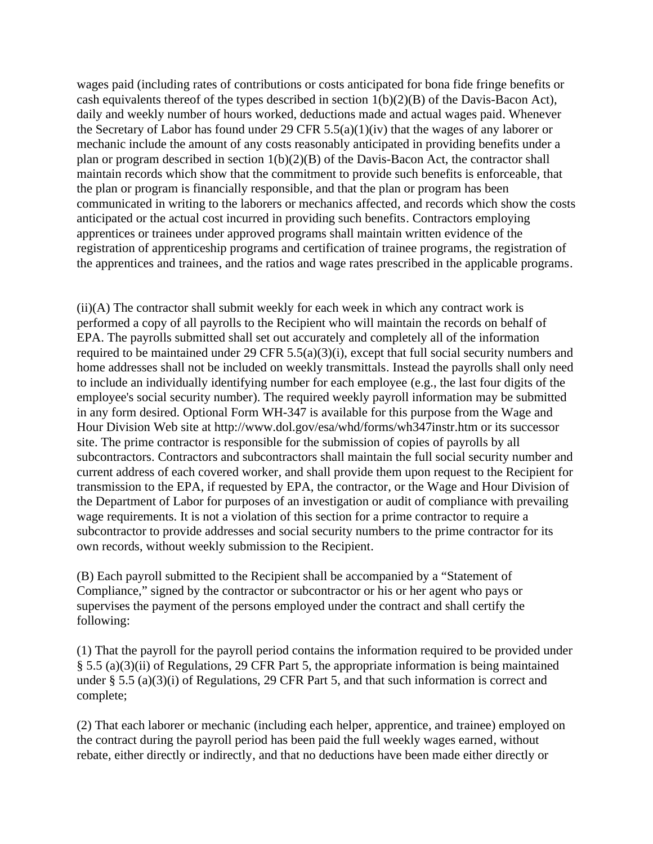wages paid (including rates of contributions or costs anticipated for bona fide fringe benefits or cash equivalents thereof of the types described in section 1(b)(2)(B) of the Davis-Bacon Act), daily and weekly number of hours worked, deductions made and actual wages paid. Whenever the Secretary of Labor has found under 29 CFR 5.5(a)(1)(iv) that the wages of any laborer or mechanic include the amount of any costs reasonably anticipated in providing benefits under a plan or program described in section 1(b)(2)(B) of the Davis-Bacon Act, the contractor shall maintain records which show that the commitment to provide such benefits is enforceable, that the plan or program is financially responsible, and that the plan or program has been communicated in writing to the laborers or mechanics affected, and records which show the costs anticipated or the actual cost incurred in providing such benefits. Contractors employing apprentices or trainees under approved programs shall maintain written evidence of the registration of apprenticeship programs and certification of trainee programs, the registration of the apprentices and trainees, and the ratios and wage rates prescribed in the applicable programs.

(ii)(A) The contractor shall submit weekly for each week in which any contract work is performed a copy of all payrolls to the Recipient who will maintain the records on behalf of EPA. The payrolls submitted shall set out accurately and completely all of the information required to be maintained under 29 CFR 5.5(a)(3)(i), except that full social security numbers and home addresses shall not be included on weekly transmittals. Instead the payrolls shall only need to include an individually identifying number for each employee (e.g., the last four digits of the employee's social security number). The required weekly payroll information may be submitted in any form desired. Optional Form WH-347 is available for this purpose from the Wage and Hour Division Web site at http://www.dol.gov/esa/whd/forms/wh347instr.htm or its successor site. The prime contractor is responsible for the submission of copies of payrolls by all subcontractors. Contractors and subcontractors shall maintain the full social security number and current address of each covered worker, and shall provide them upon request to the Recipient for transmission to the EPA, if requested by EPA, the contractor, or the Wage and Hour Division of the Department of Labor for purposes of an investigation or audit of compliance with prevailing wage requirements. It is not a violation of this section for a prime contractor to require a subcontractor to provide addresses and social security numbers to the prime contractor for its own records, without weekly submission to the Recipient.

(B) Each payroll submitted to the Recipient shall be accompanied by a "Statement of Compliance," signed by the contractor or subcontractor or his or her agent who pays or supervises the payment of the persons employed under the contract and shall certify the following:

(1) That the payroll for the payroll period contains the information required to be provided under § 5.5 (a)(3)(ii) of Regulations, 29 CFR Part 5, the appropriate information is being maintained under § 5.5 (a)(3)(i) of Regulations, 29 CFR Part 5, and that such information is correct and complete;

(2) That each laborer or mechanic (including each helper, apprentice, and trainee) employed on the contract during the payroll period has been paid the full weekly wages earned, without rebate, either directly or indirectly, and that no deductions have been made either directly or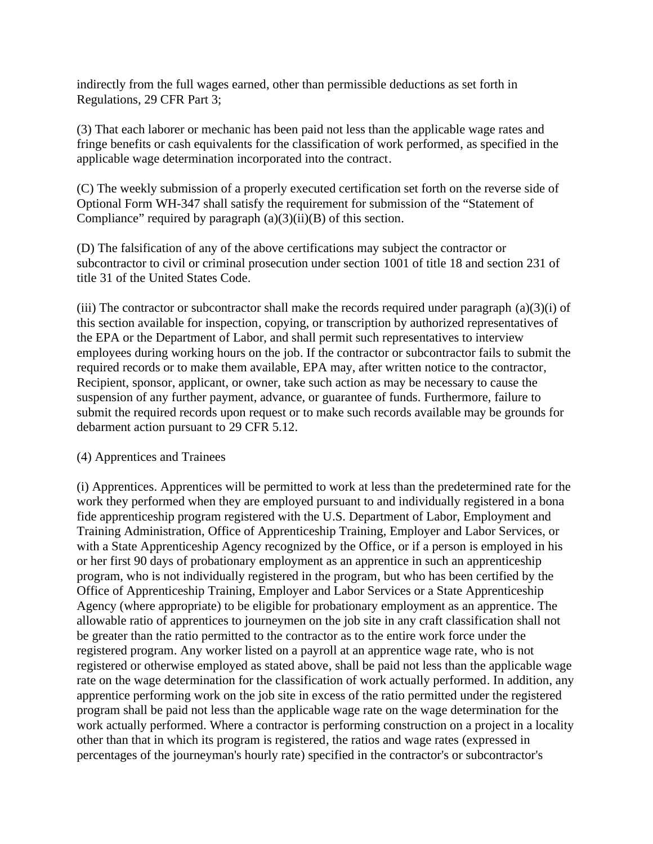indirectly from the full wages earned, other than permissible deductions as set forth in Regulations, 29 CFR Part 3;

(3) That each laborer or mechanic has been paid not less than the applicable wage rates and fringe benefits or cash equivalents for the classification of work performed, as specified in the applicable wage determination incorporated into the contract.

(C) The weekly submission of a properly executed certification set forth on the reverse side of Optional Form WH-347 shall satisfy the requirement for submission of the "Statement of Compliance" required by paragraph  $(a)(3)(ii)(B)$  of this section.

(D) The falsification of any of the above certifications may subject the contractor or subcontractor to civil or criminal prosecution under section 1001 of title 18 and section 231 of title 31 of the United States Code.

(iii) The contractor or subcontractor shall make the records required under paragraph  $(a)(3)(i)$  of this section available for inspection, copying, or transcription by authorized representatives of the EPA or the Department of Labor, and shall permit such representatives to interview employees during working hours on the job. If the contractor or subcontractor fails to submit the required records or to make them available, EPA may, after written notice to the contractor, Recipient, sponsor, applicant, or owner, take such action as may be necessary to cause the suspension of any further payment, advance, or guarantee of funds. Furthermore, failure to submit the required records upon request or to make such records available may be grounds for debarment action pursuant to 29 CFR 5.12.

## (4) Apprentices and Trainees

(i) Apprentices. Apprentices will be permitted to work at less than the predetermined rate for the work they performed when they are employed pursuant to and individually registered in a bona fide apprenticeship program registered with the U.S. Department of Labor, Employment and Training Administration, Office of Apprenticeship Training, Employer and Labor Services, or with a State Apprenticeship Agency recognized by the Office, or if a person is employed in his or her first 90 days of probationary employment as an apprentice in such an apprenticeship program, who is not individually registered in the program, but who has been certified by the Office of Apprenticeship Training, Employer and Labor Services or a State Apprenticeship Agency (where appropriate) to be eligible for probationary employment as an apprentice. The allowable ratio of apprentices to journeymen on the job site in any craft classification shall not be greater than the ratio permitted to the contractor as to the entire work force under the registered program. Any worker listed on a payroll at an apprentice wage rate, who is not registered or otherwise employed as stated above, shall be paid not less than the applicable wage rate on the wage determination for the classification of work actually performed. In addition, any apprentice performing work on the job site in excess of the ratio permitted under the registered program shall be paid not less than the applicable wage rate on the wage determination for the work actually performed. Where a contractor is performing construction on a project in a locality other than that in which its program is registered, the ratios and wage rates (expressed in percentages of the journeyman's hourly rate) specified in the contractor's or subcontractor's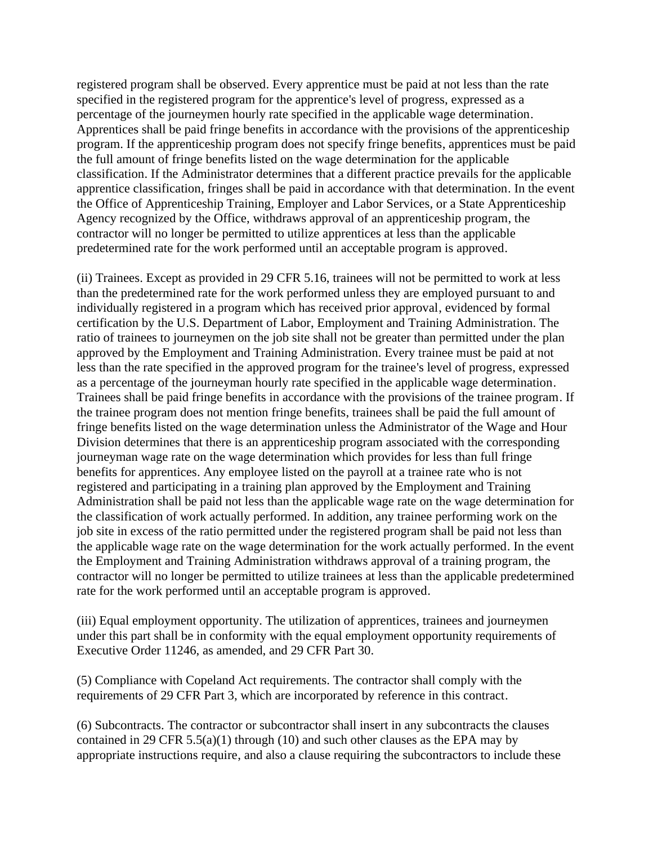registered program shall be observed. Every apprentice must be paid at not less than the rate specified in the registered program for the apprentice's level of progress, expressed as a percentage of the journeymen hourly rate specified in the applicable wage determination. Apprentices shall be paid fringe benefits in accordance with the provisions of the apprenticeship program. If the apprenticeship program does not specify fringe benefits, apprentices must be paid the full amount of fringe benefits listed on the wage determination for the applicable classification. If the Administrator determines that a different practice prevails for the applicable apprentice classification, fringes shall be paid in accordance with that determination. In the event the Office of Apprenticeship Training, Employer and Labor Services, or a State Apprenticeship Agency recognized by the Office, withdraws approval of an apprenticeship program, the contractor will no longer be permitted to utilize apprentices at less than the applicable predetermined rate for the work performed until an acceptable program is approved.

(ii) Trainees. Except as provided in 29 CFR 5.16, trainees will not be permitted to work at less than the predetermined rate for the work performed unless they are employed pursuant to and individually registered in a program which has received prior approval, evidenced by formal certification by the U.S. Department of Labor, Employment and Training Administration. The ratio of trainees to journeymen on the job site shall not be greater than permitted under the plan approved by the Employment and Training Administration. Every trainee must be paid at not less than the rate specified in the approved program for the trainee's level of progress, expressed as a percentage of the journeyman hourly rate specified in the applicable wage determination. Trainees shall be paid fringe benefits in accordance with the provisions of the trainee program. If the trainee program does not mention fringe benefits, trainees shall be paid the full amount of fringe benefits listed on the wage determination unless the Administrator of the Wage and Hour Division determines that there is an apprenticeship program associated with the corresponding journeyman wage rate on the wage determination which provides for less than full fringe benefits for apprentices. Any employee listed on the payroll at a trainee rate who is not registered and participating in a training plan approved by the Employment and Training Administration shall be paid not less than the applicable wage rate on the wage determination for the classification of work actually performed. In addition, any trainee performing work on the job site in excess of the ratio permitted under the registered program shall be paid not less than the applicable wage rate on the wage determination for the work actually performed. In the event the Employment and Training Administration withdraws approval of a training program, the contractor will no longer be permitted to utilize trainees at less than the applicable predetermined rate for the work performed until an acceptable program is approved.

(iii) Equal employment opportunity. The utilization of apprentices, trainees and journeymen under this part shall be in conformity with the equal employment opportunity requirements of Executive Order 11246, as amended, and 29 CFR Part 30.

(5) Compliance with Copeland Act requirements. The contractor shall comply with the requirements of 29 CFR Part 3, which are incorporated by reference in this contract.

(6) Subcontracts. The contractor or subcontractor shall insert in any subcontracts the clauses contained in 29 CFR 5.5(a)(1) through (10) and such other clauses as the EPA may by appropriate instructions require, and also a clause requiring the subcontractors to include these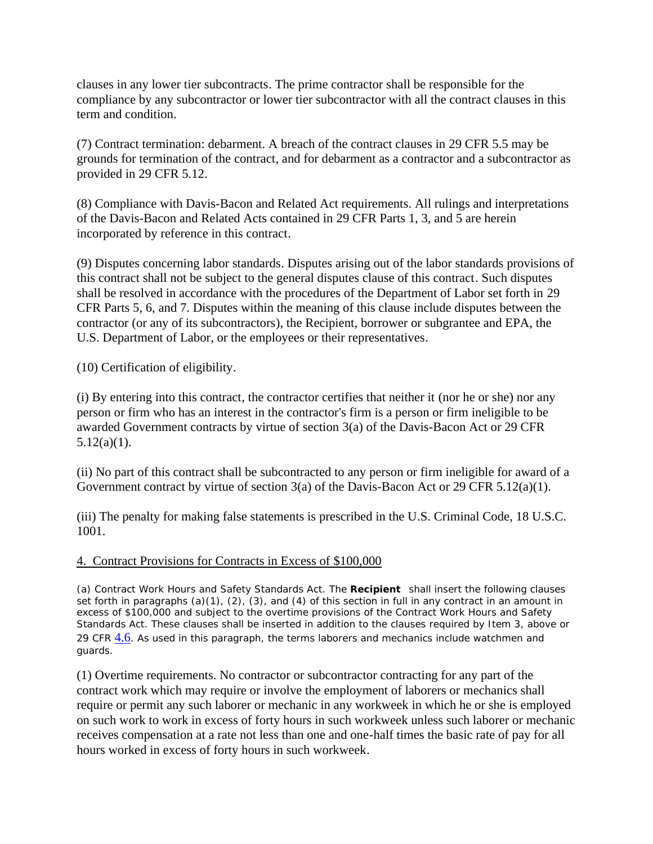clauses in any lower tier subcontracts. The prime contractor shall be responsible for the compliance by any subcontractor or lower tier subcontractor with all the contract clauses in this term and condition.

(7) Contract termination: debarment. A breach of the contract clauses in 29 CFR 5.5 may be grounds for termination of the contract, and for debarment as a contractor and a subcontractor as provided in 29 CFR 5.12.

(8) Compliance with Davis-Bacon and Related Act requirements. All rulings and interpretations of the Davis-Bacon and Related Acts contained in 29 CFR Parts 1, 3, and 5 are herein incorporated by reference in this contract.

(9) Disputes concerning labor standards. Disputes arising out of the labor standards provisions of this contract shall not be subject to the general disputes clause of this contract. Such disputes shall be resolved in accordance with the procedures of the Department of Labor set forth in 29 CFR Parts 5, 6, and 7. Disputes within the meaning of this clause include disputes between the contractor (or any of its subcontractors), the Recipient, borrower or subgrantee and EPA, the U.S. Department of Labor, or the employees or their representatives.

(10) Certification of eligibility.

(i) By entering into this contract, the contractor certifies that neither it (nor he or she) nor any person or firm who has an interest in the contractor's firm is a person or firm ineligible to be awarded Government contracts by virtue of section 3(a) of the Davis-Bacon Act or 29 CFR  $5.12(a)(1)$ .

(ii) No part of this contract shall be subcontracted to any person or firm ineligible for award of a Government contract by virtue of section 3(a) of the Davis-Bacon Act or 29 CFR 5.12(a)(1).

(iii) The penalty for making false statements is prescribed in the U.S. Criminal Code, 18 U.S.C. 1001.

#### 4. Contract Provisions for Contracts in Excess of \$100,000

(a) Contract Work Hours and Safety Standards Act. The *Recipient* shall insert the following clauses set forth in paragraphs (a)(1), (2), (3), and (4) of this section in full in any contract in an amount in excess of \$100,000 and subject to the overtime provisions of the Contract Work Hours and Safety Standards Act. These clauses shall be inserted in addition to the clauses required by Item 3, above or 29 CFR  $4.6$ . As used in this paragraph, the terms laborers and mechanics include watchmen and guards.

(1) Overtime requirements. No contractor or subcontractor contracting for any part of the contract work which may require or involve the employment of laborers or mechanics shall require or permit any such laborer or mechanic in any workweek in which he or she is employed on such work to work in excess of forty hours in such workweek unless such laborer or mechanic receives compensation at a rate not less than one and one-half times the basic rate of pay for all hours worked in excess of forty hours in such workweek.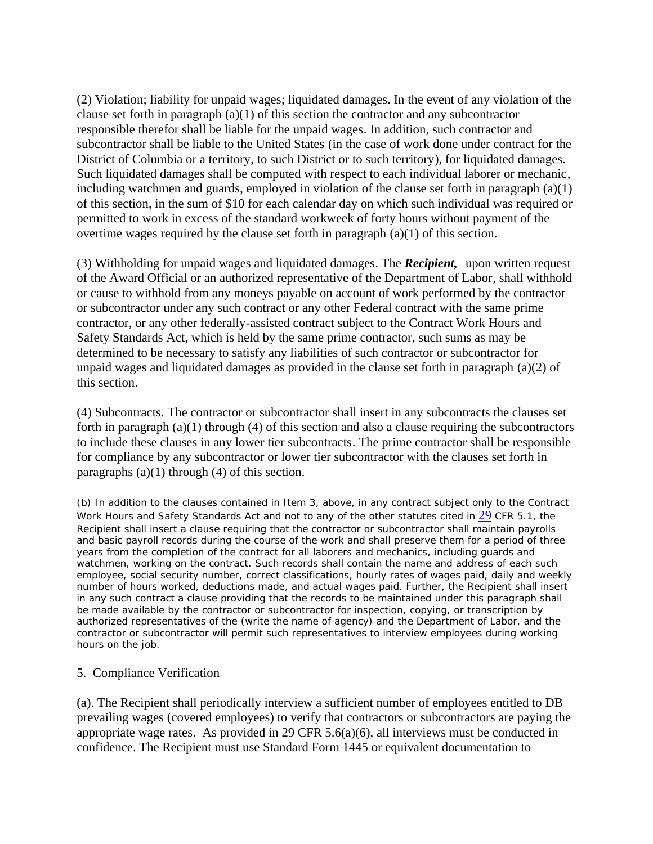(2) Violation; liability for unpaid wages; liquidated damages. In the event of any violation of the clause set forth in paragraph (a)(1) of this section the contractor and any subcontractor responsible therefor shall be liable for the unpaid wages. In addition, such contractor and subcontractor shall be liable to the United States (in the case of work done under contract for the District of Columbia or a territory, to such District or to such territory), for liquidated damages. Such liquidated damages shall be computed with respect to each individual laborer or mechanic, including watchmen and guards, employed in violation of the clause set forth in paragraph (a)(1) of this section, in the sum of \$10 for each calendar day on which such individual was required or permitted to work in excess of the standard workweek of forty hours without payment of the overtime wages required by the clause set forth in paragraph (a)(1) of this section.

(3) Withholding for unpaid wages and liquidated damages. The *Recipient,* upon written request of the Award Official or an authorized representative of the Department of Labor, shall withhold or cause to withhold from any moneys payable on account of work performed by the contractor or subcontractor under any such contract or any other Federal contract with the same prime contractor, or any other federally-assisted contract subject to the Contract Work Hours and Safety Standards Act, which is held by the same prime contractor, such sums as may be determined to be necessary to satisfy any liabilities of such contractor or subcontractor for unpaid wages and liquidated damages as provided in the clause set forth in paragraph (a)(2) of this section.

(4) Subcontracts. The contractor or subcontractor shall insert in any subcontracts the clauses set forth in paragraph (a)(1) through (4) of this section and also a clause requiring the subcontractors to include these clauses in any lower tier subcontracts. The prime contractor shall be responsible for compliance by any subcontractor or lower tier subcontractor with the clauses set forth in paragraphs  $(a)(1)$  through  $(4)$  of this section.

(b) In addition to the clauses contained in Item 3, above, in any contract subject only to the Contract Work Hours and Safety Standards Act and not to any of the other statutes cited in 29 CFR 5.1, the Recipient shall insert a clause requiring that the contractor or subcontractor shall maintain payrolls and basic payroll records during the course of the work and shall preserve them for a period of three years from the completion of the contract for all laborers and mechanics, including guards and watchmen, working on the contract. Such records shall contain the name and address of each such employee, social security number, correct classifications, hourly rates of wages paid, daily and weekly number of hours worked, deductions made, and actual wages paid. Further, the Recipient shall insert in any such contract a clause providing that the records to be maintained under this paragraph shall be made available by the contractor or subcontractor for inspection, copying, or transcription by authorized representatives of the (write the name of agency) and the Department of Labor, and the contractor or subcontractor will permit such representatives to interview employees during working hours on the job.

#### 5. Compliance Verification

(a). The Recipient shall periodically interview a sufficient number of employees entitled to DB prevailing wages (covered employees) to verify that contractors or subcontractors are paying the appropriate wage rates. As provided in 29 CFR 5.6(a)(6), all interviews must be conducted in confidence. The Recipient must use Standard Form 1445 or equivalent documentation to